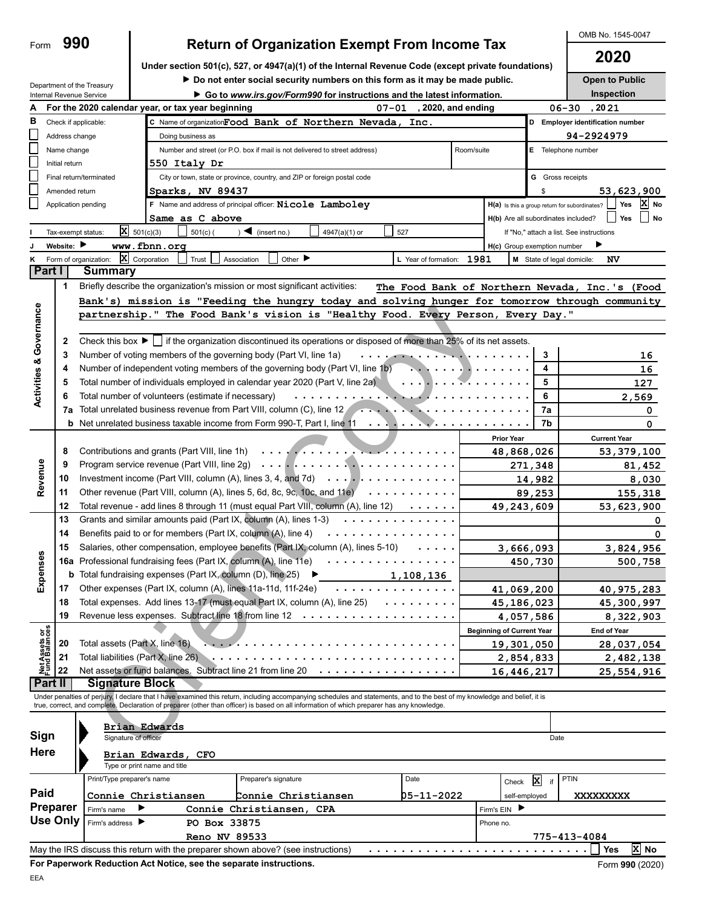| Form                           | 990                                                                                                                                                                                                             |                                  |                                                                                          | <b>Return of Organization Exempt From Income Tax</b>                                                                                                                       |                                                                                                                                                                                                                                |                    |                                     |                  | OMB No. 1545-0047                                             |
|--------------------------------|-----------------------------------------------------------------------------------------------------------------------------------------------------------------------------------------------------------------|----------------------------------|------------------------------------------------------------------------------------------|----------------------------------------------------------------------------------------------------------------------------------------------------------------------------|--------------------------------------------------------------------------------------------------------------------------------------------------------------------------------------------------------------------------------|--------------------|-------------------------------------|------------------|---------------------------------------------------------------|
|                                |                                                                                                                                                                                                                 |                                  |                                                                                          |                                                                                                                                                                            |                                                                                                                                                                                                                                |                    |                                     |                  | 2020                                                          |
|                                | Under section 501(c), 527, or 4947(a)(1) of the Internal Revenue Code (except private foundations)                                                                                                              |                                  |                                                                                          |                                                                                                                                                                            |                                                                                                                                                                                                                                |                    |                                     |                  |                                                               |
|                                | Do not enter social security numbers on this form as it may be made public.<br>Department of the Treasury<br>Go to www.irs.gov/Form990 for instructions and the latest information.<br>Internal Revenue Service |                                  |                                                                                          |                                                                                                                                                                            |                                                                                                                                                                                                                                |                    | <b>Open to Public</b><br>Inspection |                  |                                                               |
|                                |                                                                                                                                                                                                                 |                                  | For the 2020 calendar year, or tax year beginning                                        |                                                                                                                                                                            | $07 - 01$                                                                                                                                                                                                                      | , 2020, and ending |                                     |                  | 06-30<br>, 20 21                                              |
| в                              |                                                                                                                                                                                                                 | Check if applicable:             |                                                                                          | C Name of organizationFood Bank of Northern Nevada, Inc.                                                                                                                   |                                                                                                                                                                                                                                |                    |                                     |                  | D Employer identification number                              |
|                                | Address change                                                                                                                                                                                                  |                                  | Doing business as                                                                        |                                                                                                                                                                            |                                                                                                                                                                                                                                |                    |                                     |                  | 94-2924979                                                    |
|                                | Name change                                                                                                                                                                                                     |                                  |                                                                                          | Number and street (or P.O. box if mail is not delivered to street address)                                                                                                 |                                                                                                                                                                                                                                | Room/suite         |                                     |                  | E Telephone number                                            |
|                                | Initial return                                                                                                                                                                                                  |                                  | 550 Italy Dr                                                                             |                                                                                                                                                                            |                                                                                                                                                                                                                                |                    |                                     |                  |                                                               |
|                                |                                                                                                                                                                                                                 | Final return/terminated          |                                                                                          | City or town, state or province, country, and ZIP or foreign postal code                                                                                                   |                                                                                                                                                                                                                                |                    |                                     |                  | <b>G</b> Gross receipts                                       |
|                                | Amended return                                                                                                                                                                                                  |                                  | Sparks, NV 89437                                                                         |                                                                                                                                                                            |                                                                                                                                                                                                                                |                    |                                     | \$               | 53,623,900                                                    |
|                                |                                                                                                                                                                                                                 | Application pending              |                                                                                          | F Name and address of principal officer: Nicole Lamboley                                                                                                                   |                                                                                                                                                                                                                                |                    |                                     |                  | XI No<br>H(a) Is this a group return for subordinates?<br>Yes |
|                                |                                                                                                                                                                                                                 |                                  | Same as C above                                                                          |                                                                                                                                                                            |                                                                                                                                                                                                                                |                    |                                     |                  | H(b) Are all subordinates included?<br>Yes<br>No              |
|                                |                                                                                                                                                                                                                 | Tax-exempt status:               | $\mathbf{X}$ 501(c)(3)<br>$501(c)$ (                                                     | $)$ (insert no.)<br>4947(a)(1) or                                                                                                                                          | 527                                                                                                                                                                                                                            |                    |                                     |                  | If "No," attach a list. See instructions                      |
|                                | Website:                                                                                                                                                                                                        |                                  | www.fbnn.org<br>X Corporation                                                            |                                                                                                                                                                            |                                                                                                                                                                                                                                |                    | H(c) Group exemption number         |                  |                                                               |
| <b>Part I</b>                  |                                                                                                                                                                                                                 | Form of organization:<br>Summary | Trust                                                                                    | Other $\blacksquare$<br>Association                                                                                                                                        | L Year of formation: 1981                                                                                                                                                                                                      |                    |                                     |                  | NV<br>M State of legal domicile:                              |
|                                | 1                                                                                                                                                                                                               |                                  |                                                                                          | Briefly describe the organization's mission or most significant activities:                                                                                                |                                                                                                                                                                                                                                |                    |                                     |                  | The Food Bank of Northern Nevada, Inc.'s (Food                |
|                                |                                                                                                                                                                                                                 |                                  |                                                                                          | Bank's) mission is "Feeding the hungry today and solving hunger for tomorrow through community                                                                             |                                                                                                                                                                                                                                |                    |                                     |                  |                                                               |
|                                |                                                                                                                                                                                                                 |                                  |                                                                                          | partnership." The Food Bank's vision is "Healthy Food. Every Person, Every Day."                                                                                           |                                                                                                                                                                                                                                |                    |                                     |                  |                                                               |
|                                |                                                                                                                                                                                                                 |                                  |                                                                                          |                                                                                                                                                                            |                                                                                                                                                                                                                                |                    |                                     |                  |                                                               |
| Governance                     | 2                                                                                                                                                                                                               |                                  |                                                                                          | Check this box $\blacktriangleright$   if the organization discontinued its operations or disposed of more than 25% of its net assets.                                     |                                                                                                                                                                                                                                |                    |                                     |                  |                                                               |
|                                | 3                                                                                                                                                                                                               |                                  |                                                                                          | Number of voting members of the governing body (Part VI, line 1a)                                                                                                          |                                                                                                                                                                                                                                |                    |                                     | 3                | 16                                                            |
|                                | 4                                                                                                                                                                                                               |                                  |                                                                                          | Number of independent voting members of the governing body (Part VI, line 1b)                                                                                              |                                                                                                                                                                                                                                |                    |                                     | 4                | 16                                                            |
|                                | 5                                                                                                                                                                                                               |                                  |                                                                                          | Total number of individuals employed in calendar year 2020 (Part V, line 2a)                                                                                               | the contract of the contract of the contract of the contract of the contract of the contract of the contract of the contract of the contract of the contract of the contract of the contract of the contract of the contract o |                    |                                     | 5                | 127                                                           |
| <b>Activities &amp;</b>        | 6                                                                                                                                                                                                               |                                  | Total number of volunteers (estimate if necessary)                                       |                                                                                                                                                                            | . <i>.</i> .                                                                                                                                                                                                                   |                    |                                     | 6                | 2,569                                                         |
|                                | 7а                                                                                                                                                                                                              |                                  |                                                                                          | Total unrelated business revenue from Part VIII, column (C), line 12                                                                                                       | <b>The Communication</b>                                                                                                                                                                                                       |                    |                                     | 7a               | 0                                                             |
|                                |                                                                                                                                                                                                                 |                                  |                                                                                          | <b>b</b> Net unrelated business taxable income from Form 990-T, Part I, line 11                                                                                            |                                                                                                                                                                                                                                |                    | .                                   | 7b               | 0                                                             |
|                                |                                                                                                                                                                                                                 |                                  |                                                                                          |                                                                                                                                                                            |                                                                                                                                                                                                                                |                    | <b>Prior Year</b>                   |                  | <b>Current Year</b>                                           |
|                                | 8                                                                                                                                                                                                               |                                  | Contributions and grants (Part VIII, line 1h)                                            |                                                                                                                                                                            |                                                                                                                                                                                                                                |                    | 48,868,026                          |                  | 53,379,100                                                    |
| Revenue                        | 9<br>10                                                                                                                                                                                                         |                                  |                                                                                          | Investment income (Part VIII, column (A), lines 3, 4, and 7d) $\cdots$                                                                                                     |                                                                                                                                                                                                                                |                    |                                     | 271,348          | 81,452                                                        |
|                                | 11                                                                                                                                                                                                              |                                  |                                                                                          | Other revenue (Part VIII, column (A), lines 5, 6d, 8c, 9c, 10c, and 11e)                                                                                                   |                                                                                                                                                                                                                                |                    |                                     | 14,982<br>89,253 | 8,030<br>155,318                                              |
|                                | 12                                                                                                                                                                                                              |                                  |                                                                                          | Total revenue - add lines 8 through 11 (must equal Part VIII, column (A), line 12)                                                                                         | .                                                                                                                                                                                                                              |                    | 49,243,609                          |                  | 53,623,900                                                    |
|                                | 13                                                                                                                                                                                                              |                                  |                                                                                          | Grants and similar amounts paid (Part IX, column (A), lines 1-3)                                                                                                           | .                                                                                                                                                                                                                              |                    |                                     |                  | 0                                                             |
|                                | 14                                                                                                                                                                                                              |                                  | Benefits paid to or for members (Part IX, column (A), line 4)                            |                                                                                                                                                                            |                                                                                                                                                                                                                                |                    |                                     |                  |                                                               |
|                                | 15                                                                                                                                                                                                              |                                  |                                                                                          | Salaries, other compensation, employee benefits (Part IX, column (A), lines 5-10)                                                                                          | <b>Contract Contract</b>                                                                                                                                                                                                       |                    | 3,666,093                           |                  | 3,824,956                                                     |
| Expenses                       |                                                                                                                                                                                                                 |                                  | 16a Professional fundraising fees (Part IX, column (A), line 11e)                        |                                                                                                                                                                            | .                                                                                                                                                                                                                              |                    |                                     | 450,730          | 500,758                                                       |
|                                |                                                                                                                                                                                                                 |                                  | <b>b</b> Total fundraising expenses (Part IX, column (D), line 25) $\blacktriangleright$ |                                                                                                                                                                            | 1,108,136                                                                                                                                                                                                                      |                    |                                     |                  |                                                               |
|                                | 17                                                                                                                                                                                                              |                                  | Other expenses (Part IX, column (A), lines 11a-11d, 11f-24e)                             |                                                                                                                                                                            | .                                                                                                                                                                                                                              |                    | 41,069,200                          |                  | 40,975,283                                                    |
|                                | 18                                                                                                                                                                                                              |                                  |                                                                                          | Total expenses. Add lines 13-17 (must equal Part IX, column (A), line 25)                                                                                                  |                                                                                                                                                                                                                                |                    | 45, 186, 023                        |                  | 45,300,997                                                    |
|                                | 19                                                                                                                                                                                                              |                                  |                                                                                          |                                                                                                                                                                            |                                                                                                                                                                                                                                |                    |                                     | 4,057,586        | 8,322,903                                                     |
| Net Assets or<br>Fund Balances |                                                                                                                                                                                                                 |                                  |                                                                                          |                                                                                                                                                                            |                                                                                                                                                                                                                                |                    | <b>Beginning of Current Year</b>    |                  | <b>End of Year</b>                                            |
|                                | 20                                                                                                                                                                                                              |                                  | Total assets (Part X, line 16)                                                           |                                                                                                                                                                            |                                                                                                                                                                                                                                |                    | 19,301,050                          |                  | 28,037,054                                                    |
|                                | 21<br>22                                                                                                                                                                                                        |                                  | Total liabilities (Part X, line 26)                                                      | Net assets or fund balances. Subtract line 21 from line 20                                                                                                                 |                                                                                                                                                                                                                                |                    | 2,854,833                           |                  | 2,482,138                                                     |
| Part II                        |                                                                                                                                                                                                                 | <b>Signature Block</b>           |                                                                                          |                                                                                                                                                                            |                                                                                                                                                                                                                                |                    | 16,446,217                          |                  | 25,554,916                                                    |
|                                |                                                                                                                                                                                                                 |                                  |                                                                                          | Under penalties of perjury, I declare that I have examined this return, including accompanying schedules and statements, and to the best of my knowledge and belief, it is |                                                                                                                                                                                                                                |                    |                                     |                  |                                                               |
|                                |                                                                                                                                                                                                                 |                                  |                                                                                          | true, correct, and complete. Declaration of preparer (other than officer) is based on all information of which preparer has any knowledge.                                 |                                                                                                                                                                                                                                |                    |                                     |                  |                                                               |
|                                |                                                                                                                                                                                                                 |                                  | Brian Edwards                                                                            |                                                                                                                                                                            |                                                                                                                                                                                                                                |                    |                                     |                  |                                                               |
| Sign                           |                                                                                                                                                                                                                 | Signature of officer             |                                                                                          |                                                                                                                                                                            |                                                                                                                                                                                                                                |                    |                                     | Date             |                                                               |
| <b>Here</b>                    |                                                                                                                                                                                                                 |                                  | Brian Edwards, CFO                                                                       |                                                                                                                                                                            |                                                                                                                                                                                                                                |                    |                                     |                  |                                                               |
|                                |                                                                                                                                                                                                                 |                                  | Type or print name and title                                                             |                                                                                                                                                                            |                                                                                                                                                                                                                                |                    |                                     |                  |                                                               |
|                                |                                                                                                                                                                                                                 | Print/Type preparer's name       |                                                                                          | Preparer's signature                                                                                                                                                       | Date                                                                                                                                                                                                                           |                    | Check                               | ×<br>if          | PTIN                                                          |
| Paid                           |                                                                                                                                                                                                                 |                                  | Connie Christiansen                                                                      | Connie Christiansen                                                                                                                                                        | 05-11-2022                                                                                                                                                                                                                     |                    |                                     | self-employed    | XXXXXXXXX                                                     |
| Preparer                       |                                                                                                                                                                                                                 | Firm's name                      | ▶                                                                                        | Connie Christiansen, CPA                                                                                                                                                   |                                                                                                                                                                                                                                |                    | Firm's EIN                          |                  |                                                               |
| <b>Use Only</b>                |                                                                                                                                                                                                                 | Firm's address                   | PO Box 33875                                                                             |                                                                                                                                                                            |                                                                                                                                                                                                                                |                    | Phone no.                           |                  |                                                               |
|                                |                                                                                                                                                                                                                 |                                  | Reno NV 89533                                                                            |                                                                                                                                                                            |                                                                                                                                                                                                                                |                    |                                     |                  | 775-413-4084                                                  |
|                                |                                                                                                                                                                                                                 |                                  |                                                                                          | May the IRS discuss this return with the preparer shown above? (see instructions)                                                                                          |                                                                                                                                                                                                                                |                    |                                     |                  | X No<br>Yes                                                   |
|                                |                                                                                                                                                                                                                 |                                  | For Paperwork Reduction Act Notice, see the separate instructions.                       |                                                                                                                                                                            |                                                                                                                                                                                                                                |                    |                                     |                  | Form 990 (2020)                                               |
| EEA                            |                                                                                                                                                                                                                 |                                  |                                                                                          |                                                                                                                                                                            |                                                                                                                                                                                                                                |                    |                                     |                  |                                                               |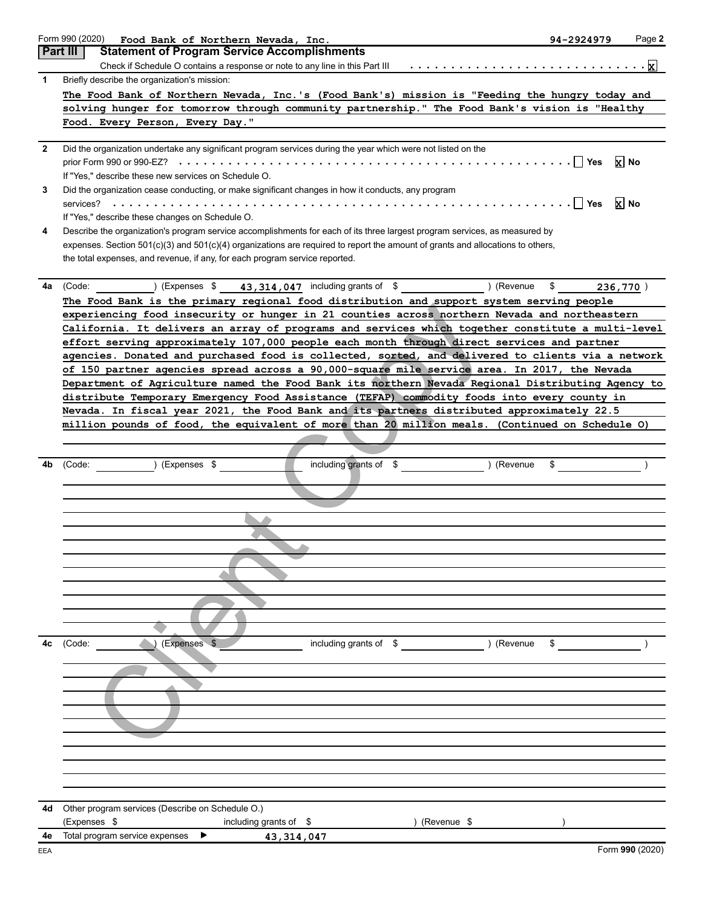|              | Form 990 (2020)<br>Food Bank of Northern Nevada, Inc.                                                                                                          | 94-2924979 | Page 2          |
|--------------|----------------------------------------------------------------------------------------------------------------------------------------------------------------|------------|-----------------|
|              | Part III<br><b>Statement of Program Service Accomplishments</b>                                                                                                |            |                 |
|              | Check if Schedule O contains a response or note to any line in this Part III $\cdots \cdots \cdots \cdots \cdots \cdots \cdots \cdots \cdots \cdot \mathbf{x}$ |            |                 |
| 1            | Briefly describe the organization's mission:                                                                                                                   |            |                 |
|              | The Food Bank of Northern Nevada, Inc.'s (Food Bank's) mission is "Feeding the hungry today and                                                                |            |                 |
|              | solving hunger for tomorrow through community partnership." The Food Bank's vision is "Healthy                                                                 |            |                 |
|              | Food. Every Person, Every Day."                                                                                                                                |            |                 |
|              |                                                                                                                                                                |            |                 |
| $\mathbf{2}$ | Did the organization undertake any significant program services during the year which were not listed on the                                                   |            |                 |
|              |                                                                                                                                                                | ∣∣Yes      | <b>x</b> No     |
|              | If "Yes." describe these new services on Schedule O.                                                                                                           |            |                 |
| 3            | Did the organization cease conducting, or make significant changes in how it conducts, any program                                                             |            |                 |
|              |                                                                                                                                                                | ∣ ∣ Yes    | <b>x</b> No     |
|              |                                                                                                                                                                |            |                 |
|              | If "Yes," describe these changes on Schedule O.                                                                                                                |            |                 |
| 4            | Describe the organization's program service accomplishments for each of its three largest program services, as measured by                                     |            |                 |
|              | expenses. Section $501(c)(3)$ and $501(c)(4)$ organizations are required to report the amount of grants and allocations to others,                             |            |                 |
|              | the total expenses, and revenue, if any, for each program service reported.                                                                                    |            |                 |
|              |                                                                                                                                                                |            |                 |
| 4a           | ) (Expenses $$$ 43, 314, 047 including grants of $$$ ) (Revenue<br>(Code:                                                                                      | \$         | 236,770)        |
|              | The Food Bank is the primary regional food distribution and support system serving people                                                                      |            |                 |
|              | experiencing food insecurity or hunger in 21 counties across northern Nevada and northeastern                                                                  |            |                 |
|              | California. It delivers an array of programs and services which together constitute a multi-level                                                              |            |                 |
|              | effort serving approximately 107,000 people each month through direct services and partner                                                                     |            |                 |
|              | agencies. Donated and purchased food is collected, sorted, and delivered to clients via a network                                                              |            |                 |
|              | of 150 partner agencies spread across a 90,000-square mile service area. In 2017, the Nevada                                                                   |            |                 |
|              | Department of Agriculture named the Food Bank its northern Nevada Regional Distributing Agency to                                                              |            |                 |
|              | distribute Temporary Emergency Food Assistance (TEFAP) commodity foods into every county in                                                                    |            |                 |
|              | Nevada. In fiscal year 2021, the Food Bank and its partners distributed approximately 22.5                                                                     |            |                 |
|              | million pounds of food, the equivalent of more than 20 million meals. (Continued on Schedule O)                                                                |            |                 |
|              |                                                                                                                                                                |            |                 |
|              |                                                                                                                                                                |            |                 |
| 4b           | $(Ex^{2})$ (Expenses $$$<br>including grants of $$$<br>) (Revenue<br>(Code:                                                                                    | \$         |                 |
|              |                                                                                                                                                                |            |                 |
|              |                                                                                                                                                                |            |                 |
|              |                                                                                                                                                                |            |                 |
|              |                                                                                                                                                                |            |                 |
|              |                                                                                                                                                                |            |                 |
|              |                                                                                                                                                                |            |                 |
|              |                                                                                                                                                                |            |                 |
|              |                                                                                                                                                                |            |                 |
|              |                                                                                                                                                                |            |                 |
|              |                                                                                                                                                                |            |                 |
|              |                                                                                                                                                                |            |                 |
|              |                                                                                                                                                                |            |                 |
| 4с           | (Expenses \$<br>including grants of \$ (Revenue)<br>(Code:                                                                                                     | \$         |                 |
|              |                                                                                                                                                                |            |                 |
|              |                                                                                                                                                                |            |                 |
|              |                                                                                                                                                                |            |                 |
|              |                                                                                                                                                                |            |                 |
|              |                                                                                                                                                                |            |                 |
|              |                                                                                                                                                                |            |                 |
|              |                                                                                                                                                                |            |                 |
|              |                                                                                                                                                                |            |                 |
|              |                                                                                                                                                                |            |                 |
|              |                                                                                                                                                                |            |                 |
|              |                                                                                                                                                                |            |                 |
|              |                                                                                                                                                                |            |                 |
| 4d           | Other program services (Describe on Schedule O.)                                                                                                               |            |                 |
|              | (Expenses \$<br>) (Revenue \$<br>including grants of $$$                                                                                                       |            |                 |
| 4e           | Total program service expenses<br>43, 314, 047<br>▸                                                                                                            |            |                 |
| EEA          |                                                                                                                                                                |            | Form 990 (2020) |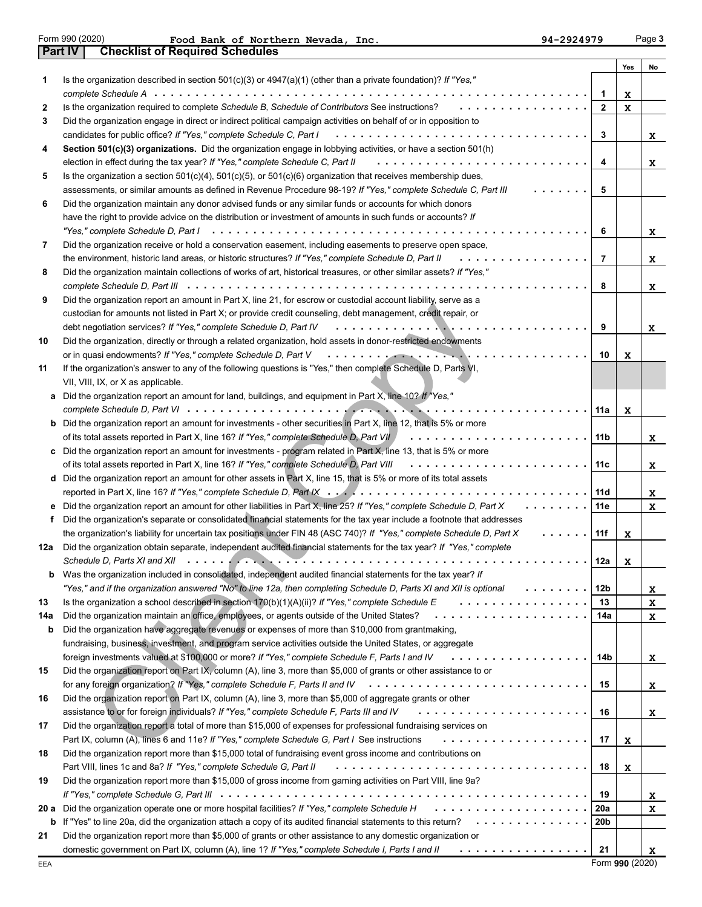| Form 990 (2020 |  |
|----------------|--|
| ' Part IV      |  |

| Form 990 (2020) | Food Bank of Northern Nevada,<br>Inc.  | 94-2924979 | Page 3 |
|-----------------|----------------------------------------|------------|--------|
| <b>Part IV</b>  | <b>Checklist of Required Schedules</b> |            |        |

|      |                                                                                                                                                                                                                                 |              | Yes | No     |
|------|---------------------------------------------------------------------------------------------------------------------------------------------------------------------------------------------------------------------------------|--------------|-----|--------|
| 1    | Is the organization described in section $501(c)(3)$ or $4947(a)(1)$ (other than a private foundation)? If "Yes,"                                                                                                               |              |     |        |
|      |                                                                                                                                                                                                                                 | 1            | x   |        |
| 2    | Is the organization required to complete Schedule B, Schedule of Contributors See instructions?                                                                                                                                 | $\mathbf{2}$ | x   |        |
| 3    | Did the organization engage in direct or indirect political campaign activities on behalf of or in opposition to                                                                                                                |              |     |        |
|      | candidates for public office? If "Yes," complete Schedule C, Part I                                                                                                                                                             | 3            |     | x      |
| 4    | Section 501(c)(3) organizations. Did the organization engage in lobbying activities, or have a section 501(h)                                                                                                                   |              |     |        |
|      | election in effect during the tax year? If "Yes," complete Schedule C, Part II<br>.                                                                                                                                             | 4            |     | x      |
| 5    | Is the organization a section $501(c)(4)$ , $501(c)(5)$ , or $501(c)(6)$ organization that receives membership dues,                                                                                                            |              |     |        |
|      | assessments, or similar amounts as defined in Revenue Procedure 98-19? If "Yes," complete Schedule C, Part III                                                                                                                  | 5            |     |        |
| 6    | Did the organization maintain any donor advised funds or any similar funds or accounts for which donors                                                                                                                         |              |     |        |
|      | have the right to provide advice on the distribution or investment of amounts in such funds or accounts? If                                                                                                                     |              |     |        |
|      |                                                                                                                                                                                                                                 | 6            |     | x      |
| 7    | Did the organization receive or hold a conservation easement, including easements to preserve open space,                                                                                                                       |              |     |        |
|      | the environment, historic land areas, or historic structures? If "Yes," complete Schedule D, Part II                                                                                                                            | 7            |     | x      |
| 8    | Did the organization maintain collections of works of art, historical treasures, or other similar assets? If "Yes,"                                                                                                             |              |     |        |
|      |                                                                                                                                                                                                                                 | 8            |     | x      |
| 9    | Did the organization report an amount in Part X, line 21, for escrow or custodial account liability, serve as a<br>custodian for amounts not listed in Part X; or provide credit counseling, debt management, credit repair, or |              |     |        |
|      | debt negotiation services? If "Yes," complete Schedule D, Part IV $\cdots \cdots \cdots \cdots$                                                                                                                                 | 9            |     |        |
| 10   | Did the organization, directly or through a related organization, hold assets in donor-restricted endowments                                                                                                                    |              |     | x      |
|      | or in quasi endowments? If "Yes," complete Schedule D, Part V<br>the contract of the company of the contract of the con-                                                                                                        | 10           | x   |        |
| 11   | If the organization's answer to any of the following questions is "Yes," then complete Schedule D, Parts VI,                                                                                                                    |              |     |        |
|      | VII, VIII, IX, or X as applicable.                                                                                                                                                                                              |              |     |        |
|      | a Did the organization report an amount for land, buildings, and equipment in Part X, line 10? If "Yes,"                                                                                                                        |              |     |        |
|      |                                                                                                                                                                                                                                 | 11a          | x   |        |
|      | <b>b</b> Did the organization report an amount for investments - other securities in Part X, line 12, that is 5% or more                                                                                                        |              |     |        |
|      | of its total assets reported in Part X, line 16? If "Yes," complete Schedule D, Part VII<br>.                                                                                                                                   | 11 b         |     | x      |
| c    | Did the organization report an amount for investments - program related in Part X, line 13, that is 5% or more                                                                                                                  |              |     |        |
|      | of its total assets reported in Part X, line 16? If "Yes," complete Schedule D, Part VIII<br>.                                                                                                                                  | 11c          |     | x      |
|      | d Did the organization report an amount for other assets in Part X, line 15, that is 5% or more of its total assets                                                                                                             |              |     |        |
|      |                                                                                                                                                                                                                                 | 11d          |     | x      |
|      | Did the organization report an amount for other liabilities in Part X, line 25? If "Yes," complete Schedule D, Part X                                                                                                           | 11e          |     | x      |
|      | Did the organization's separate or consolidated financial statements for the tax year include a footnote that addresses                                                                                                         |              |     |        |
|      | the organization's liability for uncertain tax positions under FIN 48 (ASC 740)? If "Yes," complete Schedule D, Part X                                                                                                          | 11f          | x   |        |
| 12a  | Did the organization obtain separate, independent audited financial statements for the tax year? If "Yes," complete                                                                                                             |              |     |        |
|      | Schedule D. Parts XI and XII $\cdots$ . $\cdots$ . $\cdots$ . $\cdots$<br>Was the organization included in consolidated, independent audited financial statements for the tax year? If                                          | 12a          | x   |        |
|      | "Yes," and if the organization answered "No" to line 12a, then completing Schedule D, Parts XI and XII is optional                                                                                                              | 12b          |     |        |
| 13   | Is the organization a school described in section $170(b)(1)(A)(ii)?$ If "Yes," complete Schedule E<br>.                                                                                                                        | 13           |     | x<br>x |
| 14a  | Did the organization maintain an office, employees, or agents outside of the United States?<br>.                                                                                                                                | 14a          |     | x      |
| b    | Did the organization have aggregate revenues or expenses of more than \$10,000 from grantmaking,                                                                                                                                |              |     |        |
|      | fundraising, business, investment, and program service activities outside the United States, or aggregate                                                                                                                       |              |     |        |
|      | foreign investments valued at \$100,000 or more? If "Yes," complete Schedule F, Parts I and IV<br>.                                                                                                                             | 14b          |     | x      |
| 15   | Did the organization report on Part IX, column (A), line 3, more than \$5,000 of grants or other assistance to or                                                                                                               |              |     |        |
|      |                                                                                                                                                                                                                                 | 15           |     | x      |
| 16   | Did the organization report on Part IX, column (A), line 3, more than \$5,000 of aggregate grants or other                                                                                                                      |              |     |        |
|      | assistance to or for foreign individuals? If "Yes," complete Schedule F, Parts III and IV                                                                                                                                       | 16           |     | x      |
| 17   | Did the organization report a total of more than \$15,000 of expenses for professional fundraising services on                                                                                                                  |              |     |        |
|      | Part IX, column (A), lines 6 and 11e? If "Yes," complete Schedule G, Part I See instructions<br>.                                                                                                                               | 17           | x   |        |
| 18   | Did the organization report more than \$15,000 total of fundraising event gross income and contributions on                                                                                                                     |              |     |        |
|      | Part VIII, lines 1c and 8a? If "Yes," complete Schedule G, Part II                                                                                                                                                              | 18           | x   |        |
| 19   | Did the organization report more than \$15,000 of gross income from gaming activities on Part VIII, line 9a?                                                                                                                    |              |     |        |
| 20 a | Did the organization operate one or more hospital facilities? If "Yes," complete Schedule H                                                                                                                                     | 19<br>20a    |     | x      |
| b    |                                                                                                                                                                                                                                 | 20b          |     | x      |
| 21   | Did the organization report more than \$5,000 of grants or other assistance to any domestic organization or                                                                                                                     |              |     |        |
|      | domestic government on Part IX, column (A), line 1? If "Yes," complete Schedule I, Parts I and II<br>.                                                                                                                          | 21           |     | x      |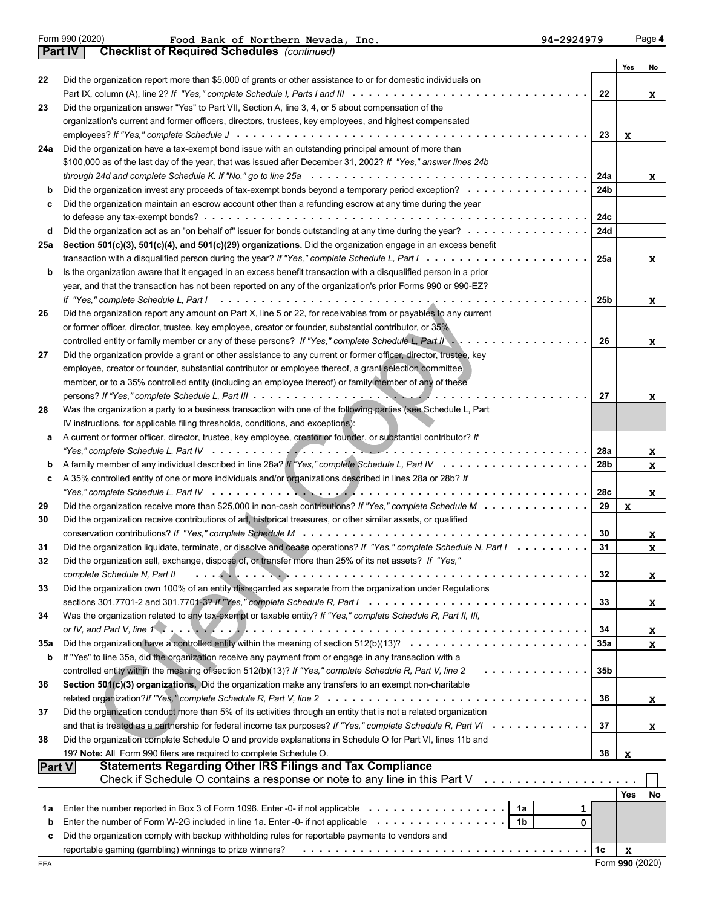|  | Form 990 (2020) |
|--|-----------------|
|  |                 |

|               |                                                                                                                                                                                                     |                 | Yes | No                |
|---------------|-----------------------------------------------------------------------------------------------------------------------------------------------------------------------------------------------------|-----------------|-----|-------------------|
| 22            | Did the organization report more than \$5,000 of grants or other assistance to or for domestic individuals on                                                                                       |                 |     |                   |
|               |                                                                                                                                                                                                     | 22              |     | x                 |
| 23            | Did the organization answer "Yes" to Part VII, Section A, line 3, 4, or 5 about compensation of the                                                                                                 |                 |     |                   |
|               | organization's current and former officers, directors, trustees, key employees, and highest compensated                                                                                             |                 |     |                   |
|               |                                                                                                                                                                                                     | 23              | x   |                   |
| 24a           | Did the organization have a tax-exempt bond issue with an outstanding principal amount of more than                                                                                                 |                 |     |                   |
|               | \$100,000 as of the last day of the year, that was issued after December 31, 2002? If "Yes," answer lines 24b                                                                                       |                 |     |                   |
|               |                                                                                                                                                                                                     | 24a             |     | x                 |
| b             | Did the organization invest any proceeds of tax-exempt bonds beyond a temporary period exception?                                                                                                   | 24b             |     |                   |
| c             | Did the organization maintain an escrow account other than a refunding escrow at any time during the year                                                                                           |                 |     |                   |
|               |                                                                                                                                                                                                     | 24c             |     |                   |
| d             | Did the organization act as an "on behalf of" issuer for bonds outstanding at any time during the year?                                                                                             | 24d             |     |                   |
| 25a           | Section 501(c)(3), 501(c)(4), and 501(c)(29) organizations. Did the organization engage in an excess benefit                                                                                        |                 |     |                   |
|               |                                                                                                                                                                                                     | 25a             |     | x                 |
| b             | Is the organization aware that it engaged in an excess benefit transaction with a disqualified person in a prior                                                                                    |                 |     |                   |
|               | year, and that the transaction has not been reported on any of the organization's prior Forms 990 or 990-EZ?                                                                                        |                 |     |                   |
|               |                                                                                                                                                                                                     | 25 <sub>b</sub> |     | x                 |
| 26            | Did the organization report any amount on Part X, line 5 or 22, for receivables from or payables to any current                                                                                     |                 |     |                   |
|               | or former officer, director, trustee, key employee, creator or founder, substantial contributor, or 35%                                                                                             |                 |     |                   |
|               | controlled entity or family member or any of these persons? If "Yes," complete Schedule L, Part II $\ldots \ldots \ldots$                                                                           | 26              |     | x                 |
| 27            | Did the organization provide a grant or other assistance to any current or former officer, director, trustee, key                                                                                   |                 |     |                   |
|               | employee, creator or founder, substantial contributor or employee thereof, a grant selection committee                                                                                              |                 |     |                   |
|               | member, or to a 35% controlled entity (including an employee thereof) or family member of any of these                                                                                              |                 |     |                   |
|               |                                                                                                                                                                                                     | 27              |     | x                 |
| 28            | Was the organization a party to a business transaction with one of the following parties (see Schedule L, Part                                                                                      |                 |     |                   |
|               | IV instructions, for applicable filing thresholds, conditions, and exceptions):<br>A current or former officer, director, trustee, key employee, creator or founder, or substantial contributor? If |                 |     |                   |
| а             |                                                                                                                                                                                                     | <b>28a</b>      |     |                   |
| b             | A family member of any individual described in line 28a? If "Yes," complete Schedule L, Part IV                                                                                                     | 28b             |     | x<br>$\mathbf{x}$ |
| c             | A 35% controlled entity of one or more individuals and/or organizations described in lines 28a or 28b? If                                                                                           |                 |     |                   |
|               |                                                                                                                                                                                                     | 28c             |     | x                 |
| 29            | Did the organization receive more than \$25,000 in non-cash contributions? If "Yes," complete Schedule M                                                                                            | 29              | x   |                   |
| 30            | Did the organization receive contributions of art, historical treasures, or other similar assets, or qualified                                                                                      |                 |     |                   |
|               |                                                                                                                                                                                                     | 30              |     | x                 |
| 31            | Did the organization liquidate, terminate, or dissolve and cease operations? If "Yes," complete Schedule N, Part I                                                                                  | 31              |     | $\mathbf{x}$      |
| 32            | Did the organization sell, exchange, dispose of, or transfer more than 25% of its net assets? If "Yes,"                                                                                             |                 |     |                   |
|               |                                                                                                                                                                                                     | 32              |     | X                 |
| 33            | Did the organization own 100% of an entity disregarded as separate from the organization under Regulations                                                                                          |                 |     |                   |
|               |                                                                                                                                                                                                     | 33              |     | x                 |
| 34            | Was the organization related to any tax-exempt or taxable entity? If "Yes," complete Schedule R, Part II, III,                                                                                      |                 |     |                   |
|               |                                                                                                                                                                                                     | 34              |     | x                 |
| 35a           |                                                                                                                                                                                                     | 35a             |     | $\mathbf{x}$      |
| b             | If "Yes" to line 35a, did the organization receive any payment from or engage in any transaction with a                                                                                             |                 |     |                   |
|               | controlled entity within the meaning of section 512(b)(13)? If "Yes," complete Schedule R, Part V, line 2<br>.                                                                                      | 35 <sub>b</sub> |     |                   |
| 36            | Section 501(c)(3) organizations. Did the organization make any transfers to an exempt non-charitable                                                                                                |                 |     |                   |
|               |                                                                                                                                                                                                     | 36              |     | x                 |
| 37            | Did the organization conduct more than 5% of its activities through an entity that is not a related organization                                                                                    |                 |     |                   |
|               | and that is treated as a partnership for federal income tax purposes? If "Yes," complete Schedule R, Part VI $\cdots \cdots \cdots$                                                                 | 37              |     | x                 |
| 38            | Did the organization complete Schedule O and provide explanations in Schedule O for Part VI, lines 11b and                                                                                          |                 |     |                   |
|               | 19? Note: All Form 990 filers are required to complete Schedule O.                                                                                                                                  | 38              | x   |                   |
| <b>Part V</b> | <b>Statements Regarding Other IRS Filings and Tax Compliance</b>                                                                                                                                    |                 |     |                   |
|               | Check if Schedule O contains a response or note to any line in this Part $V_1, \ldots, \ldots, \ldots, \ldots$                                                                                      |                 |     |                   |
|               |                                                                                                                                                                                                     |                 | Yes | <b>No</b>         |
| 1a            | 1a<br>1<br>1b                                                                                                                                                                                       |                 |     |                   |
| b             | Enter the number of Form W-2G included in line 1a. Enter -0- if not applicable<br>0<br>Did the organization comply with backup withholding rules for reportable payments to vendors and             |                 |     |                   |
| с             | reportable gaming (gambling) winnings to prize winners? Fig. 2. All Alles Concernsive Concernsive Concernsive C                                                                                     | 1c              | x   |                   |
|               |                                                                                                                                                                                                     |                 |     |                   |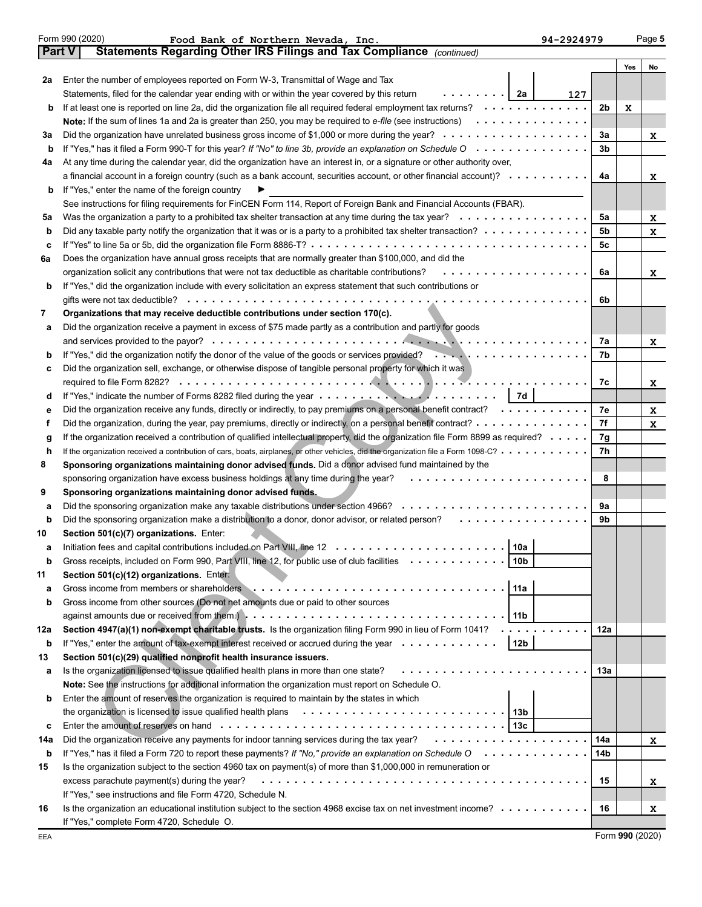|               | Form 990 (2020)<br>94-2924979<br>Food Bank of Northern Nevada, Inc.                                                                                                                                                                   |     |     | Page 5 |
|---------------|---------------------------------------------------------------------------------------------------------------------------------------------------------------------------------------------------------------------------------------|-----|-----|--------|
| <b>Part V</b> | Statements Regarding Other IRS Filings and Tax Compliance (continued)                                                                                                                                                                 |     |     |        |
|               |                                                                                                                                                                                                                                       |     | Yes | No     |
| 2a            | Enter the number of employees reported on Form W-3, Transmittal of Wage and Tax                                                                                                                                                       |     |     |        |
|               | $\cdots \cdots \cdots$   2a<br>Statements, filed for the calendar year ending with or within the year covered by this return<br>127                                                                                                   |     |     |        |
| b             | If at least one is reported on line 2a, did the organization file all required federal employment tax returns?                                                                                                                        | 2b  | x   |        |
|               | Note: If the sum of lines 1a and 2a is greater than 250, you may be required to e-file (see instructions)                                                                                                                             |     |     |        |
| 3a            |                                                                                                                                                                                                                                       | За  |     | x      |
| b             | If "Yes," has it filed a Form 990-T for this year? If "No" to line 3b, provide an explanation on Schedule O                                                                                                                           | 3b  |     |        |
| 4a            | At any time during the calendar year, did the organization have an interest in, or a signature or other authority over,                                                                                                               |     |     |        |
|               | a financial account in a foreign country (such as a bank account, securities account, or other financial account)? $\cdots \cdots \cdots$                                                                                             | 4a  |     | x      |
| b             | If "Yes," enter the name of the foreign country                                                                                                                                                                                       |     |     |        |
|               | See instructions for filing requirements for FinCEN Form 114, Report of Foreign Bank and Financial Accounts (FBAR).                                                                                                                   |     |     |        |
| 5a            |                                                                                                                                                                                                                                       | 5a  |     | x      |
| b             | Did any taxable party notify the organization that it was or is a party to a prohibited tax shelter transaction? $\cdots \cdots \cdots \cdots$                                                                                        | 5b  |     | x      |
| c             |                                                                                                                                                                                                                                       | 5c  |     |        |
| 6а            | Does the organization have annual gross receipts that are normally greater than \$100,000, and did the                                                                                                                                |     |     |        |
|               | .<br>organization solicit any contributions that were not tax deductible as charitable contributions?                                                                                                                                 | 6a  |     | x      |
| b             | If "Yes," did the organization include with every solicitation an express statement that such contributions or                                                                                                                        |     |     |        |
|               |                                                                                                                                                                                                                                       | 6b  |     |        |
| 7             | Organizations that may receive deductible contributions under section 170(c).                                                                                                                                                         |     |     |        |
| а             | Did the organization receive a payment in excess of \$75 made partly as a contribution and partly for goods                                                                                                                           |     |     |        |
|               |                                                                                                                                                                                                                                       | 7a  |     | x      |
| b             |                                                                                                                                                                                                                                       | 7b  |     |        |
| c             | Did the organization sell, exchange, or otherwise dispose of tangible personal property for which it was                                                                                                                              |     |     |        |
|               |                                                                                                                                                                                                                                       | 7с  |     | x      |
| d             | 7d                                                                                                                                                                                                                                    |     |     |        |
| е             | Did the organization receive any funds, directly or indirectly, to pay premiums on a personal benefit contract? $\cdots \cdots \cdots$                                                                                                | 7e  |     | x      |
| f             |                                                                                                                                                                                                                                       | 7f  |     | x      |
| g             | If the organization received a contribution of qualified intellectual property, did the organization file Form 8899 as required?                                                                                                      | 7g  |     |        |
| h             | If the organization received a contribution of cars, boats, airplanes, or other vehicles, did the organization file a Form 1098-C?                                                                                                    | 7h  |     |        |
| 8             | Sponsoring organizations maintaining donor advised funds. Did a donor advised fund maintained by the                                                                                                                                  |     |     |        |
|               | sponsoring organization have excess business holdings at any time during the year?                                                                                                                                                    | 8   |     |        |
| 9             | Sponsoring organizations maintaining donor advised funds.                                                                                                                                                                             |     |     |        |
| а             |                                                                                                                                                                                                                                       | 9a  |     |        |
| b             | Did the sponsoring organization make a distribution to a donor, donor advisor, or related person?<br>.                                                                                                                                | 9b  |     |        |
| 10            | Section 501(c)(7) organizations. Enter:                                                                                                                                                                                               |     |     |        |
|               |                                                                                                                                                                                                                                       |     |     |        |
| b             | Gross receipts, included on Form 990, Part VIII, line 12, for public use of club facilities $\cdots \cdots \cdots$<br>10b                                                                                                             |     |     |        |
| 11            | Section 501(c)(12) organizations. Enter:                                                                                                                                                                                              |     |     |        |
|               | Gross income from members or shareholders enters in the set of the set of the set of the set of the set of the set of the set of the set of the set of the set of the set of the set of the set of the set of the set of the s<br>11a |     |     |        |
| а             | Gross income from other sources (Do not net amounts due or paid to other sources                                                                                                                                                      |     |     |        |
| b             | against amounts due or received from them.) $\ldots \ldots \ldots \ldots \ldots \ldots \ldots \ldots \ldots \ldots \ldots$                                                                                                            |     |     |        |
| 12a           | Section 4947(a)(1) non-exempt charitable trusts. Is the organization filing Form 990 in lieu of Form 1041?                                                                                                                            | 12a |     |        |
| b             | If "Yes," enter the amount of tax-exempt interest received or accrued during the year $\dots \dots \dots \dots$<br>12b                                                                                                                |     |     |        |
|               | Section 501(c)(29) qualified nonprofit health insurance issuers.                                                                                                                                                                      |     |     |        |
| 13            | .                                                                                                                                                                                                                                     | 13а |     |        |
| а             | Is the organization licensed to issue qualified health plans in more than one state?<br>Note: See the instructions for additional information the organization must report on Schedule O.                                             |     |     |        |
|               |                                                                                                                                                                                                                                       |     |     |        |
| b             | Enter the amount of reserves the organization is required to maintain by the states in which                                                                                                                                          |     |     |        |
|               | the organization is licensed to issue qualified health plans enter that is a set of the organization is licensed to issue qualified health plans                                                                                      |     |     |        |
| c             |                                                                                                                                                                                                                                       |     |     |        |
| 14a           | Did the organization receive any payments for indoor tanning services during the tax year?                                                                                                                                            | 14a |     | x      |
| $\mathbf b$   | If "Yes," has it filed a Form 720 to report these payments? If "No," provide an explanation on Schedule O                                                                                                                             | 14b |     |        |
| 15            | Is the organization subject to the section 4960 tax on payment(s) of more than \$1,000,000 in remuneration or                                                                                                                         |     |     |        |
|               | excess parachute payment(s) during the year?                                                                                                                                                                                          | 15  |     | x      |
|               | If "Yes," see instructions and file Form 4720, Schedule N.                                                                                                                                                                            |     |     |        |
| 16            | Is the organization an educational institution subject to the section 4968 excise tax on net investment income?                                                                                                                       | 16  |     | x      |
|               | If "Yes," complete Form 4720, Schedule O.                                                                                                                                                                                             |     |     |        |

|  |  | Form 990 (2020) |
|--|--|-----------------|
|--|--|-----------------|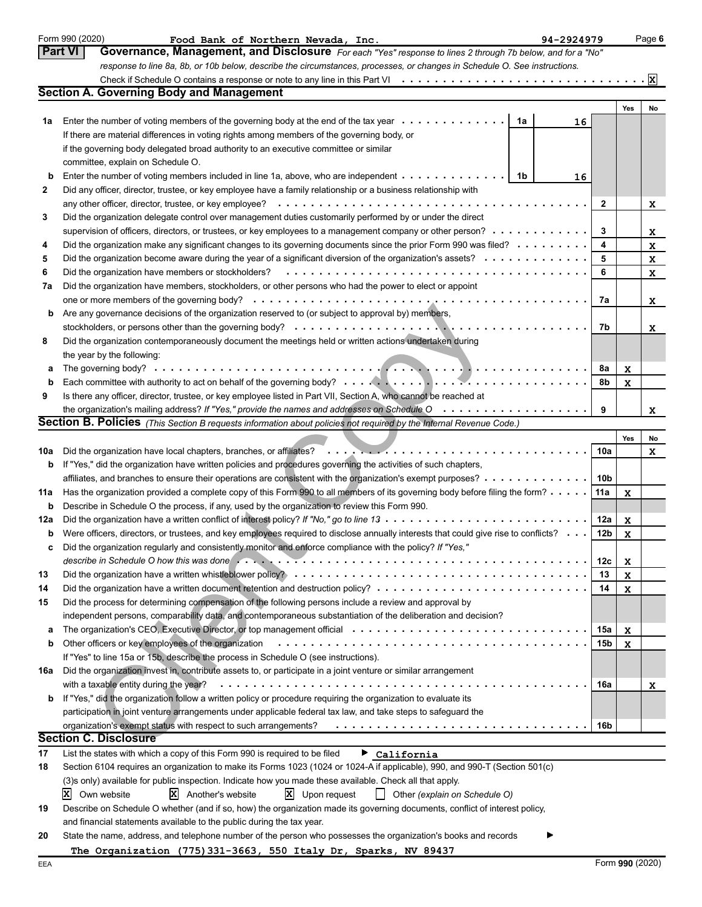|     | Form 990 (2020)<br>94-2924979<br>Food Bank of Northern Nevada, Inc.                                                                                                                                                            |                 |     | Page 6 |
|-----|--------------------------------------------------------------------------------------------------------------------------------------------------------------------------------------------------------------------------------|-----------------|-----|--------|
|     | <b>Part VI</b><br>Governance, Management, and Disclosure For each "Yes" response to lines 2 through 7b below, and for a "No"                                                                                                   |                 |     |        |
|     | response to line 8a, 8b, or 10b below, describe the circumstances, processes, or changes in Schedule O. See instructions.                                                                                                      |                 |     |        |
|     |                                                                                                                                                                                                                                |                 |     |        |
|     | <b>Section A. Governing Body and Management</b>                                                                                                                                                                                |                 |     |        |
|     |                                                                                                                                                                                                                                |                 | Yes | No     |
| 1а  | Enter the number of voting members of the governing body at the end of the tax year $\dots \dots \dots$<br>1a<br>16                                                                                                            |                 |     |        |
|     | If there are material differences in voting rights among members of the governing body, or                                                                                                                                     |                 |     |        |
|     | if the governing body delegated broad authority to an executive committee or similar                                                                                                                                           |                 |     |        |
|     | committee, explain on Schedule O.                                                                                                                                                                                              |                 |     |        |
| b   | 1b<br>Enter the number of voting members included in line 1a, above, who are independent $\dots \dots \dots$<br>16                                                                                                             |                 |     |        |
| 2   | Did any officer, director, trustee, or key employee have a family relationship or a business relationship with                                                                                                                 |                 |     |        |
|     | any other officer, director, trustee, or key employee? $\cdots \cdots \cdots \cdots \cdots \cdots$                                                                                                                             | 2               |     | x      |
| 3   | Did the organization delegate control over management duties customarily performed by or under the direct                                                                                                                      |                 |     |        |
|     | supervision of officers, directors, or trustees, or key employees to a management company or other person?                                                                                                                     | 3               |     | x      |
| 4   | Did the organization make any significant changes to its governing documents since the prior Form 990 was filed?                                                                                                               | 4               |     | x      |
| 5   | Did the organization become aware during the year of a significant diversion of the organization's assets?                                                                                                                     | 5               |     | x      |
| 6   | Did the organization have members or stockholders?<br>.                                                                                                                                                                        | 6               |     | x      |
| 7а  | Did the organization have members, stockholders, or other persons who had the power to elect or appoint                                                                                                                        |                 |     |        |
|     | one or more members of the governing body? $\cdots$ , , , , ,                                                                                                                                                                  | 7a              |     | x      |
| b   | Are any governance decisions of the organization reserved to (or subject to approval by) members,                                                                                                                              |                 |     |        |
|     | stockholders, or persons other than the governing body? $\cdots$ , , , , ,                                                                                                                                                     | 7b              |     | x      |
| 8   | Did the organization contemporaneously document the meetings held or written actions undertaken during                                                                                                                         |                 |     |        |
|     | the year by the following:                                                                                                                                                                                                     |                 |     |        |
| а   | The governing body? $\cdots$ ,                                                                                                                                                                                                 | 8a              | x   |        |
| b   |                                                                                                                                                                                                                                | 8b              | x   |        |
| 9   | Is there any officer, director, trustee, or key employee listed in Part VII, Section A, who cannot be reached at                                                                                                               |                 |     |        |
|     |                                                                                                                                                                                                                                | 9               |     | x      |
|     | Section B. Policies (This Section B requests information about policies not required by the Internal Revenue Code.)                                                                                                            |                 |     |        |
|     |                                                                                                                                                                                                                                |                 | Yes | No     |
| 10a | Did the organization have local chapters, branches, or affiliates? $\cdots$                                                                                                                                                    | 10a             |     | x      |
| b   | If "Yes," did the organization have written policies and procedures governing the activities of such chapters,                                                                                                                 |                 |     |        |
|     | affiliates, and branches to ensure their operations are consistent with the organization's exempt purposes? $\dots \dots \dots \dots$                                                                                          | 10b             |     |        |
| 11a | Has the organization provided a complete copy of this Form 990 to all members of its governing body before filing the form?                                                                                                    | 11a             | x   |        |
| b   | Describe in Schedule O the process, if any, used by the organization to review this Form 990.                                                                                                                                  |                 |     |        |
| 12a | Did the organization have a written conflict of interest policy? If "No," go to line $13 \cdot \cdot \cdot \cdot$ .                                                                                                            | 12a             | x   |        |
| b   | Were officers, directors, or trustees, and key employees required to disclose annually interests that could give rise to conflicts?                                                                                            | 12 <sub>b</sub> | x   |        |
| c   | Did the organization regularly and consistently monitor and enforce compliance with the policy? If "Yes,"                                                                                                                      |                 |     |        |
|     | describe in Schedule O how this was done entering to serve the contract of the server of the server of the server of the server of the server of the server of the server of the server of the server of the server of the ser | 12с             | x   |        |
| 13  |                                                                                                                                                                                                                                | 13              | x   |        |
| 14  |                                                                                                                                                                                                                                | 14              | x   |        |
| 15  | Did the process for determining compensation of the following persons include a review and approval by                                                                                                                         |                 |     |        |
|     | independent persons, comparability data, and contemporaneous substantiation of the deliberation and decision?                                                                                                                  |                 |     |        |
| a   |                                                                                                                                                                                                                                | 15a             | x   |        |
| b   | Other officers or key employees of the organization                                                                                                                                                                            | 15b             | x   |        |
|     | If "Yes" to line 15a or 15b, describe the process in Schedule O (see instructions).                                                                                                                                            |                 |     |        |
| 16a | Did the organization invest in, contribute assets to, or participate in a joint venture or similar arrangement                                                                                                                 |                 |     |        |
|     | with a taxable entity during the year?                                                                                                                                                                                         | 16a             |     | x      |
| b   | If "Yes," did the organization follow a written policy or procedure requiring the organization to evaluate its                                                                                                                 |                 |     |        |
|     | participation in joint venture arrangements under applicable federal tax law, and take steps to safeguard the                                                                                                                  |                 |     |        |
|     | organization's exempt status with respect to such arrangements?                                                                                                                                                                | 16b             |     |        |
|     | <b>Section C. Disclosure</b>                                                                                                                                                                                                   |                 |     |        |
| 17  | List the states with which a copy of this Form 990 is required to be filed<br>$\blacktriangleright$ California                                                                                                                 |                 |     |        |
| 18  | Section 6104 requires an organization to make its Forms 1023 (1024 or 1024-A if applicable), 990, and 990-T (Section 501(c)                                                                                                    |                 |     |        |
|     | (3)s only) available for public inspection. Indicate how you made these available. Check all that apply.                                                                                                                       |                 |     |        |
|     | $\vert x \vert$ Upon request<br>x<br><b>x</b><br>Own website<br>Another's website<br>Other (explain on Schedule O)                                                                                                             |                 |     |        |
| 19  | Describe on Schedule O whether (and if so, how) the organization made its governing documents, conflict of interest policy,                                                                                                    |                 |     |        |
|     | and financial statements available to the public during the tax year.                                                                                                                                                          |                 |     |        |
| 20  | State the name, address, and telephone number of the person who possesses the organization's books and records                                                                                                                 |                 |     |        |
|     | The Organization (775) 331-3663, 550 Italy Dr, Sparks, NV 89437                                                                                                                                                                |                 |     |        |
|     |                                                                                                                                                                                                                                |                 |     |        |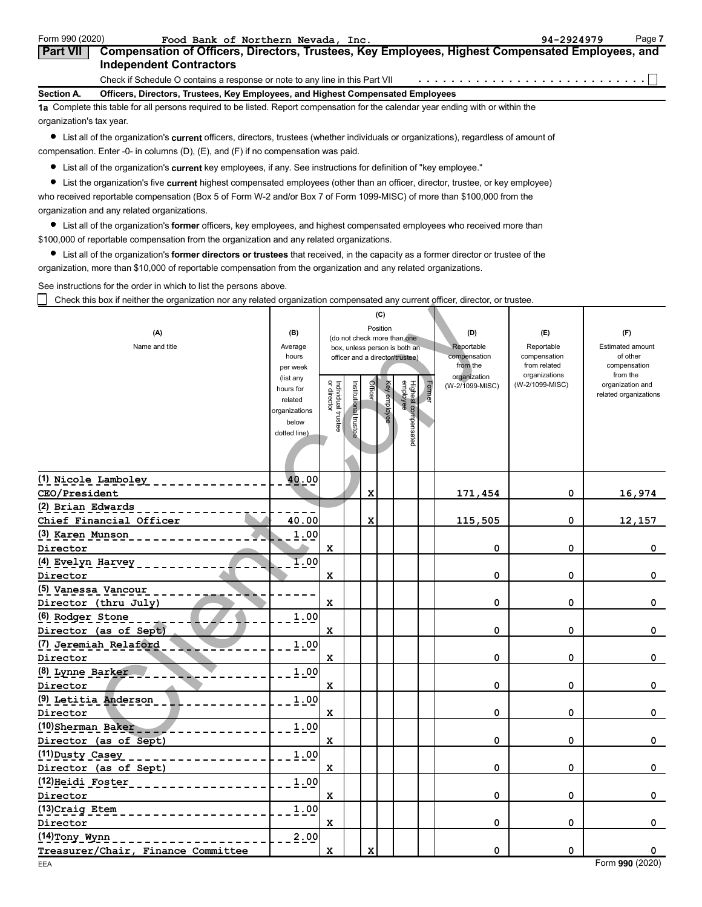| Form 990 (2020) | Food Bank of Northern Nevada, Inc.                                                                                                 | 94-2924979 | Page 7 |  |  |  |  |
|-----------------|------------------------------------------------------------------------------------------------------------------------------------|------------|--------|--|--|--|--|
| <b>Part VII</b> | Compensation of Officers, Directors, Trustees, Key Employees, Highest Compensated Employees, and<br><b>Independent Contractors</b> |            |        |  |  |  |  |
|                 | Check if Schedule O contains a response or note to any line in this Part VII                                                       |            |        |  |  |  |  |
| Section A.      | Officers, Directors, Trustees, Key Employees, and Highest Compensated Employees                                                    |            |        |  |  |  |  |
|                 | 1a Complete this table for all persons required to be listed. Report compensation for the calendar year ending with or within the  |            |        |  |  |  |  |
|                 | organization's tax year.                                                                                                           |            |        |  |  |  |  |

List all of the organization's **current** officers, directors, trustees (whether individuals or organizations), regardless of amount of compensation. Enter -0- in columns (D), (E), and (F) if no compensation was paid.

List all of the organization's **current** key employees, if any. See instructions for definition of "key employee."

List the organization's five **current** highest compensated employees (other than an officer, director, trustee, or key employee) who received reportable compensation (Box 5 of Form W-2 and/or Box 7 of Form 1099-MISC) of more than \$100,000 from the organization and any related organizations.

List all of the organization's **former** officers, key employees, and highest compensated employees who received more than

\$100,000 of reportable compensation from the organization and any related organizations.

List all of the organization's **former directors or trustees** that received, in the capacity as a former director or trustee of the organization, more than \$10,000 of reportable compensation from the organization and any related organizations.

See instructions for the order in which to list the persons above.

П. Check this box if neither the organization nor any related organization compensated any current officer, director, or trustee.

|                                    |                        |                                   |                                         |         | (C)          |                                 |        |                          |                               |                          |
|------------------------------------|------------------------|-----------------------------------|-----------------------------------------|---------|--------------|---------------------------------|--------|--------------------------|-------------------------------|--------------------------|
| (A)                                | (B)                    |                                   | Position<br>(do not check more than one |         |              |                                 |        | (D)                      | (E)                           | (F)                      |
| Name and title                     | Average                |                                   |                                         |         |              | box, unless person is both an   |        | Reportable               | Reportable                    | Estimated amount         |
|                                    | hours                  |                                   |                                         |         |              | officer and a director/trustee) |        | compensation             | compensation                  | of other                 |
|                                    | per week               |                                   |                                         |         |              |                                 |        | from the<br>organization | from related<br>organizations | compensation<br>from the |
|                                    | (list any<br>hours for |                                   |                                         | Officer |              |                                 |        | (W-2/1099-MISC)          | (W-2/1099-MISC)               | organization and         |
|                                    | related                |                                   | nstitutional                            |         |              |                                 | Former |                          |                               | related organizations    |
|                                    | organizations          |                                   |                                         |         | Key employee |                                 |        |                          |                               |                          |
|                                    | below                  | Individual trustee<br>or director | <b>trustee</b>                          |         |              |                                 |        |                          |                               |                          |
|                                    | dotted line)           |                                   |                                         |         |              | Highest compensated<br>employee |        |                          |                               |                          |
|                                    |                        |                                   |                                         |         |              |                                 |        |                          |                               |                          |
|                                    |                        |                                   |                                         |         |              |                                 |        |                          |                               |                          |
| (1) Nicole Lamboley                | 40.00                  |                                   |                                         |         |              |                                 |        |                          |                               |                          |
| CEO/President                      |                        |                                   |                                         | X       |              |                                 |        | 171,454                  | 0                             | 16,974                   |
| (2) Brian Edwards                  |                        |                                   |                                         |         |              |                                 |        |                          |                               |                          |
| Chief Financial Officer            | 40.00                  |                                   |                                         | X       |              |                                 |        | 115,505                  | 0                             | 12,157                   |
| (3) Karen Munson                   | 1.00                   |                                   |                                         |         |              |                                 |        |                          |                               |                          |
| Director                           |                        | x                                 |                                         |         |              |                                 |        | 0                        | 0                             | 0                        |
| (4) Evelyn Harvey                  | $\overline{1}$ .00     |                                   |                                         |         |              |                                 |        |                          |                               |                          |
| Director                           |                        | x                                 |                                         |         |              |                                 |        | 0                        | 0                             | 0                        |
| (5) Vanessa Vancour                |                        |                                   |                                         |         |              |                                 |        |                          |                               |                          |
| Director (thru July)               |                        | X                                 |                                         |         |              |                                 |        | 0                        | 0                             | 0                        |
| (6) Rodger Stone                   | 1.00                   |                                   |                                         |         |              |                                 |        |                          |                               |                          |
| Director (as of Sept)              |                        | X                                 |                                         |         |              |                                 |        | 0                        | 0                             | 0                        |
| (7) Jeremiah Relaford              | 1.00                   |                                   |                                         |         |              |                                 |        |                          |                               |                          |
| Director                           |                        | X                                 |                                         |         |              |                                 |        | 0                        | 0                             | 0                        |
| (8) Lynne Barker                   | 1.00                   |                                   |                                         |         |              |                                 |        |                          |                               |                          |
| Director                           |                        | X                                 |                                         |         |              |                                 |        | 0                        | 0                             | 0                        |
| (9) Letitia Anderson               | 1.00                   |                                   |                                         |         |              |                                 |        |                          |                               |                          |
| Director                           |                        | X                                 |                                         |         |              |                                 |        | 0                        | 0                             | 0                        |
| (10)Sherman Baker                  | 1.00                   |                                   |                                         |         |              |                                 |        |                          |                               |                          |
| Director (as of Sept)              |                        | x                                 |                                         |         |              |                                 |        | 0                        | 0                             | 0                        |
| (11) Dusty Casey                   | 1.00                   |                                   |                                         |         |              |                                 |        |                          |                               |                          |
| Director (as of Sept)              |                        | X                                 |                                         |         |              |                                 |        | 0                        | 0                             | 0                        |
| (12) Heidi Foster                  | 1.00                   |                                   |                                         |         |              |                                 |        |                          |                               |                          |
| Director                           |                        | X                                 |                                         |         |              |                                 |        | 0                        | 0                             | 0                        |
| (13)Craig Etem                     | 1.00                   |                                   |                                         |         |              |                                 |        |                          |                               |                          |
| Director                           |                        | X                                 |                                         |         |              |                                 |        | 0                        | 0                             | 0                        |
| (14) Tony Wynn                     | 2.00                   |                                   |                                         |         |              |                                 |        |                          |                               |                          |
| Treasurer/Chair, Finance Committee |                        | X                                 |                                         | X       |              |                                 |        | 0                        | 0                             | 0<br>$ -$<br>0.00000     |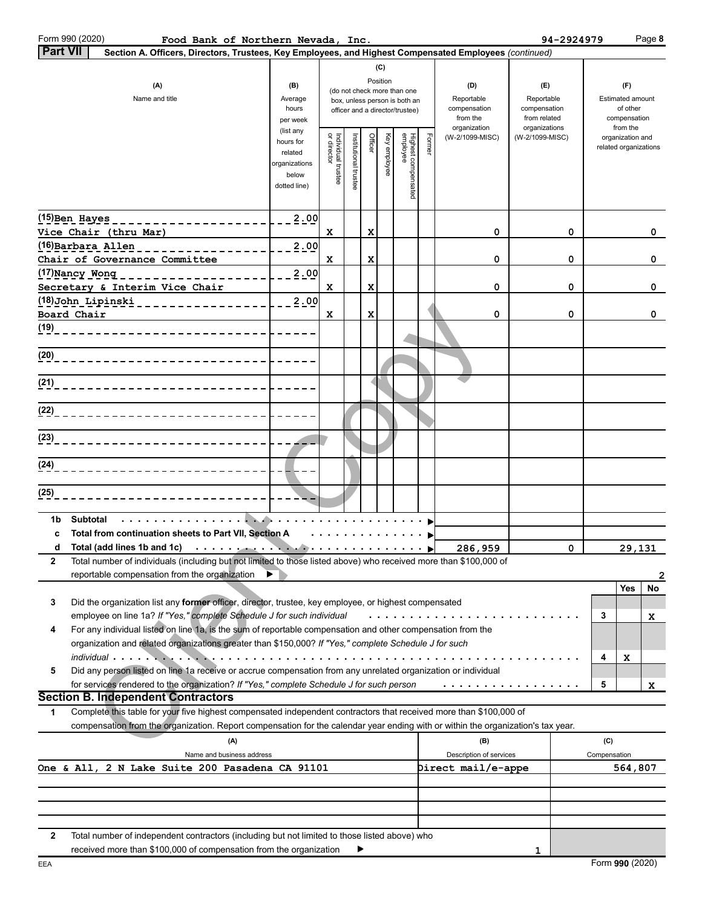## **Part VII** 1

| Part VII<br>Section A. Officers, Directors, Trustees, Key Employees, and Highest Compensated Employees (continued)               |                        |                                   |                       |         |              |                                 |        |                          |                              |              |                          |              |
|----------------------------------------------------------------------------------------------------------------------------------|------------------------|-----------------------------------|-----------------------|---------|--------------|---------------------------------|--------|--------------------------|------------------------------|--------------|--------------------------|--------------|
|                                                                                                                                  |                        |                                   |                       |         | (C)          |                                 |        |                          |                              |              |                          |              |
|                                                                                                                                  |                        |                                   |                       |         | Position     |                                 |        |                          |                              |              |                          |              |
| (A)                                                                                                                              | (B)                    |                                   |                       |         |              | (do not check more than one     |        | (D)                      | (E)                          |              | (F)                      |              |
| Name and title                                                                                                                   | Average                |                                   |                       |         |              | box, unless person is both an   |        | Reportable               | Reportable                   |              | <b>Estimated amount</b>  |              |
|                                                                                                                                  | hours                  |                                   |                       |         |              | officer and a director/trustee) |        | compensation<br>from the | compensation<br>from related |              | of other<br>compensation |              |
|                                                                                                                                  | per week               |                                   |                       |         |              |                                 |        | organization             | organizations                |              | from the                 |              |
|                                                                                                                                  | (list any<br>hours for |                                   |                       |         |              |                                 |        | (W-2/1099-MISC)          | (W-2/1099-MISC)              |              | organization and         |              |
|                                                                                                                                  | related                |                                   |                       | Officer | Key employee |                                 | Former |                          |                              |              | related organizations    |              |
|                                                                                                                                  | organizations          |                                   |                       |         |              |                                 |        |                          |                              |              |                          |              |
|                                                                                                                                  | below                  | Individual trustee<br>or director | Institutional trustee |         |              |                                 |        |                          |                              |              |                          |              |
|                                                                                                                                  | dotted line)           |                                   |                       |         |              | Highest compensated<br>employee |        |                          |                              |              |                          |              |
|                                                                                                                                  |                        |                                   |                       |         |              |                                 |        |                          |                              |              |                          |              |
|                                                                                                                                  |                        |                                   |                       |         |              |                                 |        |                          |                              |              |                          |              |
| $(15)$ Ben Hayes _ _ _ _ _ _ _ _ _ _ _ _ _ _ _ _ _ _                                                                             | 2.00                   |                                   |                       |         |              |                                 |        |                          |                              |              |                          |              |
| Vice Chair (thru Mar)                                                                                                            |                        | x                                 |                       | x       |              |                                 |        | 0                        | 0                            |              |                          | $\mathbf 0$  |
| (16) Barbara Allen<br>-------------                                                                                              | 2.00                   |                                   |                       |         |              |                                 |        |                          |                              |              |                          |              |
| Chair of Governance Committee                                                                                                    |                        | x                                 |                       | x       |              |                                 |        | 0                        | 0                            |              |                          | 0            |
| (17) Nancy Wong                                                                                                                  | 2.00                   |                                   |                       |         |              |                                 |        |                          |                              |              |                          |              |
| Secretary & Interim Vice Chair                                                                                                   |                        | x                                 |                       | x       |              |                                 |        | 0                        | 0                            |              |                          | 0            |
| (18) John Lipinski _________________                                                                                             | 2.00                   |                                   |                       |         |              |                                 |        |                          |                              |              |                          |              |
|                                                                                                                                  |                        |                                   |                       |         |              |                                 |        |                          |                              |              |                          |              |
| Board Chair                                                                                                                      |                        | X                                 |                       | X       |              |                                 |        | 0                        | 0                            |              |                          | $\mathbf{0}$ |
| (19)<br>_________________________                                                                                                |                        |                                   |                       |         |              |                                 |        |                          |                              |              |                          |              |
|                                                                                                                                  |                        |                                   |                       |         |              |                                 |        |                          |                              |              |                          |              |
|                                                                                                                                  |                        |                                   |                       |         |              |                                 |        |                          |                              |              |                          |              |
|                                                                                                                                  |                        |                                   |                       |         |              |                                 |        |                          |                              |              |                          |              |
| (21)<br>_________________________                                                                                                |                        |                                   |                       |         |              |                                 |        |                          |                              |              |                          |              |
|                                                                                                                                  |                        |                                   |                       |         |              |                                 |        |                          |                              |              |                          |              |
| (22)                                                                                                                             |                        |                                   |                       |         |              |                                 |        |                          |                              |              |                          |              |
| _________________________                                                                                                        |                        |                                   |                       |         |              |                                 |        |                          |                              |              |                          |              |
|                                                                                                                                  |                        |                                   |                       |         |              |                                 |        |                          |                              |              |                          |              |
| (23)<br>___________________________                                                                                              |                        |                                   |                       |         |              |                                 |        |                          |                              |              |                          |              |
|                                                                                                                                  |                        |                                   |                       |         |              |                                 |        |                          |                              |              |                          |              |
| (24)<br>___________________________                                                                                              |                        |                                   |                       |         |              |                                 |        |                          |                              |              |                          |              |
|                                                                                                                                  |                        |                                   |                       |         |              |                                 |        |                          |                              |              |                          |              |
| (25)                                                                                                                             |                        |                                   |                       |         |              |                                 |        |                          |                              |              |                          |              |
|                                                                                                                                  |                        |                                   |                       |         |              |                                 |        |                          |                              |              |                          |              |
| . <b>.</b> .<br><b>Subtotal</b><br>1b                                                                                            |                        |                                   |                       |         |              |                                 |        |                          |                              |              |                          |              |
|                                                                                                                                  |                        |                                   |                       |         |              |                                 |        |                          |                              |              |                          |              |
| Total from continuation sheets to Part VII, Section A<br>C                                                                       |                        |                                   |                       |         |              |                                 |        |                          |                              |              |                          |              |
| Total (add lines 1b and 1c)<br>d                                                                                                 |                        |                                   |                       |         |              |                                 |        | 286,959                  | 0                            |              | 29,131                   |              |
| Total number of individuals (including but not limited to those listed above) who received more than \$100,000 of<br>2           |                        |                                   |                       |         |              |                                 |        |                          |                              |              |                          |              |
| reportable compensation from the organization                                                                                    | ►                      |                                   |                       |         |              |                                 |        |                          |                              |              |                          | 2            |
|                                                                                                                                  |                        |                                   |                       |         |              |                                 |        |                          |                              |              | Yes                      | No           |
| Did the organization list any former officer, director, trustee, key employee, or highest compensated<br>3                       |                        |                                   |                       |         |              |                                 |        |                          |                              |              |                          |              |
| employee on line 1a? If "Yes," complete Schedule J for such individual                                                           |                        |                                   |                       |         |              |                                 |        |                          |                              | 3            |                          | x            |
| For any individual listed on line 1a, is the sum of reportable compensation and other compensation from the<br>4                 |                        |                                   |                       |         |              |                                 |        |                          |                              |              |                          |              |
| organization and related organizations greater than \$150,000? If "Yes," complete Schedule J for such                            |                        |                                   |                       |         |              |                                 |        |                          |                              |              |                          |              |
|                                                                                                                                  |                        |                                   |                       |         |              |                                 |        |                          |                              |              |                          |              |
| individual                                                                                                                       |                        |                                   |                       |         |              |                                 |        |                          |                              | 4            | x                        |              |
| Did any person listed on line 1a receive or accrue compensation from any unrelated organization or individual<br>5               |                        |                                   |                       |         |              |                                 |        |                          |                              |              |                          |              |
| for services rendered to the organization? If "Yes," complete Schedule J for such person                                         |                        |                                   |                       |         |              |                                 |        |                          |                              | 5            |                          | x            |
| <b>Section B. Independent Contractors</b>                                                                                        |                        |                                   |                       |         |              |                                 |        |                          |                              |              |                          |              |
| Complete this table for your five highest compensated independent contractors that received more than \$100,000 of<br>1          |                        |                                   |                       |         |              |                                 |        |                          |                              |              |                          |              |
| compensation from the organization. Report compensation for the calendar year ending with or within the organization's tax year. |                        |                                   |                       |         |              |                                 |        |                          |                              |              |                          |              |
| (A)                                                                                                                              |                        |                                   |                       |         |              |                                 |        | (B)                      |                              | (C)          |                          |              |
|                                                                                                                                  |                        |                                   |                       |         |              |                                 |        |                          |                              |              |                          |              |
| Name and business address                                                                                                        |                        |                                   |                       |         |              |                                 |        | Description of services  |                              | Compensation |                          |              |
| One & All, 2 N Lake Suite 200 Pasadena CA 91101                                                                                  |                        |                                   |                       |         |              |                                 |        | Direct mail/e-appe       |                              |              | 564,807                  |              |
|                                                                                                                                  |                        |                                   |                       |         |              |                                 |        |                          |                              |              |                          |              |
|                                                                                                                                  |                        |                                   |                       |         |              |                                 |        |                          |                              |              |                          |              |
|                                                                                                                                  |                        |                                   |                       |         |              |                                 |        |                          |                              |              |                          |              |
|                                                                                                                                  |                        |                                   |                       |         |              |                                 |        |                          |                              |              |                          |              |
| Total number of independent contractors (including but not limited to those listed above) who<br>2                               |                        |                                   |                       |         |              |                                 |        |                          |                              |              |                          |              |
| received more than \$100,000 of compensation from the organization                                                               |                        |                                   | ₽                     |         |              |                                 |        |                          | 1                            |              |                          |              |
|                                                                                                                                  |                        |                                   |                       |         |              |                                 |        |                          |                              |              |                          |              |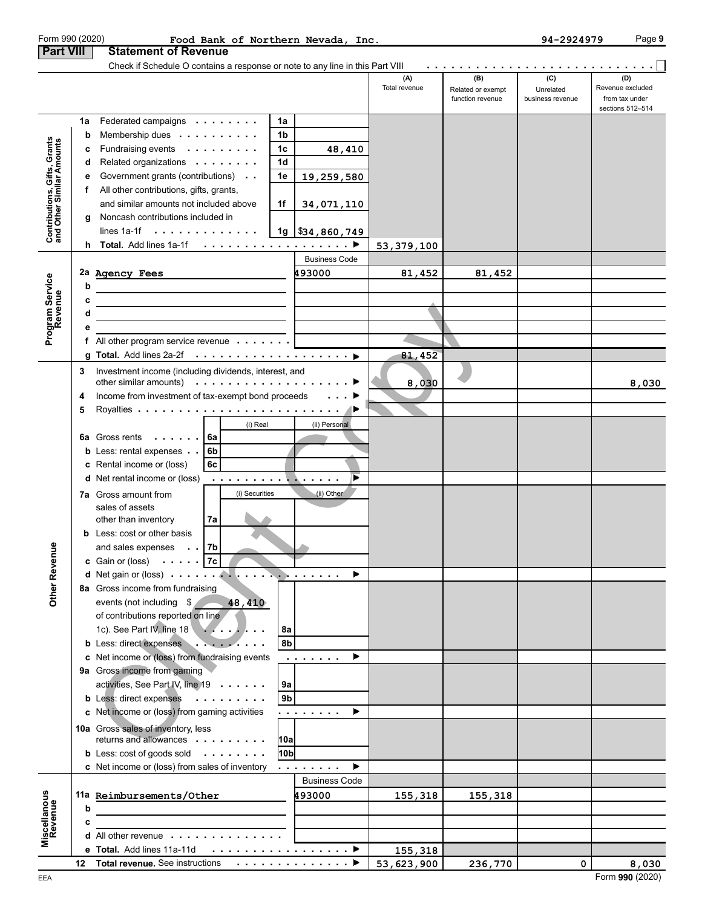|                                                           | Form 990 (2020)<br>Food Bank of Northern Nevada, Inc.                                |                      |                                              | 94-2924979                           | Page 9                                                        |
|-----------------------------------------------------------|--------------------------------------------------------------------------------------|----------------------|----------------------------------------------|--------------------------------------|---------------------------------------------------------------|
| <b>Part VIII</b>                                          | <b>Statement of Revenue</b>                                                          |                      |                                              |                                      |                                                               |
|                                                           | Check if Schedule O contains a response or note to any line in this Part VIII        |                      |                                              |                                      |                                                               |
|                                                           |                                                                                      | (A)<br>Total revenue | (B)<br>Related or exempt<br>function revenue | (C)<br>Unrelated<br>business revenue | (D)<br>Revenue excluded<br>from tax under<br>sections 512-514 |
|                                                           | Federated campaigns<br>1a<br>1a                                                      |                      |                                              |                                      |                                                               |
|                                                           | Membership dues<br>1b<br>b                                                           |                      |                                              |                                      |                                                               |
| Contributions, Gifts, Grants<br>and Other Similar Amounts | Fundraising events<br>1c<br>c                                                        | 48,410               |                                              |                                      |                                                               |
|                                                           | Related organizations<br>1d<br>d                                                     |                      |                                              |                                      |                                                               |
|                                                           | Government grants (contributions)<br>19,259,580<br>1e<br>е                           |                      |                                              |                                      |                                                               |
|                                                           | All other contributions, gifts, grants,<br>f                                         |                      |                                              |                                      |                                                               |
|                                                           | and similar amounts not included above<br>1f<br>34,071,110                           |                      |                                              |                                      |                                                               |
|                                                           | Noncash contributions included in<br>g                                               |                      |                                              |                                      |                                                               |
|                                                           | lines 1a-1f $\ldots$ , $\ldots$ , $\ldots$ , $\ldots$<br>1g \$34,860,749             |                      |                                              |                                      |                                                               |
|                                                           |                                                                                      | 53, 379, 100         |                                              |                                      |                                                               |
|                                                           | <b>Business Code</b>                                                                 |                      |                                              |                                      |                                                               |
|                                                           | 2a Agency Fees<br>493000                                                             | 81,452               | 81,452                                       |                                      |                                                               |
| Program Service<br>Revenue                                | b                                                                                    |                      |                                              |                                      |                                                               |
|                                                           |                                                                                      |                      |                                              |                                      |                                                               |
|                                                           | c<br><u> 1989 - Johann Barn, mars et al. (b. 1989)</u>                               |                      |                                              |                                      |                                                               |
|                                                           | d<br>the contract of the contract of the contract of the contract of the contract of |                      |                                              |                                      |                                                               |
|                                                           | е                                                                                    |                      |                                              |                                      |                                                               |
|                                                           | f All other program service revenue $\cdots$                                         |                      |                                              |                                      |                                                               |
|                                                           |                                                                                      | 81,452               |                                              |                                      |                                                               |
|                                                           | Investment income (including dividends, interest, and<br>3                           |                      |                                              |                                      |                                                               |
|                                                           | other similar amounts) $\cdots$ $\cdots$ $\cdots$ $\cdots$ $\cdots$ $\cdots$         | 8,030                |                                              |                                      | 8,030                                                         |
|                                                           | Income from investment of tax-exempt bond proceeds<br>4                              | .                    |                                              |                                      |                                                               |
|                                                           | 5                                                                                    |                      |                                              |                                      |                                                               |
|                                                           | (i) Real<br>(ii) Personal                                                            |                      |                                              |                                      |                                                               |
|                                                           | 6a Gross rents $\cdots$ 6a                                                           |                      |                                              |                                      |                                                               |
|                                                           | <b>b</b> Less: rental expenses $\cdot \cdot$<br>6b                                   |                      |                                              |                                      |                                                               |
|                                                           | c Rental income or (loss)<br>6с                                                      |                      |                                              |                                      |                                                               |
|                                                           | <b>d</b> Net rental income or (loss)<br>. <b>. .</b>                                 | ►                    |                                              |                                      |                                                               |
|                                                           | (i) Securities<br>(ii) Other<br><b>7a</b> Gross amount from                          |                      |                                              |                                      |                                                               |
|                                                           | sales of assets                                                                      |                      |                                              |                                      |                                                               |
|                                                           | other than inventory<br>7a                                                           |                      |                                              |                                      |                                                               |
|                                                           | <b>b</b> Less: cost or other basis                                                   |                      |                                              |                                      |                                                               |
| Φ                                                         | 7b<br>and sales expenses $\cdot \cdot$                                               |                      |                                              |                                      |                                                               |
|                                                           | c Gain or (loss) $\cdots$ 17c                                                        |                      |                                              |                                      |                                                               |
|                                                           |                                                                                      | Þ.                   |                                              |                                      |                                                               |
| Other Revenu                                              | 8a Gross income from fundraising                                                     |                      |                                              |                                      |                                                               |
|                                                           | events (not including \$<br>48,410                                                   |                      |                                              |                                      |                                                               |
|                                                           | of contributions reported on line                                                    |                      |                                              |                                      |                                                               |
|                                                           | 1c). See Part IV, line 18<br>8a                                                      |                      |                                              |                                      |                                                               |
|                                                           | b Less: direct expenses<br>8b                                                        |                      |                                              |                                      |                                                               |
|                                                           | c Net income or (loss) from fundraising events                                       | ▶                    |                                              |                                      |                                                               |
|                                                           | 9a Gross income from gaming                                                          |                      |                                              |                                      |                                                               |
|                                                           |                                                                                      |                      |                                              |                                      |                                                               |
|                                                           | activities, See Part IV, line 19<br>9a                                               |                      |                                              |                                      |                                                               |
|                                                           | 9 <sub>b</sub><br>b Less: direct expenses                                            |                      |                                              |                                      |                                                               |
|                                                           | c Net income or (loss) from gaming activities<br>.                                   | ►                    |                                              |                                      |                                                               |
|                                                           | 10a Gross sales of inventory, less                                                   |                      |                                              |                                      |                                                               |
|                                                           | returns and allowances<br><b>10al</b>                                                |                      |                                              |                                      |                                                               |
|                                                           | <b>b</b> Less: cost of goods sold<br>10 <sub>b</sub>                                 |                      |                                              |                                      |                                                               |
|                                                           | c Net income or (loss) from sales of inventory $\cdots \cdots$                       | ►                    |                                              |                                      |                                                               |
|                                                           | <b>Business Code</b>                                                                 |                      |                                              |                                      |                                                               |
|                                                           | 11a Reimbursements/Other<br>493000                                                   | 155,318              | 155,318                                      |                                      |                                                               |
|                                                           | b                                                                                    |                      |                                              |                                      |                                                               |
|                                                           | c<br><u> 1980 - Andrea Andrew Maria (b. 1980)</u>                                    |                      |                                              |                                      |                                                               |
| Miscellanous<br>Revenue                                   | d All other revenue                                                                  |                      |                                              |                                      |                                                               |
|                                                           |                                                                                      | 155,318              |                                              |                                      |                                                               |
|                                                           | 12 Total revenue. See instructions ▶                                                 | 53,623,900           | 236,770                                      | $\mathbf{0}$                         | 8,030                                                         |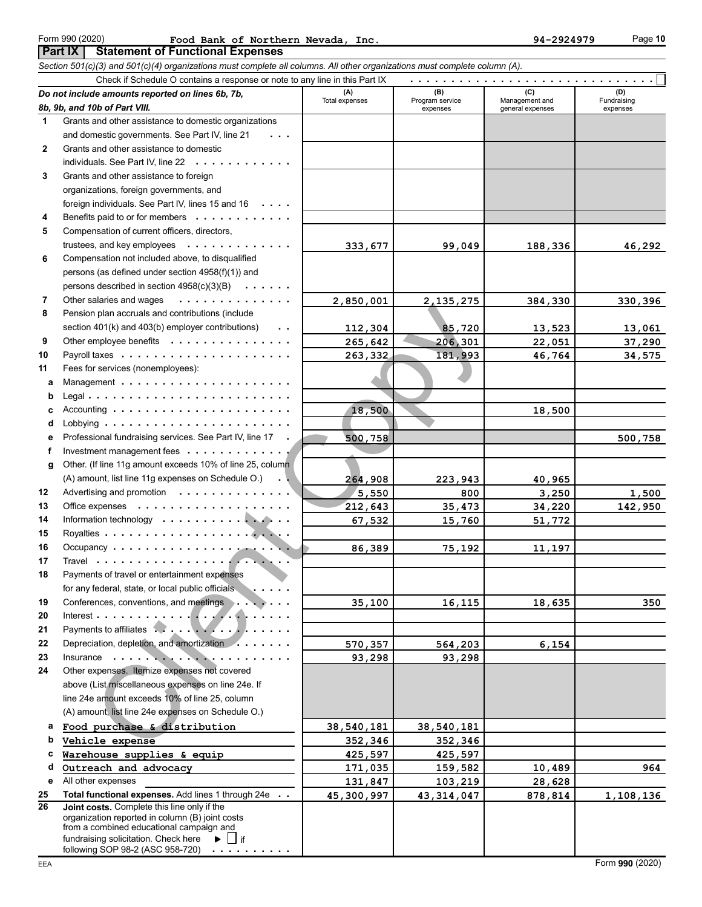**16 17 18**

**a b c d e 25 26**

|              | Form 990 (2020)<br>Food Bank of Northern Nevada, Inc.                                                                      |                |                             | 94-2924979                         | Page 10                 |
|--------------|----------------------------------------------------------------------------------------------------------------------------|----------------|-----------------------------|------------------------------------|-------------------------|
|              | <b>Statement of Functional Expenses</b><br><b>Part IX</b>                                                                  |                |                             |                                    |                         |
|              | Section 501(c)(3) and 501(c)(4) organizations must complete all columns. All other organizations must complete column (A). |                |                             |                                    |                         |
|              | Check if Schedule O contains a response or note to any line in this Part IX                                                | (A)            | (B)                         | (C)                                | (D)                     |
|              | Do not include amounts reported on lines 6b, 7b,<br>8b, 9b, and 10b of Part VIII.                                          | Total expenses | Program service<br>expenses | Management and<br>general expenses | Fundraising<br>expenses |
| 1            | Grants and other assistance to domestic organizations                                                                      |                |                             |                                    |                         |
|              | and domestic governments. See Part IV, line 21<br>$\cdots$                                                                 |                |                             |                                    |                         |
| $\mathbf{2}$ | Grants and other assistance to domestic                                                                                    |                |                             |                                    |                         |
|              | individuals. See Part IV. line $22 \cdot \cdot \cdot \cdot \cdot \cdot \cdot \cdot \cdot \cdot \cdot$                      |                |                             |                                    |                         |
| 3            | Grants and other assistance to foreign                                                                                     |                |                             |                                    |                         |
|              | organizations, foreign governments, and                                                                                    |                |                             |                                    |                         |
|              | foreign individuals. See Part IV, lines 15 and 16                                                                          |                |                             |                                    |                         |
| 4            | Benefits paid to or for members                                                                                            |                |                             |                                    |                         |
| 5            | Compensation of current officers, directors,                                                                               |                |                             |                                    |                         |
|              | trustees, and key employees $\cdots$ ,                                                                                     | 333,677        | 99,049                      | 188,336                            | 46,292                  |
| 6            | Compensation not included above, to disqualified                                                                           |                |                             |                                    |                         |
|              | persons (as defined under section 4958(f)(1)) and                                                                          |                |                             |                                    |                         |
|              | persons described in section $4958(c)(3)(B) \cdot \cdot \cdot \cdot \cdot$                                                 |                |                             |                                    |                         |
| 7            | .<br>Other salaries and wages                                                                                              | 2,850,001      | 2,135,275                   | 384,330                            | 330,396                 |
| 8            | Pension plan accruals and contributions (include                                                                           |                |                             |                                    |                         |
|              | section 401(k) and 403(b) employer contributions)<br>$\ddot{\phantom{a}}$                                                  | 112,304        | 85,720                      | 13,523                             | 13,061                  |
| 9            | Other employee benefits                                                                                                    | 265,642        | 206,301                     | 22,051                             | 37,290                  |
| 10           |                                                                                                                            | 263,332        | 181,993                     | 46,764                             | 34,575                  |
| 11           | Fees for services (nonemployees):                                                                                          |                |                             |                                    |                         |
| a            |                                                                                                                            |                |                             |                                    |                         |
| b            | Legal                                                                                                                      |                |                             |                                    |                         |
| c            |                                                                                                                            | 18,500         |                             | 18,500                             |                         |
| d            |                                                                                                                            |                |                             |                                    |                         |
| е            | Professional fundraising services. See Part IV, line 17 .                                                                  | 500,758        |                             |                                    | 500,758                 |
| f            | Investment management fees $\cdots$ ,                                                                                      |                |                             |                                    |                         |
| g            | Other. (If line 11g amount exceeds 10% of line 25, column                                                                  |                |                             |                                    |                         |
|              | (A) amount, list line 11g expenses on Schedule O.) .                                                                       | 264,908        | 223,943                     | 40,965                             |                         |
| 12           | Advertising and promotion                                                                                                  | 5,550          | 800                         | 3,250                              | 1,500                   |
| 13           |                                                                                                                            | 212,643        | 35,473                      | 34,220                             | 142,950                 |
| 14           |                                                                                                                            | 67,532         | 15,760                      | 51,772                             |                         |
| 15           |                                                                                                                            |                |                             |                                    |                         |

| b, and 10b of Part VIII.                                                                        |            | expenses     | general expenses | expenses         |
|-------------------------------------------------------------------------------------------------|------------|--------------|------------------|------------------|
| Grants and other assistance to domestic organizations                                           |            |              |                  |                  |
| and domestic governments. See Part IV, line 21                                                  |            |              |                  |                  |
| Grants and other assistance to domestic                                                         |            |              |                  |                  |
| individuals. See Part IV, line $22 \cdot \cdot \cdot \cdot \cdot \cdot \cdot \cdot \cdot \cdot$ |            |              |                  |                  |
| Grants and other assistance to foreign                                                          |            |              |                  |                  |
| organizations, foreign governments, and                                                         |            |              |                  |                  |
| foreign individuals. See Part IV, lines 15 and 16                                               |            |              |                  |                  |
| Benefits paid to or for members                                                                 |            |              |                  |                  |
| Compensation of current officers, directors,                                                    |            |              |                  |                  |
| trustees, and key employees $\cdots \cdots \cdots \cdots$                                       | 333,677    | 99,049       | 188,336          | 46,292           |
| Compensation not included above, to disqualified                                                |            |              |                  |                  |
| persons (as defined under section $4958(f)(1)$ ) and                                            |            |              |                  |                  |
| persons described in section $4958(c)(3)(B) \cdot \cdot \cdot \cdot \cdot$                      |            |              |                  |                  |
| Other salaries and wages<br>.                                                                   | 2,850,001  | 2,135,275    | 384,330          | 330,396          |
| Pension plan accruals and contributions (include                                                |            |              |                  |                  |
| section 401(k) and 403(b) employer contributions)<br>$\sim$ $\sim$                              | 112,304    | 85,720       | 13,523           | 13,061           |
| Other employee benefits                                                                         | 265,642    | 206,301      | 22,051           | 37,290           |
|                                                                                                 | 263,332    | 181,993      | 46,764           | 34,575           |
| Fees for services (nonemployees):                                                               |            |              |                  |                  |
|                                                                                                 |            |              |                  |                  |
|                                                                                                 |            |              |                  |                  |
| $Accounting \ldots \ldots \ldots \ldots \ldots \ldots$                                          | 18,500     |              | 18,500           |                  |
|                                                                                                 |            |              |                  |                  |
| Professional fundraising services. See Part IV, line 17 .                                       | 500,758    |              |                  |                  |
| Investment management fees $\cdots \cdots \cdots$                                               |            |              |                  | 500,758          |
| Other. (If line 11g amount exceeds 10% of line 25, column                                       |            |              |                  |                  |
|                                                                                                 |            |              |                  |                  |
| (A) amount, list line 11g expenses on Schedule O.)                                              | 264,908    | 223,943      | 40,965           |                  |
| Advertising and promotion                                                                       | 5,550      | 800          | 3,250            | 1,500            |
| Office expenses $\cdots$ ,                                                                      | 212,643    | 35,473       | 34,220           | 142,950          |
| Information technology $\cdots$ , $\cdots$ , $\cdots$                                           | 67,532     | 15,760       | 51,772           |                  |
|                                                                                                 |            |              |                  |                  |
|                                                                                                 | 86,389     | 75,192       | 11,197           |                  |
|                                                                                                 |            |              |                  |                  |
| Payments of travel or entertainment expenses                                                    |            |              |                  |                  |
| for any federal, state, or local public officials<br>والمستحدث                                  |            |              |                  |                  |
| Conferences, conventions, and meetings                                                          | 35,100     | 16,115       | 18,635           | 350              |
|                                                                                                 |            |              |                  |                  |
| Payments to affiliates                                                                          |            |              |                  |                  |
| Depreciation, depletion, and amortization                                                       | 570,357    | 564,203      | 6,154            |                  |
| $Insurface \ldots \ldots$                                                                       | 93,298     | 93,298       |                  |                  |
| Other expenses. Itemize expenses not covered                                                    |            |              |                  |                  |
| above (List miscellaneous expenses on line 24e. If                                              |            |              |                  |                  |
| line 24e amount exceeds 10% of line 25, column                                                  |            |              |                  |                  |
| (A) amount, list line 24e expenses on Schedule O.)                                              |            |              |                  |                  |
| Food purchase & distribution                                                                    | 38,540,181 | 38,540,181   |                  |                  |
| Vehicle expense                                                                                 | 352,346    | 352,346      |                  |                  |
| Warehouse supplies & equip                                                                      | 425,597    | 425,597      |                  |                  |
| Outreach and advocacy                                                                           | 171,035    | 159,582      | 10,489           | 964              |
| All other expenses                                                                              | 131,847    | 103,219      | 28,628           |                  |
| Total functional expenses. Add lines 1 through 24e                                              | 45,300,997 | 43, 314, 047 | 878,814          | <u>1,108,136</u> |
| Joint costs. Complete this line only if the<br>organization reported in column (B) joint costs  |            |              |                  |                  |
| from a combined educational campaign and                                                        |            |              |                  |                  |
| fundraising solicitation. Check here<br>if                                                      |            |              |                  |                  |
| following SOP 98-2 (ASC 958-720)                                                                |            |              |                  |                  |

Form **990** (2020)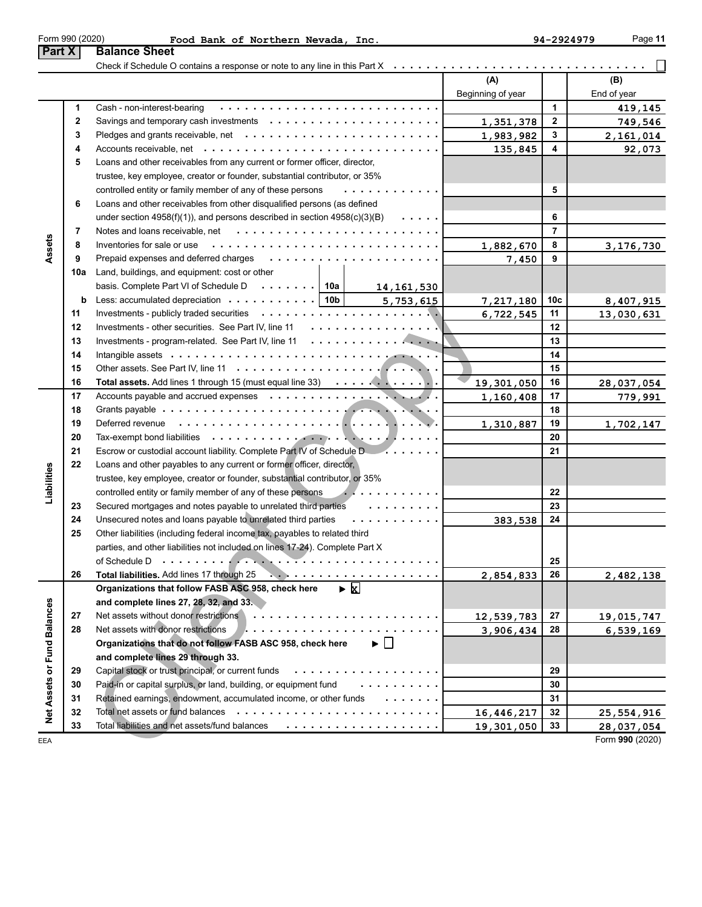| Form 990 (2020) |                             | Food Bank of Nort |  |
|-----------------|-----------------------------|-------------------|--|
|                 | <b>Part X Balance Sheet</b> |                   |  |

| ганл                        |     | <b>Dalalice Oliect</b>                                                                                                                                                                                                         |                   |                |             |
|-----------------------------|-----|--------------------------------------------------------------------------------------------------------------------------------------------------------------------------------------------------------------------------------|-------------------|----------------|-------------|
|                             |     | Check if Schedule O contains a response or note to any line in this Part $X_1, \ldots, X_n, \ldots, X_n, \ldots, X_n, \ldots, X_n, \ldots, X_n$                                                                                |                   |                |             |
|                             |     |                                                                                                                                                                                                                                | (A)               |                | (B)         |
|                             |     |                                                                                                                                                                                                                                | Beginning of year |                | End of year |
|                             | 1   | Cash - non-interest-bearing                                                                                                                                                                                                    |                   | 1              | 419,145     |
|                             | 2   |                                                                                                                                                                                                                                | 1,351,378         | 2              | 749,546     |
|                             | 3   |                                                                                                                                                                                                                                | 1,983,982         | 3              | 2,161,014   |
|                             | 4   |                                                                                                                                                                                                                                | 135,845           | 4              | 92,073      |
|                             | 5   | Loans and other receivables from any current or former officer, director,                                                                                                                                                      |                   |                |             |
|                             |     | trustee, key employee, creator or founder, substantial contributor, or 35%                                                                                                                                                     |                   |                |             |
|                             |     | controlled entity or family member of any of these persons                                                                                                                                                                     |                   | 5              |             |
|                             | 6   | Loans and other receivables from other disqualified persons (as defined                                                                                                                                                        |                   |                |             |
|                             |     | under section $4958(f)(1)$ , and persons described in section $4958(c)(3)(B)$<br>$\alpha$ , $\alpha$ , $\alpha$ , $\alpha$ , $\alpha$                                                                                          |                   | 6              |             |
|                             | 7   | Notes and loans receivable, net                                                                                                                                                                                                |                   | $\overline{7}$ |             |
| Assets                      | 8   | Inventories for sale or use                                                                                                                                                                                                    | 1,882,670         | 8              | 3,176,730   |
|                             | 9   |                                                                                                                                                                                                                                | 7,450             | 9              |             |
|                             | 10a | Land, buildings, and equipment: cost or other                                                                                                                                                                                  |                   |                |             |
|                             |     | basis. Complete Part VI of Schedule D $\ldots \ldots$ 10a<br>14, 161, 530                                                                                                                                                      |                   |                |             |
|                             | b   | Less: accumulated depreciation $\cdots \cdots \cdots$   10b<br>5,753,615                                                                                                                                                       | 7,217,180         | 10c            | 8,407,915   |
|                             | 11  |                                                                                                                                                                                                                                | 6,722,545         | 11             | 13,030,631  |
|                             | 12  | . <sup>.</sup><br>Investments - other securities. See Part IV, line 11                                                                                                                                                         |                   | 12             |             |
|                             | 13  | .<br>Investments - program-related. See Part IV, line 11                                                                                                                                                                       |                   | 13             |             |
|                             | 14  |                                                                                                                                                                                                                                |                   | 14             |             |
|                             | 15  |                                                                                                                                                                                                                                |                   | 15             |             |
|                             | 16  | <b>Total assets.</b> Add lines 1 through 15 (must equal line 33) $\cdots$ , $\cdots$ , $\cdots$ , $\cdots$ , $\cdots$                                                                                                          | 19,301,050        | 16             | 28,037,054  |
|                             | 17  |                                                                                                                                                                                                                                | 1,160,408         | 17             | 779,991     |
|                             | 18  |                                                                                                                                                                                                                                |                   | 18             |             |
|                             | 19  | Deferred revenue entrance in the set of the set of the set of the set of the set of the set of the set of the set of the set of the set of the set of the set of the set of the set of the set of the set of the set of the se | 1,310,887         | 19             | 1,702,147   |
|                             | 20  |                                                                                                                                                                                                                                |                   | 20             |             |
|                             | 21  | Escrow or custodial account liability. Complete Part IV of Schedule D                                                                                                                                                          |                   | 21             |             |
|                             | 22  | Loans and other payables to any current or former officer, director,                                                                                                                                                           |                   |                |             |
|                             |     | trustee, key employee, creator or founder, substantial contributor, or 35%                                                                                                                                                     |                   |                |             |
| Liabilities                 |     | controlled entity or family member of any of these persons<br>.                                                                                                                                                                |                   | 22             |             |
|                             | 23  | .<br>Secured mortgages and notes payable to unrelated third parties                                                                                                                                                            |                   | 23             |             |
|                             | 24  | .<br>Unsecured notes and loans payable to unrelated third parties                                                                                                                                                              | 383,538           | 24             |             |
|                             | 25  | Other liabilities (including federal income tax, payables to related third                                                                                                                                                     |                   |                |             |
|                             |     | parties, and other liabilities not included on lines 17-24). Complete Part X                                                                                                                                                   |                   |                |             |
|                             |     | of Schedule D $\cdots$                                                                                                                                                                                                         |                   | 25             |             |
|                             | 26  | Total liabilities. Add lines 17 through 25                                                                                                                                                                                     | 2,854,833         | 26             | 2,482,138   |
|                             |     | $\blacktriangleright$ $\overline{\mathbf{x}}$<br>Organizations that follow FASB ASC 958, check here                                                                                                                            |                   |                |             |
|                             |     | and complete lines 27, 28, 32, and 33.                                                                                                                                                                                         |                   |                |             |
|                             | 27  | Net assets without donor restrictions                                                                                                                                                                                          | 12,539,783        | 27             | 19,015,747  |
|                             | 28  | Net assets with donor restrictions                                                                                                                                                                                             | 3,906,434         | 28             | 6,539,169   |
|                             |     | Organizations that do not follow FASB ASC 958, check here<br>$\blacktriangleright$ $\perp$ $\perp$                                                                                                                             |                   |                |             |
|                             |     | and complete lines 29 through 33.                                                                                                                                                                                              |                   |                |             |
|                             | 29  | Capital stock or trust principal, or current funds<br>.                                                                                                                                                                        |                   | 29             |             |
|                             | 30  | Paid-in or capital surplus, or land, building, or equipment fund<br>.                                                                                                                                                          |                   | 30             |             |
| Net Assets or Fund Balances | 31  | Retained earnings, endowment, accumulated income, or other funds                                                                                                                                                               |                   | 31             |             |
|                             | 32  |                                                                                                                                                                                                                                | 16,446,217        | 32             | 25,554,916  |
|                             | 33  | Total liabilities and net assets/fund balances                                                                                                                                                                                 | 19,301,050        | 33             | 28,037,054  |

EEA **Form 990** (2020)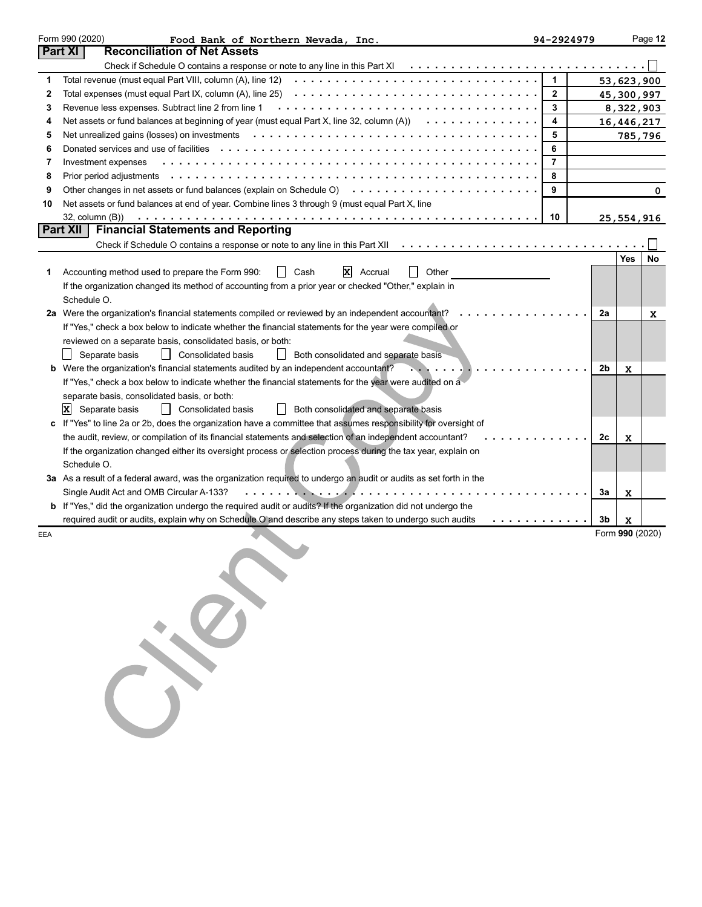|     | Form 990 (2020)<br>Food Bank of Northern Nevada, Inc.                                                                                                                                                                            | 94-2924979     |    |                      | Page 12 |
|-----|----------------------------------------------------------------------------------------------------------------------------------------------------------------------------------------------------------------------------------|----------------|----|----------------------|---------|
|     | <b>Reconciliation of Net Assets</b><br><b>Part XI</b>                                                                                                                                                                            |                |    |                      |         |
|     | Check if Schedule O contains a response or note to any line in this Part XI                                                                                                                                                      |                |    |                      |         |
| 1   | Total revenue (must equal Part VIII, column (A), line 12) $\cdots \cdots \cdots \cdots \cdots \cdots \cdots \cdots \cdots \cdots \cdots \cdots$                                                                                  | 1              |    | 53,623,900           |         |
| 2   | Total expenses (must equal Part IX, column (A), line 25) $\cdots \cdots \cdots \cdots \cdots \cdots \cdots \cdots \cdots \cdots \cdots \cdots$                                                                                   | $\mathbf{2}$   |    | 45,300,997           |         |
| 3   | Revenue less expenses. Subtract line 2 from line 1                                                                                                                                                                               | 3              |    | 8,322,903            |         |
| 4   |                                                                                                                                                                                                                                  | 4              |    | 16, 446, 217         |         |
| 5   | Net unrealized gains (losses) on investments (exception of the content of the content of the content of the co                                                                                                                   | 5              |    | 785,796              |         |
| 6   |                                                                                                                                                                                                                                  | 6              |    |                      |         |
| 7   | Investment expenses                                                                                                                                                                                                              | $\overline{7}$ |    |                      |         |
| 8   |                                                                                                                                                                                                                                  | 8              |    |                      |         |
| 9   | Other changes in net assets or fund balances (explain on Schedule O) $\cdots$                                                                                                                                                    | 9              |    |                      | 0       |
| 10  | Net assets or fund balances at end of year. Combine lines 3 through 9 (must equal Part X, line                                                                                                                                   |                |    |                      |         |
|     | 32, column (B))                                                                                                                                                                                                                  | 10             |    | 25,554,916           |         |
|     | <b>Financial Statements and Reporting</b><br><b>Part XII</b>                                                                                                                                                                     |                |    |                      |         |
|     | Check if Schedule O contains a response or note to any line in this Part XII                                                                                                                                                     |                |    |                      |         |
|     |                                                                                                                                                                                                                                  |                |    | <b>Yes</b>           | No      |
| 1   | ΙxΙ<br>Other<br>Accounting method used to prepare the Form 990:<br>Accrual<br>Cash                                                                                                                                               |                |    |                      |         |
|     | If the organization changed its method of accounting from a prior year or checked "Other," explain in                                                                                                                            |                |    |                      |         |
|     | Schedule O.                                                                                                                                                                                                                      |                |    |                      |         |
|     | 2a Were the organization's financial statements compiled or reviewed by an independent accountant?                                                                                                                               |                | 2a |                      | x       |
|     | If "Yes," check a box below to indicate whether the financial statements for the year were compiled or                                                                                                                           |                |    |                      |         |
|     | reviewed on a separate basis, consolidated basis, or both:                                                                                                                                                                       |                |    |                      |         |
|     | <b>Consolidated basis</b><br>Separate basis<br>$\perp$<br>Both consolidated and separate basis                                                                                                                                   |                |    |                      |         |
|     | <b>b</b> Were the organization's financial statements audited by an independent accountant?                                                                                                                                      |                | 2b | x                    |         |
|     | If "Yes," check a box below to indicate whether the financial statements for the year were audited on a                                                                                                                          |                |    |                      |         |
|     | separate basis, consolidated basis, or both:                                                                                                                                                                                     |                |    |                      |         |
|     | x<br>Separate basis<br>$\mathsf{L}$<br><b>Consolidated basis</b><br>Both consolidated and separate basis                                                                                                                         |                |    |                      |         |
|     | c If "Yes" to line 2a or 2b, does the organization have a committee that assumes responsibility for oversight of                                                                                                                 |                |    |                      |         |
|     | the audit, review, or compilation of its financial statements and selection of an independent accountant?                                                                                                                        |                | 2c | x                    |         |
|     | If the organization changed either its oversight process or selection process during the tax year, explain on                                                                                                                    |                |    |                      |         |
|     | Schedule O.                                                                                                                                                                                                                      |                |    |                      |         |
|     | 3a As a result of a federal award, was the organization required to undergo an audit or audits as set forth in the                                                                                                               |                |    |                      |         |
|     | Single Audit Act and OMB Circular A-133?                                                                                                                                                                                         |                | За | x                    |         |
|     | <b>b</b> If "Yes," did the organization undergo the required audit or audits? If the organization did not undergo the<br>required audit or audits, explain why on Schedule O and describe any steps taken to undergo such audits |                |    |                      |         |
|     |                                                                                                                                                                                                                                  | .              | 3b | x<br>Form 990 (2020) |         |
| EEA |                                                                                                                                                                                                                                  |                |    |                      |         |
|     |                                                                                                                                                                                                                                  |                |    |                      |         |
|     |                                                                                                                                                                                                                                  |                |    |                      |         |
|     |                                                                                                                                                                                                                                  |                |    |                      |         |
|     |                                                                                                                                                                                                                                  |                |    |                      |         |
|     |                                                                                                                                                                                                                                  |                |    |                      |         |
|     |                                                                                                                                                                                                                                  |                |    |                      |         |
|     |                                                                                                                                                                                                                                  |                |    |                      |         |
|     |                                                                                                                                                                                                                                  |                |    |                      |         |
|     |                                                                                                                                                                                                                                  |                |    |                      |         |
|     |                                                                                                                                                                                                                                  |                |    |                      |         |
|     |                                                                                                                                                                                                                                  |                |    |                      |         |
|     |                                                                                                                                                                                                                                  |                |    |                      |         |
|     |                                                                                                                                                                                                                                  |                |    |                      |         |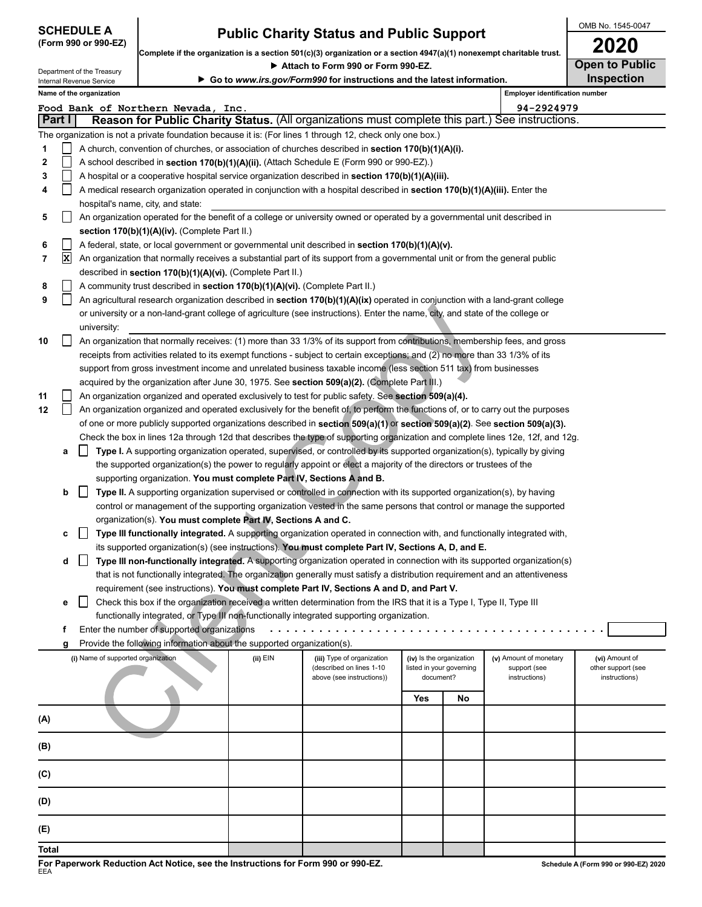| <b>SCHEDULE A</b>   |  |
|---------------------|--|
| (Form 990 or 990-E2 |  |

# SCHEDULE A **Public Charity Status and Public Support** (Form 990 or 990-EZ)

**Complete if the organization is a section 501(c)(3) organization or a section 4947(a)(1) nonexempt charitable trust.**

OMB No. 1545-0047 **2020**

| Department of the Treasury |              |                                                                                                                                                                                                                                                    |                                                                                                                             | <b>Open to Public</b><br>Attach to Form 990 or Form 990-EZ. |                                                                                                                                     |                                       |    |                                       |                    |  |  |  |  |
|----------------------------|--------------|----------------------------------------------------------------------------------------------------------------------------------------------------------------------------------------------------------------------------------------------------|-----------------------------------------------------------------------------------------------------------------------------|-------------------------------------------------------------|-------------------------------------------------------------------------------------------------------------------------------------|---------------------------------------|----|---------------------------------------|--------------------|--|--|--|--|
|                            |              | Internal Revenue Service                                                                                                                                                                                                                           |                                                                                                                             |                                                             | Go to www.irs.gov/Form990 for instructions and the latest information.                                                              |                                       |    |                                       | <b>Inspection</b>  |  |  |  |  |
|                            |              | Name of the organization                                                                                                                                                                                                                           |                                                                                                                             |                                                             |                                                                                                                                     |                                       |    | <b>Employer identification number</b> |                    |  |  |  |  |
|                            |              |                                                                                                                                                                                                                                                    | Food Bank of Northern Nevada, Inc.                                                                                          |                                                             |                                                                                                                                     |                                       |    | 94-2924979                            |                    |  |  |  |  |
| Part I                     |              |                                                                                                                                                                                                                                                    |                                                                                                                             |                                                             | Reason for Public Charity Status. (All organizations must complete this part.) See instructions.                                    |                                       |    |                                       |                    |  |  |  |  |
|                            |              |                                                                                                                                                                                                                                                    |                                                                                                                             |                                                             | The organization is not a private foundation because it is: (For lines 1 through 12, check only one box.)                           |                                       |    |                                       |                    |  |  |  |  |
| 1                          |              |                                                                                                                                                                                                                                                    |                                                                                                                             |                                                             | A church, convention of churches, or association of churches described in <b>section 170(b)(1)(A)(i).</b>                           |                                       |    |                                       |                    |  |  |  |  |
| 2                          |              |                                                                                                                                                                                                                                                    |                                                                                                                             |                                                             |                                                                                                                                     |                                       |    |                                       |                    |  |  |  |  |
|                            |              |                                                                                                                                                                                                                                                    |                                                                                                                             |                                                             | A school described in <b>section 170(b)(1)(A)(ii).</b> (Attach Schedule E (Form 990 or 990-EZ).)                                    |                                       |    |                                       |                    |  |  |  |  |
| 3                          |              |                                                                                                                                                                                                                                                    |                                                                                                                             |                                                             | A hospital or a cooperative hospital service organization described in section 170(b)(1)(A)(iii).                                   |                                       |    |                                       |                    |  |  |  |  |
| 4                          |              |                                                                                                                                                                                                                                                    |                                                                                                                             |                                                             | A medical research organization operated in conjunction with a hospital described in section 170(b)(1)(A)(iii). Enter the           |                                       |    |                                       |                    |  |  |  |  |
|                            |              |                                                                                                                                                                                                                                                    | hospital's name, city, and state:                                                                                           |                                                             |                                                                                                                                     |                                       |    |                                       |                    |  |  |  |  |
| 5                          |              |                                                                                                                                                                                                                                                    |                                                                                                                             |                                                             | An organization operated for the benefit of a college or university owned or operated by a governmental unit described in           |                                       |    |                                       |                    |  |  |  |  |
|                            |              |                                                                                                                                                                                                                                                    | section 170(b)(1)(A)(iv). (Complete Part II.)                                                                               |                                                             |                                                                                                                                     |                                       |    |                                       |                    |  |  |  |  |
| 6                          |              |                                                                                                                                                                                                                                                    | A federal, state, or local government or governmental unit described in section 170(b)(1)(A)(v).                            |                                                             |                                                                                                                                     |                                       |    |                                       |                    |  |  |  |  |
| 7                          | $\mathbf{x}$ |                                                                                                                                                                                                                                                    |                                                                                                                             |                                                             | An organization that normally receives a substantial part of its support from a governmental unit or from the general public        |                                       |    |                                       |                    |  |  |  |  |
|                            |              |                                                                                                                                                                                                                                                    | described in section 170(b)(1)(A)(vi). (Complete Part II.)                                                                  |                                                             |                                                                                                                                     |                                       |    |                                       |                    |  |  |  |  |
| 8                          |              |                                                                                                                                                                                                                                                    | A community trust described in section 170(b)(1)(A)(vi). (Complete Part II.)                                                |                                                             |                                                                                                                                     |                                       |    |                                       |                    |  |  |  |  |
| 9                          |              |                                                                                                                                                                                                                                                    |                                                                                                                             |                                                             | An agricultural research organization described in section 170(b)(1)(A)(ix) operated in conjunction with a land-grant college       |                                       |    |                                       |                    |  |  |  |  |
|                            |              |                                                                                                                                                                                                                                                    |                                                                                                                             |                                                             | or university or a non-land-grant college of agriculture (see instructions). Enter the name, city, and state of the college or      |                                       |    |                                       |                    |  |  |  |  |
|                            |              | university:                                                                                                                                                                                                                                        |                                                                                                                             |                                                             |                                                                                                                                     |                                       |    |                                       |                    |  |  |  |  |
| 10                         |              |                                                                                                                                                                                                                                                    | An organization that normally receives: (1) more than 33 1/3% of its support from contributions, membership fees, and gross |                                                             |                                                                                                                                     |                                       |    |                                       |                    |  |  |  |  |
|                            |              |                                                                                                                                                                                                                                                    |                                                                                                                             |                                                             |                                                                                                                                     |                                       |    |                                       |                    |  |  |  |  |
|                            |              | receipts from activities related to its exempt functions - subject to certain exceptions; and (2) no more than 33 1/3% of its<br>support from gross investment income and unrelated business taxable income (less section 511 tax) from businesses |                                                                                                                             |                                                             |                                                                                                                                     |                                       |    |                                       |                    |  |  |  |  |
|                            |              |                                                                                                                                                                                                                                                    |                                                                                                                             |                                                             | acquired by the organization after June 30, 1975. See section 509(a)(2). (Complete Part III.)                                       |                                       |    |                                       |                    |  |  |  |  |
| 11                         |              |                                                                                                                                                                                                                                                    |                                                                                                                             |                                                             | An organization organized and operated exclusively to test for public safety. See section 509(a)(4).                                |                                       |    |                                       |                    |  |  |  |  |
| 12                         |              |                                                                                                                                                                                                                                                    |                                                                                                                             |                                                             | An organization organized and operated exclusively for the benefit of, to perform the functions of, or to carry out the purposes    |                                       |    |                                       |                    |  |  |  |  |
|                            |              |                                                                                                                                                                                                                                                    |                                                                                                                             |                                                             | of one or more publicly supported organizations described in section $509(a)(1)$ or section $509(a)(2)$ . See section $509(a)(3)$ . |                                       |    |                                       |                    |  |  |  |  |
|                            |              |                                                                                                                                                                                                                                                    |                                                                                                                             |                                                             | Check the box in lines 12a through 12d that describes the type of supporting organization and complete lines 12e, 12f, and 12g.     |                                       |    |                                       |                    |  |  |  |  |
|                            | a            |                                                                                                                                                                                                                                                    |                                                                                                                             |                                                             | Type I. A supporting organization operated, supervised, or controlled by its supported organization(s), typically by giving         |                                       |    |                                       |                    |  |  |  |  |
|                            |              |                                                                                                                                                                                                                                                    |                                                                                                                             |                                                             | the supported organization(s) the power to regularly appoint or elect a majority of the directors or trustees of the                |                                       |    |                                       |                    |  |  |  |  |
|                            |              |                                                                                                                                                                                                                                                    |                                                                                                                             |                                                             |                                                                                                                                     |                                       |    |                                       |                    |  |  |  |  |
|                            |              |                                                                                                                                                                                                                                                    | supporting organization. You must complete Part IV, Sections A and B.                                                       |                                                             |                                                                                                                                     |                                       |    |                                       |                    |  |  |  |  |
|                            | b            |                                                                                                                                                                                                                                                    |                                                                                                                             |                                                             | Type II. A supporting organization supervised or controlled in connection with its supported organization(s), by having             |                                       |    |                                       |                    |  |  |  |  |
|                            |              |                                                                                                                                                                                                                                                    |                                                                                                                             |                                                             | control or management of the supporting organization vested in the same persons that control or manage the supported                |                                       |    |                                       |                    |  |  |  |  |
|                            |              |                                                                                                                                                                                                                                                    | organization(s). You must complete Part IV, Sections A and C.                                                               |                                                             |                                                                                                                                     |                                       |    |                                       |                    |  |  |  |  |
|                            | c            |                                                                                                                                                                                                                                                    |                                                                                                                             |                                                             | Type III functionally integrated. A supporting organization operated in connection with, and functionally integrated with,          |                                       |    |                                       |                    |  |  |  |  |
|                            |              |                                                                                                                                                                                                                                                    |                                                                                                                             |                                                             | its supported organization(s) (see instructions). You must complete Part IV, Sections A, D, and E.                                  |                                       |    |                                       |                    |  |  |  |  |
|                            | d            |                                                                                                                                                                                                                                                    |                                                                                                                             |                                                             | Type III non-functionally integrated. A supporting organization operated in connection with its supported organization(s)           |                                       |    |                                       |                    |  |  |  |  |
|                            |              |                                                                                                                                                                                                                                                    |                                                                                                                             |                                                             | that is not functionally integrated. The organization generally must satisfy a distribution requirement and an attentiveness        |                                       |    |                                       |                    |  |  |  |  |
|                            |              |                                                                                                                                                                                                                                                    |                                                                                                                             |                                                             | requirement (see instructions). You must complete Part IV, Sections A and D, and Part V.                                            |                                       |    |                                       |                    |  |  |  |  |
|                            | е            |                                                                                                                                                                                                                                                    |                                                                                                                             |                                                             | Check this box if the organization received a written determination from the IRS that it is a Type I, Type II, Type III             |                                       |    |                                       |                    |  |  |  |  |
|                            |              |                                                                                                                                                                                                                                                    |                                                                                                                             |                                                             | functionally integrated, or Type III non-functionally integrated supporting organization.                                           |                                       |    |                                       |                    |  |  |  |  |
|                            | f            |                                                                                                                                                                                                                                                    | Enter the number of supported organizations                                                                                 |                                                             |                                                                                                                                     |                                       |    |                                       |                    |  |  |  |  |
|                            | g            |                                                                                                                                                                                                                                                    | Provide the following information about the supported organization(s).                                                      |                                                             |                                                                                                                                     |                                       |    |                                       |                    |  |  |  |  |
|                            |              | (i) Name of supported organization                                                                                                                                                                                                                 |                                                                                                                             | (ii) EIN                                                    | (iii) Type of organization                                                                                                          | (iv) Is the organization              |    | (v) Amount of monetary                | (vi) Amount of     |  |  |  |  |
|                            |              |                                                                                                                                                                                                                                                    |                                                                                                                             |                                                             | (described on lines 1-10                                                                                                            | listed in your governing<br>document? |    | support (see                          | other support (see |  |  |  |  |
|                            |              |                                                                                                                                                                                                                                                    |                                                                                                                             |                                                             | above (see instructions))                                                                                                           |                                       |    | instructions)                         | instructions)      |  |  |  |  |
|                            |              |                                                                                                                                                                                                                                                    |                                                                                                                             |                                                             |                                                                                                                                     | Yes                                   | No |                                       |                    |  |  |  |  |
|                            |              |                                                                                                                                                                                                                                                    |                                                                                                                             |                                                             |                                                                                                                                     |                                       |    |                                       |                    |  |  |  |  |
| (A)                        |              |                                                                                                                                                                                                                                                    |                                                                                                                             |                                                             |                                                                                                                                     |                                       |    |                                       |                    |  |  |  |  |
| (B)                        |              |                                                                                                                                                                                                                                                    |                                                                                                                             |                                                             |                                                                                                                                     |                                       |    |                                       |                    |  |  |  |  |
|                            |              |                                                                                                                                                                                                                                                    |                                                                                                                             |                                                             |                                                                                                                                     |                                       |    |                                       |                    |  |  |  |  |
| (C)                        |              |                                                                                                                                                                                                                                                    |                                                                                                                             |                                                             |                                                                                                                                     |                                       |    |                                       |                    |  |  |  |  |
| (D)                        |              |                                                                                                                                                                                                                                                    |                                                                                                                             |                                                             |                                                                                                                                     |                                       |    |                                       |                    |  |  |  |  |
|                            |              |                                                                                                                                                                                                                                                    |                                                                                                                             |                                                             |                                                                                                                                     |                                       |    |                                       |                    |  |  |  |  |
| (E)                        |              |                                                                                                                                                                                                                                                    |                                                                                                                             |                                                             |                                                                                                                                     |                                       |    |                                       |                    |  |  |  |  |
| Total                      |              |                                                                                                                                                                                                                                                    |                                                                                                                             |                                                             |                                                                                                                                     |                                       |    |                                       |                    |  |  |  |  |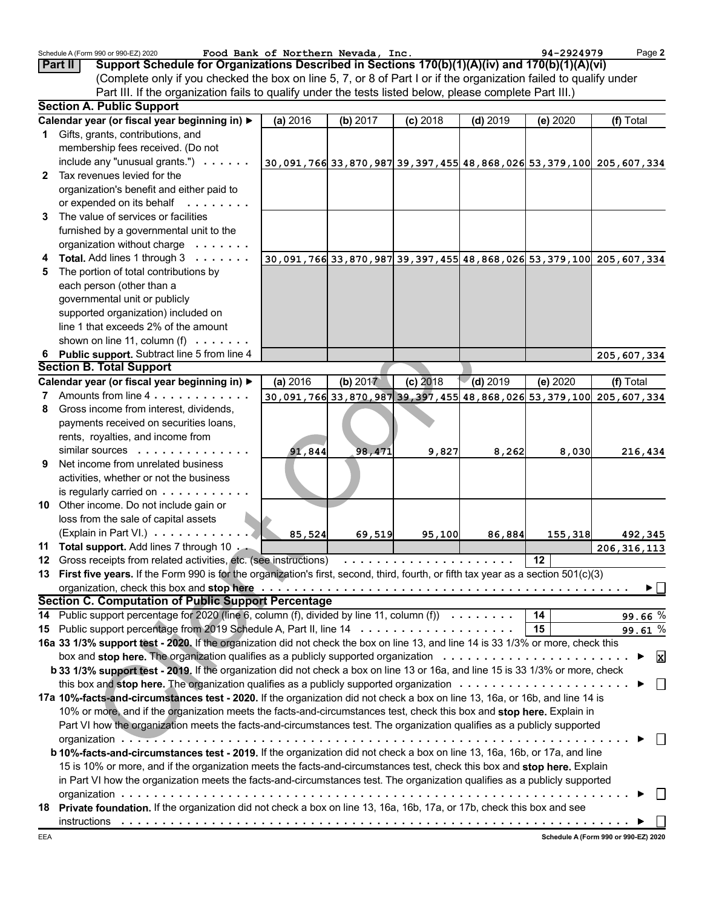|    | Schedule A (Form 990 or 990-EZ) 2020                                                                                                  | Food Bank of Northern Nevada, Inc. |            |            |            | 94-2924979 | Page 2                                                                         |
|----|---------------------------------------------------------------------------------------------------------------------------------------|------------------------------------|------------|------------|------------|------------|--------------------------------------------------------------------------------|
|    | Support Schedule for Organizations Described in Sections 170(b)(1)(A)(iv) and 170(b)(1)(A)(vi)<br><b>Part II</b>                      |                                    |            |            |            |            |                                                                                |
|    | (Complete only if you checked the box on line 5, 7, or 8 of Part I or if the organization failed to qualify under                     |                                    |            |            |            |            |                                                                                |
|    | Part III. If the organization fails to qualify under the tests listed below, please complete Part III.)                               |                                    |            |            |            |            |                                                                                |
|    | <b>Section A. Public Support</b>                                                                                                      |                                    |            |            |            |            |                                                                                |
|    | Calendar year (or fiscal year beginning in) ▶                                                                                         | (a) 2016                           | (b) 2017   | $(c)$ 2018 | $(d)$ 2019 | (e) 2020   | (f) Total                                                                      |
| 1. | Gifts, grants, contributions, and                                                                                                     |                                    |            |            |            |            |                                                                                |
|    | membership fees received. (Do not                                                                                                     |                                    |            |            |            |            |                                                                                |
|    | include any "unusual grants.") $\cdots$ .                                                                                             |                                    |            |            |            |            | 30,091,766 33,870,987 39,397,455 48,868,026 53,379,100 205,607,334             |
|    | 2 Tax revenues levied for the                                                                                                         |                                    |            |            |            |            |                                                                                |
|    | organization's benefit and either paid to                                                                                             |                                    |            |            |            |            |                                                                                |
|    | or expended on its behalf                                                                                                             |                                    |            |            |            |            |                                                                                |
| 3  | The value of services or facilities                                                                                                   |                                    |            |            |            |            |                                                                                |
|    | furnished by a governmental unit to the                                                                                               |                                    |            |            |            |            |                                                                                |
|    | organization without charge<br>4 Total. Add lines 1 through 3                                                                         |                                    |            |            |            |            |                                                                                |
|    |                                                                                                                                       |                                    |            |            |            |            | 30, 091, 766 33, 870, 987 39, 397, 455 48, 868, 026 53, 379, 100 205, 607, 334 |
| 5. | The portion of total contributions by                                                                                                 |                                    |            |            |            |            |                                                                                |
|    | each person (other than a<br>governmental unit or publicly                                                                            |                                    |            |            |            |            |                                                                                |
|    |                                                                                                                                       |                                    |            |            |            |            |                                                                                |
|    | supported organization) included on<br>line 1 that exceeds 2% of the amount                                                           |                                    |            |            |            |            |                                                                                |
|    | shown on line 11, column $(f)$                                                                                                        |                                    |            |            |            |            |                                                                                |
|    | 6 Public support. Subtract line 5 from line 4                                                                                         |                                    |            |            |            |            |                                                                                |
|    | <b>Section B. Total Support</b>                                                                                                       |                                    |            |            |            |            | 205, 607, 334                                                                  |
|    | Calendar year (or fiscal year beginning in) ▶                                                                                         | (a) 2016                           | (b) $2017$ | $(c)$ 2018 | $(d)$ 2019 | (e) 2020   | (f) Total                                                                      |
|    | 7 Amounts from line 4                                                                                                                 |                                    |            |            |            |            | 30,091,766 33,870,987 39,397,455 48,868,026 53,379,100 205,607,334             |
| 8  | Gross income from interest, dividends,                                                                                                |                                    |            |            |            |            |                                                                                |
|    | payments received on securities loans,                                                                                                |                                    |            |            |            |            |                                                                                |
|    | rents, royalties, and income from                                                                                                     |                                    |            |            |            |            |                                                                                |
|    | similar sources                                                                                                                       | 91,844                             | 98,471     | 9,827      | 8,262      | 8,030      | 216,434                                                                        |
| 9  | Net income from unrelated business                                                                                                    |                                    |            |            |            |            |                                                                                |
|    | activities, whether or not the business                                                                                               |                                    |            |            |            |            |                                                                                |
|    | is regularly carried on                                                                                                               |                                    |            |            |            |            |                                                                                |
|    | 10 Other income. Do not include gain or                                                                                               |                                    |            |            |            |            |                                                                                |
|    | loss from the sale of capital assets                                                                                                  |                                    |            |            |            |            |                                                                                |
|    | (Explain in Part VI.)                                                                                                                 | 85,524                             | 69,519     | 95,100     | 86,884     | 155,318    | 492,345                                                                        |
|    | 11 Total support. Add lines 7 through 10                                                                                              |                                    |            |            |            |            | 206, 316, 113                                                                  |
|    |                                                                                                                                       |                                    |            |            |            |            |                                                                                |
|    | 13 First five years. If the Form 990 is for the organization's first, second, third, fourth, or fifth tax year as a section 501(c)(3) |                                    |            |            |            |            |                                                                                |
|    |                                                                                                                                       |                                    |            |            |            |            | ▶ │ │                                                                          |
|    | <b>Section C. Computation of Public Support Percentage</b>                                                                            |                                    |            |            |            |            |                                                                                |
|    | 14 Public support percentage for 2020 (line 6, column (f), divided by line 11, column (f))                                            |                                    |            |            |            | 14         | 99.66%                                                                         |
|    |                                                                                                                                       |                                    |            |            |            | 15         | 99.61 %                                                                        |
|    | 16a 33 1/3% support test - 2020. If the organization did not check the box on line 13, and line 14 is 33 1/3% or more, check this     |                                    |            |            |            |            |                                                                                |
|    | box and stop here. The organization qualifies as a publicly supported organization $\ldots \ldots \ldots \ldots \ldots \ldots \ldots$ |                                    |            |            |            |            | ⊠                                                                              |
|    | b 33 1/3% support test - 2019. If the organization did not check a box on line 13 or 16a, and line 15 is 33 1/3% or more, check       |                                    |            |            |            |            |                                                                                |
|    | this box and stop here. The organization qualifies as a publicly supported organization $\dots \dots \dots \dots \dots \dots \dots$   |                                    |            |            |            |            | $\Box$                                                                         |
|    | 17a 10%-facts-and-circumstances test - 2020. If the organization did not check a box on line 13, 16a, or 16b, and line 14 is          |                                    |            |            |            |            |                                                                                |
|    | 10% or more, and if the organization meets the facts-and-circumstances test, check this box and stop here. Explain in                 |                                    |            |            |            |            |                                                                                |
|    | Part VI how the organization meets the facts-and-circumstances test. The organization qualifies as a publicly supported               |                                    |            |            |            |            |                                                                                |
|    |                                                                                                                                       |                                    |            |            |            |            |                                                                                |
|    | b 10%-facts-and-circumstances test - 2019. If the organization did not check a box on line 13, 16a, 16b, or 17a, and line             |                                    |            |            |            |            |                                                                                |
|    | 15 is 10% or more, and if the organization meets the facts-and-circumstances test, check this box and stop here. Explain              |                                    |            |            |            |            |                                                                                |
|    | in Part VI how the organization meets the facts-and-circumstances test. The organization qualifies as a publicly supported            |                                    |            |            |            |            |                                                                                |
|    |                                                                                                                                       |                                    |            |            |            |            |                                                                                |
|    | 18 Private foundation. If the organization did not check a box on line 13, 16a, 16b, 17a, or 17b, check this box and see              |                                    |            |            |            |            |                                                                                |
|    |                                                                                                                                       |                                    |            |            |            |            |                                                                                |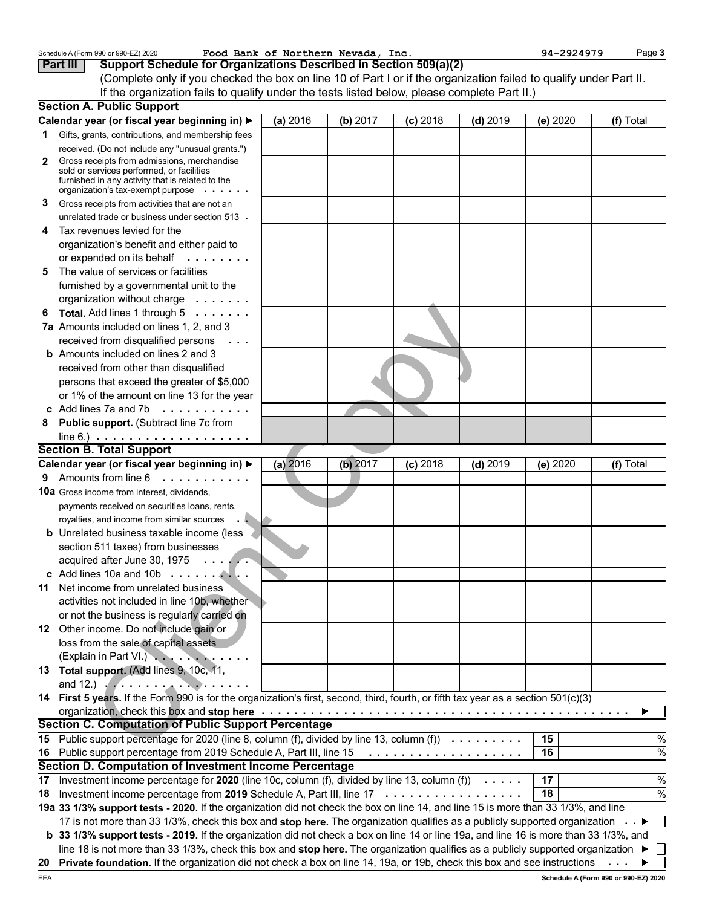|              | Schedule A (Form 990 or 990-EZ) 2020                                                                                                  |            | Food Bank of Northern Nevada, Inc. |              |            | 94-2924979 | Page 3        |
|--------------|---------------------------------------------------------------------------------------------------------------------------------------|------------|------------------------------------|--------------|------------|------------|---------------|
|              | Support Schedule for Organizations Described in Section 509(a)(2)<br><b>Part III</b>                                                  |            |                                    |              |            |            |               |
|              | (Complete only if you checked the box on line 10 of Part I or if the organization failed to qualify under Part II.                    |            |                                    |              |            |            |               |
|              | If the organization fails to qualify under the tests listed below, please complete Part II.)                                          |            |                                    |              |            |            |               |
|              | <b>Section A. Public Support</b>                                                                                                      |            |                                    |              |            |            |               |
|              | Calendar year (or fiscal year beginning in) ▶                                                                                         | (a) 2016   | (b) 2017                           | (c) 2018     | $(d)$ 2019 | (e) 2020   | (f) Total     |
| 1.           | Gifts, grants, contributions, and membership fees                                                                                     |            |                                    |              |            |            |               |
|              | received. (Do not include any "unusual grants.")                                                                                      |            |                                    |              |            |            |               |
| $\mathbf{2}$ | Gross receipts from admissions, merchandise                                                                                           |            |                                    |              |            |            |               |
|              | sold or services performed, or facilities                                                                                             |            |                                    |              |            |            |               |
|              | furnished in any activity that is related to the                                                                                      |            |                                    |              |            |            |               |
|              | organization's tax-exempt purpose                                                                                                     |            |                                    |              |            |            |               |
| 3            | Gross receipts from activities that are not an                                                                                        |            |                                    |              |            |            |               |
|              | unrelated trade or business under section 513 -                                                                                       |            |                                    |              |            |            |               |
| 4            | Tax revenues levied for the                                                                                                           |            |                                    |              |            |            |               |
|              | organization's benefit and either paid to                                                                                             |            |                                    |              |            |            |               |
|              | or expended on its behalf<br>The value of services or facilities                                                                      |            |                                    |              |            |            |               |
| 5.           |                                                                                                                                       |            |                                    |              |            |            |               |
|              | furnished by a governmental unit to the<br>organization without charge                                                                |            |                                    |              |            |            |               |
|              | Total. Add lines 1 through 5                                                                                                          |            |                                    |              |            |            |               |
| 6            | 7a Amounts included on lines 1, 2, and 3                                                                                              |            |                                    |              |            |            |               |
|              | received from disqualified persons                                                                                                    |            |                                    |              |            |            |               |
|              | $\sim$ $\sim$ $\sim$<br><b>b</b> Amounts included on lines 2 and 3                                                                    |            |                                    |              |            |            |               |
|              |                                                                                                                                       |            |                                    |              |            |            |               |
|              | received from other than disqualified                                                                                                 |            |                                    |              |            |            |               |
|              | persons that exceed the greater of \$5,000<br>or 1% of the amount on line 13 for the year                                             |            |                                    |              |            |            |               |
|              | c Add lines 7a and 7b $\ldots$                                                                                                        |            |                                    |              |            |            |               |
|              |                                                                                                                                       |            |                                    |              |            |            |               |
| 8            | Public support. (Subtract line 7c from<br>line 6.) $\ldots \ldots \ldots \ldots \ldots \ldots$                                        |            |                                    |              |            |            |               |
|              | <b>Section B. Total Support</b>                                                                                                       |            |                                    |              |            |            |               |
|              | Calendar year (or fiscal year beginning in) ▶                                                                                         | $(a)$ 2016 | $(b)$ 2017                         | $(c)$ 2018   | $(d)$ 2019 | (e) 2020   | (f) Total     |
|              | 9 Amounts from line 6                                                                                                                 |            |                                    |              |            |            |               |
|              | <b>10a</b> Gross income from interest, dividends,                                                                                     |            |                                    |              |            |            |               |
|              | payments received on securities loans, rents,                                                                                         |            |                                    |              |            |            |               |
|              | royalties, and income from similar sources                                                                                            |            |                                    |              |            |            |               |
|              | <b>b</b> Unrelated business taxable income (less                                                                                      |            |                                    |              |            |            |               |
|              | section 511 taxes) from businesses                                                                                                    |            |                                    |              |            |            |               |
|              | acquired after June 30, 1975                                                                                                          |            |                                    |              |            |            |               |
|              | c Add lines 10a and 10b $\ldots$                                                                                                      |            |                                    |              |            |            |               |
| 11           | Net income from unrelated business                                                                                                    |            |                                    |              |            |            |               |
|              | activities not included in line 10b, whether                                                                                          |            |                                    |              |            |            |               |
|              | or not the business is regularly carried on                                                                                           |            |                                    |              |            |            |               |
|              | 12 Other income. Do not include gain or                                                                                               |            |                                    |              |            |            |               |
|              | loss from the sale of capital assets                                                                                                  |            |                                    |              |            |            |               |
|              | (Explain in Part VI.)                                                                                                                 |            |                                    |              |            |            |               |
|              | 13 Total support. (Add lines 9, 10c, 11,                                                                                              |            |                                    |              |            |            |               |
|              | and 12.) $\ldots$                                                                                                                     |            |                                    |              |            |            |               |
|              | 14 First 5 years. If the Form 990 is for the organization's first, second, third, fourth, or fifth tax year as a section 501(c)(3)    |            |                                    |              |            |            |               |
|              |                                                                                                                                       |            |                                    |              |            |            |               |
|              | Section C. Computation of Public Support Percentage                                                                                   |            |                                    |              |            |            |               |
|              | 15 Public support percentage for 2020 (line 8, column (f), divided by line 13, column (f))                                            |            |                                    |              |            | 15         | $\frac{0}{0}$ |
|              | 16 Public support percentage from 2019 Schedule A, Part III, line 15                                                                  |            |                                    | . <u>.</u> . |            | 16         | $\%$          |
|              | Section D. Computation of Investment Income Percentage                                                                                |            |                                    |              |            |            |               |
| 17           | Investment income percentage for 2020 (line 10c, column (f), divided by line 13, column (f))                                          |            |                                    |              | $\cdot$    | 17         | $\%$          |
| 18           | Investment income percentage from 2019 Schedule A, Part III, line 17                                                                  |            |                                    |              |            | 18         | $\%$          |
|              | 19a 33 1/3% support tests - 2020. If the organization did not check the box on line 14, and line 15 is more than 33 1/3%, and line    |            |                                    |              |            |            |               |
|              | 17 is not more than 33 1/3%, check this box and stop here. The organization qualifies as a publicly supported organization ►          |            |                                    |              |            |            | $\Box$        |
|              | b 33 1/3% support tests - 2019. If the organization did not check a box on line 14 or line 19a, and line 16 is more than 33 1/3%, and |            |                                    |              |            |            |               |
|              | line 18 is not more than 33 1/3%, check this box and stop here. The organization qualifies as a publicly supported organization ►     |            |                                    |              |            |            | $\mathsf{L}$  |
|              | 20 Private foundation. If the organization did not check a box on line 14, 19a, or 19b, check this box and see instructions           |            |                                    |              |            |            |               |
|              |                                                                                                                                       |            |                                    |              |            |            |               |

Page **3**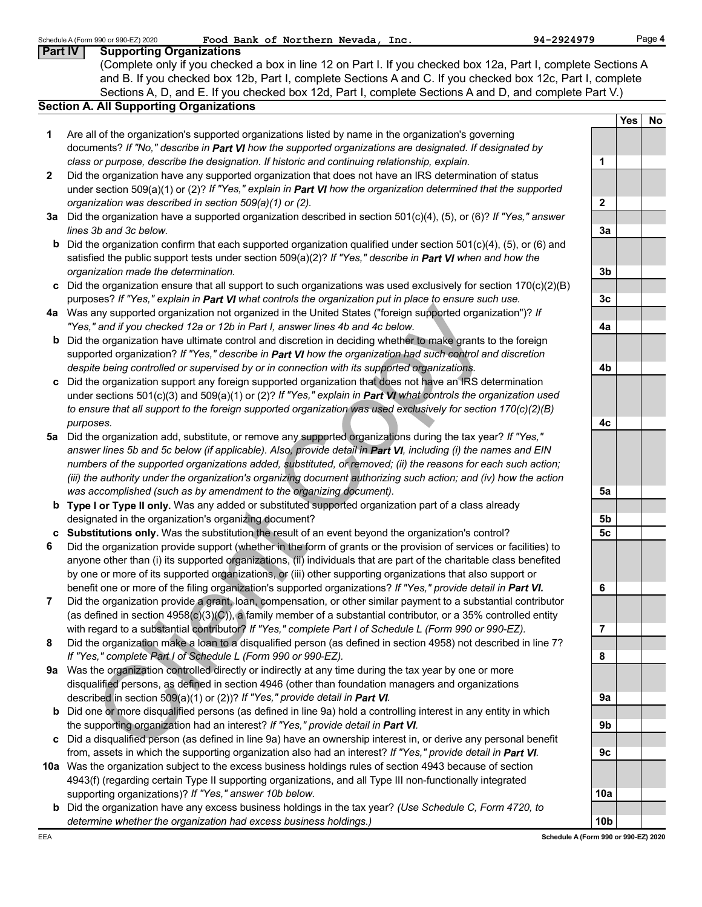|                | 94-2924979<br>Food Bank of Northern Nevada, Inc.<br>Schedule A (Form 990 or 990-EZ) 2020                                                                                                                                  |                 |     | Page 4 |
|----------------|---------------------------------------------------------------------------------------------------------------------------------------------------------------------------------------------------------------------------|-----------------|-----|--------|
| <b>Part IV</b> | <b>Supporting Organizations</b>                                                                                                                                                                                           |                 |     |        |
|                | (Complete only if you checked a box in line 12 on Part I. If you checked box 12a, Part I, complete Sections A                                                                                                             |                 |     |        |
|                | and B. If you checked box 12b, Part I, complete Sections A and C. If you checked box 12c, Part I, complete                                                                                                                |                 |     |        |
|                | Sections A, D, and E. If you checked box 12d, Part I, complete Sections A and D, and complete Part V.)                                                                                                                    |                 |     |        |
|                | <b>Section A. All Supporting Organizations</b>                                                                                                                                                                            |                 |     |        |
|                |                                                                                                                                                                                                                           |                 | Yes | No     |
| 1              | Are all of the organization's supported organizations listed by name in the organization's governing                                                                                                                      |                 |     |        |
|                | documents? If "No," describe in Part VI how the supported organizations are designated. If designated by                                                                                                                  |                 |     |        |
|                | class or purpose, describe the designation. If historic and continuing relationship, explain.                                                                                                                             | 1               |     |        |
| $\mathbf{2}$   | Did the organization have any supported organization that does not have an IRS determination of status                                                                                                                    |                 |     |        |
|                | under section 509(a)(1) or (2)? If "Yes," explain in Part VI how the organization determined that the supported                                                                                                           |                 |     |        |
|                | organization was described in section 509(a)(1) or (2).                                                                                                                                                                   | 2               |     |        |
|                | 3a Did the organization have a supported organization described in section $501(c)(4)$ , (5), or (6)? If "Yes," answer                                                                                                    |                 |     |        |
|                | lines 3b and 3c below.                                                                                                                                                                                                    | 3a              |     |        |
|                | Did the organization confirm that each supported organization qualified under section $501(c)(4)$ , (5), or (6) and                                                                                                       |                 |     |        |
|                | satisfied the public support tests under section $509(a)(2)$ ? If "Yes," describe in Part VI when and how the                                                                                                             |                 |     |        |
|                | organization made the determination.                                                                                                                                                                                      | 3 <sub>b</sub>  |     |        |
|                | c Did the organization ensure that all support to such organizations was used exclusively for section $170(c)(2)(B)$                                                                                                      |                 |     |        |
|                | purposes? If "Yes," explain in Part VI what controls the organization put in place to ensure such use.                                                                                                                    | 3 <sub>c</sub>  |     |        |
|                | 4a Was any supported organization not organized in the United States ("foreign supported organization")? If                                                                                                               |                 |     |        |
|                | "Yes," and if you checked 12a or 12b in Part I, answer lines 4b and 4c below.                                                                                                                                             | 4a              |     |        |
|                | Did the organization have ultimate control and discretion in deciding whether to make grants to the foreign                                                                                                               |                 |     |        |
|                | supported organization? If "Yes," describe in Part VI how the organization had such control and discretion                                                                                                                |                 |     |        |
|                | despite being controlled or supervised by or in connection with its supported organizations.                                                                                                                              | 4b              |     |        |
|                | Did the organization support any foreign supported organization that does not have an IRS determination                                                                                                                   |                 |     |        |
|                | under sections 501(c)(3) and 509(a)(1) or (2)? If "Yes," explain in <b>Part VI</b> what controls the organization used                                                                                                    |                 |     |        |
|                | to ensure that all support to the foreign supported organization was used exclusively for section 170(c)(2)(B)                                                                                                            |                 |     |        |
|                | purposes.                                                                                                                                                                                                                 | 4c              |     |        |
|                | 5a Did the organization add, substitute, or remove any supported organizations during the tax year? If "Yes,"                                                                                                             |                 |     |        |
|                | answer lines 5b and 5c below (if applicable). Also, provide detail in Part VI, including (i) the names and EIN                                                                                                            |                 |     |        |
|                | numbers of the supported organizations added, substituted, or removed; (ii) the reasons for each such action;                                                                                                             |                 |     |        |
|                | (iii) the authority under the organization's organizing document authorizing such action; and (iv) how the action                                                                                                         |                 |     |        |
|                | was accomplished (such as by amendment to the organizing document).                                                                                                                                                       | 5a              |     |        |
|                | <b>b</b> Type I or Type II only. Was any added or substituted supported organization part of a class already                                                                                                              |                 |     |        |
|                | designated in the organization's organizing document?                                                                                                                                                                     | 5b              |     |        |
|                | c Substitutions only. Was the substitution the result of an event beyond the organization's control?                                                                                                                      | 5c              |     |        |
|                | Did the organization provide support (whether in the form of grants or the provision of services or facilities) to                                                                                                        |                 |     |        |
|                | anyone other than (i) its supported organizations, (ii) individuals that are part of the charitable class benefited                                                                                                       |                 |     |        |
|                | by one or more of its supported organizations, or (iii) other supporting organizations that also support or                                                                                                               |                 |     |        |
|                | benefit one or more of the filing organization's supported organizations? If "Yes," provide detail in Part VI.                                                                                                            | 6               |     |        |
| 7              | Did the organization provide a grant, loan, compensation, or other similar payment to a substantial contributor                                                                                                           |                 |     |        |
|                | (as defined in section $4958(c)(3)(C)$ ), a family member of a substantial contributor, or a 35% controlled entity                                                                                                        |                 |     |        |
|                | with regard to a substantial contributor? If "Yes," complete Part I of Schedule L (Form 990 or 990-EZ).                                                                                                                   | 7               |     |        |
| 8              | Did the organization make a loan to a disqualified person (as defined in section 4958) not described in line 7?                                                                                                           |                 |     |        |
|                | If "Yes," complete Part I of Schedule L (Form 990 or 990-EZ).                                                                                                                                                             | 8               |     |        |
| 9а             | Was the organization controlled directly or indirectly at any time during the tax year by one or more                                                                                                                     |                 |     |        |
|                | disqualified persons, as defined in section 4946 (other than foundation managers and organizations                                                                                                                        |                 |     |        |
|                | described in section 509(a)(1) or (2))? If "Yes," provide detail in Part VI.                                                                                                                                              | 9a              |     |        |
| b              | Did one or more disqualified persons (as defined in line 9a) hold a controlling interest in any entity in which                                                                                                           |                 |     |        |
|                | the supporting organization had an interest? If "Yes," provide detail in Part VI.                                                                                                                                         | 9b              |     |        |
| с              | Did a disqualified person (as defined in line 9a) have an ownership interest in, or derive any personal benefit                                                                                                           | 9c              |     |        |
|                | from, assets in which the supporting organization also had an interest? If "Yes," provide detail in Part VI.<br>10a Was the organization subject to the excess business holdings rules of section 4943 because of section |                 |     |        |
|                | 4943(f) (regarding certain Type II supporting organizations, and all Type III non-functionally integrated                                                                                                                 |                 |     |        |
|                | supporting organizations)? If "Yes," answer 10b below.                                                                                                                                                                    | 10a             |     |        |
| b              | Did the organization have any excess business holdings in the tax year? (Use Schedule C, Form 4720, to                                                                                                                    |                 |     |        |
|                | determine whether the organization had excess business holdings.)                                                                                                                                                         | 10 <sub>b</sub> |     |        |
|                |                                                                                                                                                                                                                           |                 |     |        |
| EEA            | Schedule A (Form 990 or 990-EZ) 2020                                                                                                                                                                                      |                 |     |        |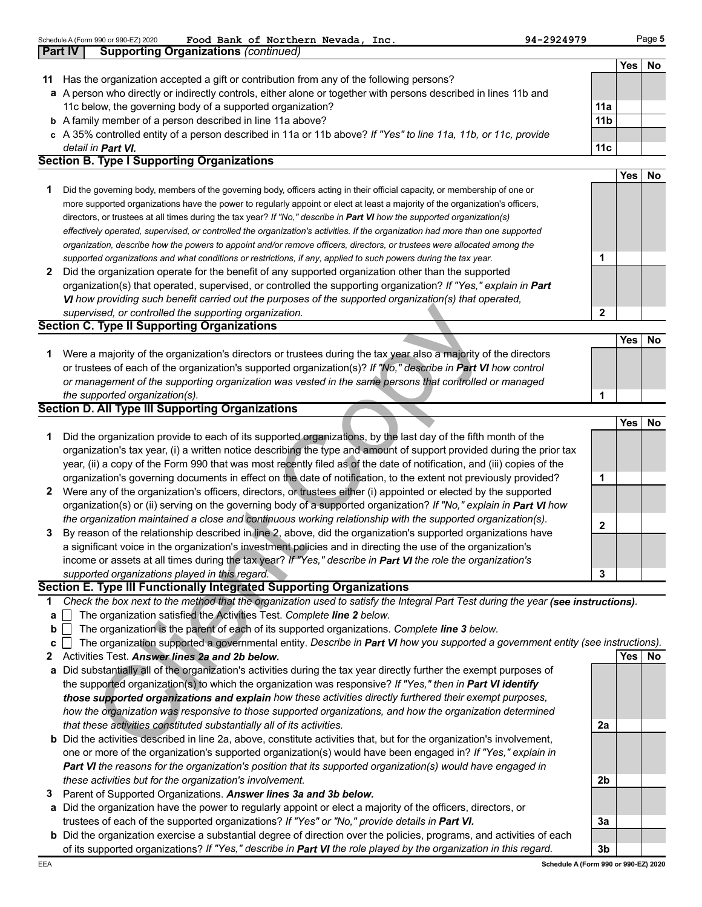Page **5**

- **Yes No 11** Has the organization accepted a gift or contribution from any of the following persons? **a** A person who directly or indirectly controls, either alone or together with persons described in lines 11b and **11a 11b 11c Yes No 1** Did the governing body, members of the governing body, officers acting in their official capacity, or membership of one or **1 2** Did the organization operate for the benefit of any supported organization other than the supported **2 Yes No 1** Were a majority of the organization's directors or trustees during the tax year also a majority of the directors **1 Yes No 1** Did the organization provide to each of its supported organizations, by the last day of the fifth month of the **1 2** Were any of the organization's officers, directors, or trustees either (i) appointed or elected by the supported **2 2 2 3** By reason of the relationship described in line 2, above, did the organization's supported organizations have **3 1 a** The organization satisfied the Activities Test. *Complete line 2 below.* **b** The organization is the parent of each of its supported organizations. *Complete line 3 below.* **c** The organization supported a governmental entity. *Describe in Part VI how you supported a government entity (see instructions).* **2 Yes No** Activities Test. *Answer lines 2a and 2b below.* **a** Did substantially all of the organization's activities during the tax year directly further the exempt purposes of **2a b** Did the activities described in line 2a, above, constitute activities that, but for the organization's involvement, **2b 3** Parent of Supported Organizations. *Answer lines 3a and 3b below.* 11c below, the governing body of a supported organization? A family member of a person described in line 11a above? **b** A 35% controlled entity of a person described in 11a or 11b above? *If "Yes" to line 11a, 11b, or 11c, provide* **c** *detail in Part VI.* organization(s) that operated, supervised, or controlled the supporting organization? *If "Yes," explain in Part VI how providing such benefit carried out the purposes of the supported organization(s) that operated, supervised, or controlled the supporting organization.* or trustees of each of the organization's supported organization(s)? *If "No," describe in Part VI how control or management of the supporting organization was vested in the same persons that controlled or managed the supported organization(s).* organization's tax year, (i) a written notice describing the type and amount of support provided during the prior tax year, (ii) a copy of the Form 990 that was most recently filed as of the date of notification, and (iii) copies of the organization's governing documents in effect on the date of notification, to the extent not previously provided? organization(s) or (ii) serving on the governing body of a supported organization? *If "No," explain in Part VI how the organization maintained a close and continuous working relationship with the supported organization(s).* a significant voice in the organization's investment policies and in directing the use of the organization's income or assets at all times during the tax year? *If "Yes," describe in Part VI the role the organization's supported organizations played in this regard. Check the box next to the method that the organization used to satisfy the Integral Part Test during the year (see instructions).* the supported organization(s) to which the organization was responsive? *If "Yes," then in Part VI identify those supported organizations and explain how these activities directly furthered their exempt purposes, how the organization was responsive to those supported organizations, and how the organization determined that these activities constituted substantially all of its activities.* one or more of the organization's supported organization(s) would have been engaged in? *If "Yes," explain in Part VI the reasons for the organization's position that its supported organization(s) would have engaged in these activities but for the organization's involvement.* **Section B. Type I Supporting Organizations Section C. Type II Supporting Organizations Section D. All Type III Supporting Organizations Section E. Type III Functionally Integrated Supporting Organizations** more supported organizations have the power to regularly appoint or elect at least a majority of the organization's officers, directors, or trustees at all times during the tax year? *If "No," describe in Part VI how the supported organization(s) effectively operated, supervised, or controlled the organization's activities. If the organization had more than one supported organization, describe how the powers to appoint and/or remove officers, directors, or trustees were allocated among the supported organizations and what conditions or restrictions, if any, applied to such powers during the tax year.*
	- **a** Did the organization have the power to regularly appoint or elect a majority of the officers, directors, or trustees of each of the supported organizations? *If "Yes" or "No," provide details in Part VI.*
	- **b** Did the organization exercise a substantial degree of direction over the policies, programs, and activities of each of its supported organizations? *If "Yes," describe in Part VI the role played by the organization in this regard.*

**3a**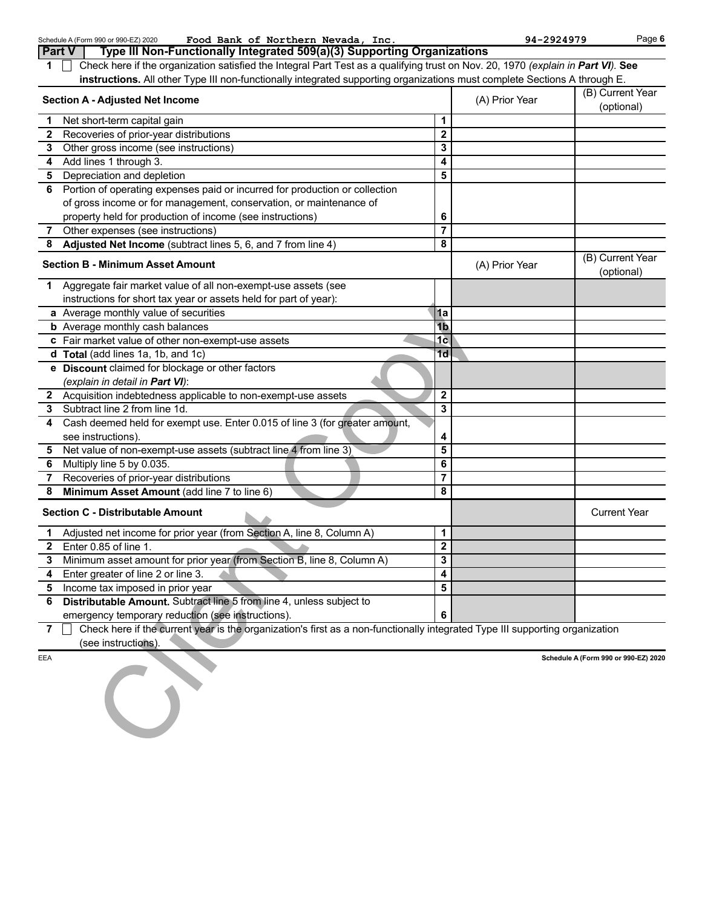|                         | Food Bank of Northern Nevada, Inc.<br>Schedule A (Form 990 or 990-EZ) 2020                                                       |                         | 94-2924979     | Page 6                               |
|-------------------------|----------------------------------------------------------------------------------------------------------------------------------|-------------------------|----------------|--------------------------------------|
|                         | Type III Non-Functionally Integrated 509(a)(3) Supporting Organizations<br><b>Part V</b>                                         |                         |                |                                      |
| 1                       | Check here if the organization satisfied the Integral Part Test as a qualifying trust on Nov. 20, 1970 (explain in Part VI). See |                         |                |                                      |
|                         | instructions. All other Type III non-functionally integrated supporting organizations must complete Sections A through E.        |                         |                |                                      |
|                         | <b>Section A - Adjusted Net Income</b>                                                                                           |                         | (A) Prior Year | (B) Current Year                     |
|                         |                                                                                                                                  |                         |                | (optional)                           |
| 1                       | Net short-term capital gain                                                                                                      | 1                       |                |                                      |
| $\mathbf{2}$            | Recoveries of prior-year distributions                                                                                           | $\mathbf{2}$            |                |                                      |
| 3                       | Other gross income (see instructions)                                                                                            | 3                       |                |                                      |
| 4                       | Add lines 1 through 3.                                                                                                           | 4                       |                |                                      |
| 5                       | Depreciation and depletion                                                                                                       | 5                       |                |                                      |
| 6                       | Portion of operating expenses paid or incurred for production or collection                                                      |                         |                |                                      |
|                         | of gross income or for management, conservation, or maintenance of                                                               |                         |                |                                      |
|                         | property held for production of income (see instructions)<br>7 Other expenses (see instructions)                                 | 6<br>7                  |                |                                      |
|                         |                                                                                                                                  | 8                       |                |                                      |
|                         | 8 Adjusted Net Income (subtract lines 5, 6, and 7 from line 4)                                                                   |                         |                |                                      |
|                         | <b>Section B - Minimum Asset Amount</b>                                                                                          |                         | (A) Prior Year | (B) Current Year<br>(optional)       |
| 1                       | Aggregate fair market value of all non-exempt-use assets (see                                                                    |                         |                |                                      |
|                         | instructions for short tax year or assets held for part of year):                                                                |                         |                |                                      |
|                         | a Average monthly value of securities                                                                                            | <sup>1</sup> 1a         |                |                                      |
|                         | <b>b</b> Average monthly cash balances                                                                                           | 1 <sub>b</sub>          |                |                                      |
|                         | c Fair market value of other non-exempt-use assets                                                                               | 1 <sub>c</sub>          |                |                                      |
|                         | d Total (add lines 1a, 1b, and 1c)                                                                                               | 1 <sub>d</sub>          |                |                                      |
|                         | e Discount claimed for blockage or other factors                                                                                 |                         |                |                                      |
|                         | (explain in detail in Part VI):                                                                                                  |                         |                |                                      |
|                         | 2 Acquisition indebtedness applicable to non-exempt-use assets                                                                   | 2                       |                |                                      |
| $3 -$                   | Subtract line 2 from line 1d.                                                                                                    | 3                       |                |                                      |
| 4                       | Cash deemed held for exempt use. Enter 0.015 of line 3 (for greater amount,                                                      |                         |                |                                      |
|                         | see instructions).                                                                                                               | 4                       |                |                                      |
| 5                       | Net value of non-exempt-use assets (subtract line 4 from line 3)                                                                 | 5                       |                |                                      |
| 6                       | Multiply line 5 by 0.035.                                                                                                        | 6                       |                |                                      |
| 7                       | Recoveries of prior-year distributions                                                                                           | 7                       |                |                                      |
| 8                       | Minimum Asset Amount (add line 7 to line 6)                                                                                      | 8                       |                |                                      |
|                         | <b>Section C - Distributable Amount</b>                                                                                          |                         |                | <b>Current Year</b>                  |
|                         | Adjusted net income for prior year (from Section A, line 8, Column A)                                                            | 1                       |                |                                      |
| $\overline{\mathbf{2}}$ | Enter 0.85 of line 1.                                                                                                            | $\overline{\mathbf{2}}$ |                |                                      |
| 3                       | Minimum asset amount for prior year (from Section B, line 8, Column A)                                                           | 3                       |                |                                      |
| 4                       | Enter greater of line 2 or line 3.                                                                                               | 4                       |                |                                      |
| 5                       | Income tax imposed in prior year                                                                                                 | 5                       |                |                                      |
| 6                       | Distributable Amount. Subtract line 5 from line 4, unless subject to                                                             |                         |                |                                      |
|                         | emergency temporary reduction (see instructions).                                                                                | 6                       |                |                                      |
| $\overline{7}$          | Check here if the current year is the organization's first as a non-functionally integrated Type III supporting organization     |                         |                |                                      |
|                         | (see instructions).                                                                                                              |                         |                |                                      |
| EEA                     |                                                                                                                                  |                         |                | Schedule A (Form 990 or 990-EZ) 2020 |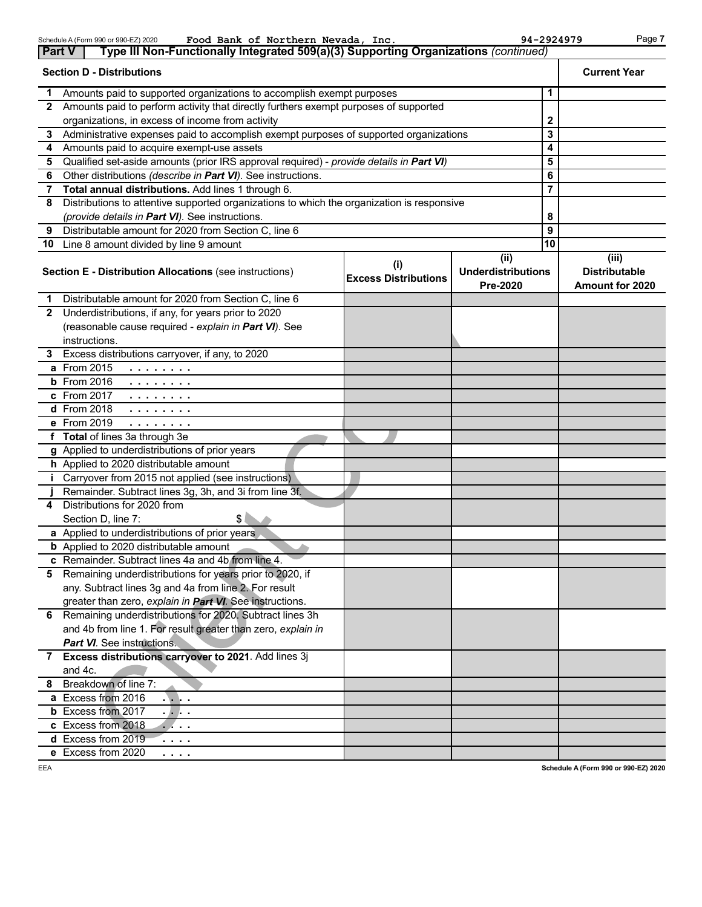| <b>Part V</b>                    | Food Bank of Northern Nevada, Inc.<br>Schedule A (Form 990 or 990-EZ) 2020<br>Type III Non-Functionally Integrated 509(a)(3) Supporting Organizations (continued) |                                    |                                                       | 94-2924979 | Page 7                                           |
|----------------------------------|-------------------------------------------------------------------------------------------------------------------------------------------------------------------|------------------------------------|-------------------------------------------------------|------------|--------------------------------------------------|
| <b>Section D - Distributions</b> | <b>Current Year</b>                                                                                                                                               |                                    |                                                       |            |                                                  |
| 1                                | Amounts paid to supported organizations to accomplish exempt purposes                                                                                             |                                    |                                                       | 1          |                                                  |
|                                  | 2 Amounts paid to perform activity that directly furthers exempt purposes of supported                                                                            |                                    |                                                       |            |                                                  |
|                                  | organizations, in excess of income from activity                                                                                                                  |                                    |                                                       | 2          |                                                  |
| 3                                | Administrative expenses paid to accomplish exempt purposes of supported organizations                                                                             |                                    |                                                       | 3          |                                                  |
| 4                                | Amounts paid to acquire exempt-use assets                                                                                                                         |                                    |                                                       | 4          |                                                  |
| 5                                | Qualified set-aside amounts (prior IRS approval required) - provide details in Part VI)                                                                           |                                    |                                                       | 5          |                                                  |
| 6                                | Other distributions (describe in Part VI). See instructions.                                                                                                      |                                    |                                                       | 6          |                                                  |
| 7                                | Total annual distributions. Add lines 1 through 6.                                                                                                                |                                    |                                                       | 7          |                                                  |
| 8                                | Distributions to attentive supported organizations to which the organization is responsive                                                                        |                                    |                                                       |            |                                                  |
|                                  | (provide details in Part VI). See instructions.                                                                                                                   |                                    |                                                       | 8          |                                                  |
| 9                                | Distributable amount for 2020 from Section C, line 6                                                                                                              |                                    |                                                       | 9          |                                                  |
|                                  | 10 Line 8 amount divided by line 9 amount                                                                                                                         |                                    |                                                       | 10         |                                                  |
|                                  | <b>Section E - Distribution Allocations (see instructions)</b>                                                                                                    | (i)<br><b>Excess Distributions</b> | (iii)<br><b>Underdistributions</b><br><b>Pre-2020</b> |            | (iii)<br><b>Distributable</b><br>Amount for 2020 |
| 1                                | Distributable amount for 2020 from Section C, line 6                                                                                                              |                                    |                                                       |            |                                                  |
|                                  | 2 Underdistributions, if any, for years prior to 2020                                                                                                             |                                    |                                                       |            |                                                  |
|                                  | (reasonable cause required - explain in Part VI). See                                                                                                             |                                    |                                                       |            |                                                  |
|                                  | instructions.                                                                                                                                                     |                                    |                                                       |            |                                                  |
|                                  | 3 Excess distributions carryover, if any, to 2020                                                                                                                 |                                    |                                                       |            |                                                  |
|                                  | <b>a</b> From 2015<br>.                                                                                                                                           |                                    |                                                       |            |                                                  |
|                                  | <b>b</b> From 2016<br>.                                                                                                                                           |                                    |                                                       |            |                                                  |
|                                  | c From 2017<br>.                                                                                                                                                  |                                    |                                                       |            |                                                  |
|                                  | <b>d</b> From 2018<br>.                                                                                                                                           |                                    |                                                       |            |                                                  |
|                                  | e From 2019<br>.                                                                                                                                                  |                                    |                                                       |            |                                                  |
|                                  | f Total of lines 3a through 3e                                                                                                                                    |                                    |                                                       |            |                                                  |
|                                  | g Applied to underdistributions of prior years                                                                                                                    |                                    |                                                       |            |                                                  |
|                                  | h Applied to 2020 distributable amount                                                                                                                            |                                    |                                                       |            |                                                  |
|                                  | <i>i</i> Carryover from 2015 not applied (see instructions)                                                                                                       |                                    |                                                       |            |                                                  |
|                                  | Remainder. Subtract lines 3g, 3h, and 3i from line 3f.                                                                                                            |                                    |                                                       |            |                                                  |
| 4                                | Distributions for 2020 from                                                                                                                                       |                                    |                                                       |            |                                                  |
|                                  | $\frac{1}{2}$<br>Section D, line 7:                                                                                                                               |                                    |                                                       |            |                                                  |
|                                  | a Applied to underdistributions of prior years                                                                                                                    |                                    |                                                       |            |                                                  |
|                                  | <b>b</b> Applied to 2020 distributable amount                                                                                                                     |                                    |                                                       |            |                                                  |
|                                  | c Remainder. Subtract lines 4a and 4b from line 4.                                                                                                                |                                    |                                                       |            |                                                  |
|                                  | 5 Remaining underdistributions for years prior to 2020, if                                                                                                        |                                    |                                                       |            |                                                  |
|                                  | any. Subtract lines 3g and 4a from line 2. For result                                                                                                             |                                    |                                                       |            |                                                  |
|                                  | greater than zero, explain in Part VI. See instructions.                                                                                                          |                                    |                                                       |            |                                                  |
|                                  | 6 Remaining underdistributions for 2020. Subtract lines 3h                                                                                                        |                                    |                                                       |            |                                                  |
|                                  | and 4b from line 1. For result greater than zero, explain in                                                                                                      |                                    |                                                       |            |                                                  |
|                                  | Part VI. See instructions.                                                                                                                                        |                                    |                                                       |            |                                                  |
|                                  | 7 Excess distributions carryover to 2021. Add lines 3j<br>and 4c.                                                                                                 |                                    |                                                       |            |                                                  |
| 8                                | Breakdown of line 7:                                                                                                                                              |                                    |                                                       |            |                                                  |
|                                  | a Excess from 2016                                                                                                                                                |                                    |                                                       |            |                                                  |
|                                  | $\cdots$<br><b>b</b> Excess from 2017                                                                                                                             |                                    |                                                       |            |                                                  |
|                                  | $\mathcal{L}$ , $\mathcal{L}$<br>c Excess from 2018                                                                                                               |                                    |                                                       |            |                                                  |
|                                  | $\mathcal{L}$<br>d Excess from 2019                                                                                                                               |                                    |                                                       |            |                                                  |
|                                  | .<br>e Excess from 2020                                                                                                                                           |                                    |                                                       |            |                                                  |
|                                  | .                                                                                                                                                                 |                                    |                                                       |            |                                                  |
| EEA                              |                                                                                                                                                                   |                                    |                                                       |            | Schedule A (Form 990 or 990-EZ) 2020             |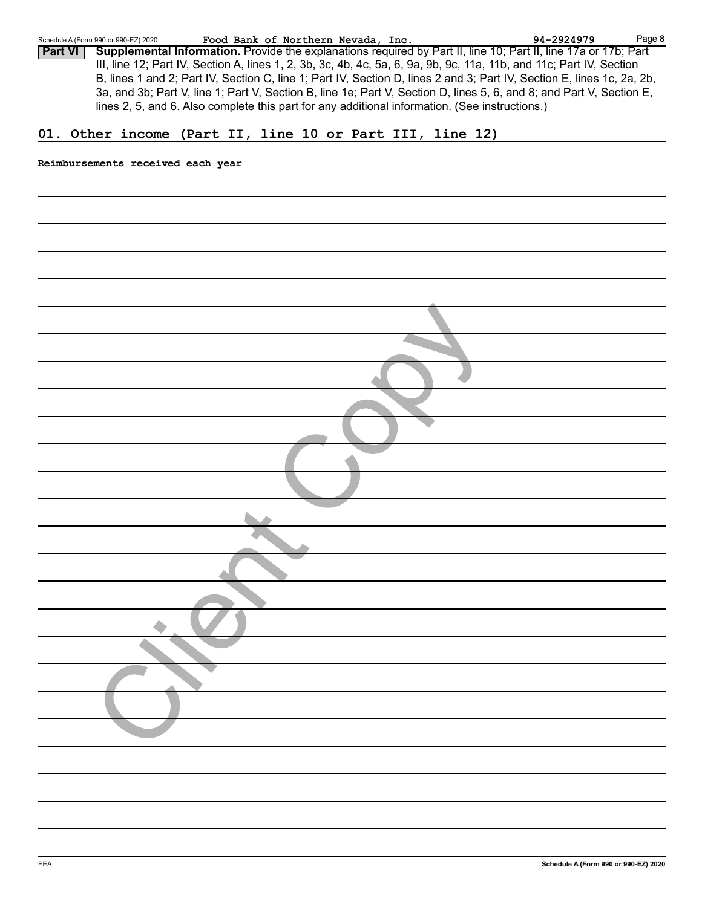|                | Food Bank of Northern Nevada, Inc.<br>Schedule A (Form 990 or 990-EZ) 2020                                                                                                                                                                     | Page 8<br>94-2924979 |
|----------------|------------------------------------------------------------------------------------------------------------------------------------------------------------------------------------------------------------------------------------------------|----------------------|
| <b>Part VI</b> | Supplemental Information. Provide the explanations required by Part II, line 10; Part II, line 17a or 17b; Part                                                                                                                                |                      |
|                | III, line 12; Part IV, Section A, lines 1, 2, 3b, 3c, 4b, 4c, 5a, 6, 9a, 9b, 9c, 11a, 11b, and 11c; Part IV, Section<br>B, lines 1 and 2; Part IV, Section C, line 1; Part IV, Section D, lines 2 and 3; Part IV, Section E, lines 1c, 2a, 2b, |                      |
|                | 3a, and 3b; Part V, line 1; Part V, Section B, line 1e; Part V, Section D, lines 5, 6, and 8; and Part V, Section E,                                                                                                                           |                      |
|                | lines 2, 5, and 6. Also complete this part for any additional information. (See instructions.)                                                                                                                                                 |                      |
|                | 01. Other income (Part II, line 10 or Part III, line 12)                                                                                                                                                                                       |                      |
|                |                                                                                                                                                                                                                                                |                      |
|                | Reimbursements received each year                                                                                                                                                                                                              |                      |
|                |                                                                                                                                                                                                                                                |                      |
|                |                                                                                                                                                                                                                                                |                      |
|                |                                                                                                                                                                                                                                                |                      |
|                |                                                                                                                                                                                                                                                |                      |
|                |                                                                                                                                                                                                                                                |                      |
|                |                                                                                                                                                                                                                                                |                      |
|                |                                                                                                                                                                                                                                                |                      |
|                |                                                                                                                                                                                                                                                |                      |
|                |                                                                                                                                                                                                                                                |                      |
|                |                                                                                                                                                                                                                                                |                      |
|                |                                                                                                                                                                                                                                                |                      |
|                |                                                                                                                                                                                                                                                |                      |
|                |                                                                                                                                                                                                                                                |                      |
|                |                                                                                                                                                                                                                                                |                      |
|                |                                                                                                                                                                                                                                                |                      |
|                |                                                                                                                                                                                                                                                |                      |
|                |                                                                                                                                                                                                                                                |                      |
|                |                                                                                                                                                                                                                                                |                      |
|                |                                                                                                                                                                                                                                                |                      |
|                |                                                                                                                                                                                                                                                |                      |
|                |                                                                                                                                                                                                                                                |                      |
|                |                                                                                                                                                                                                                                                |                      |
|                |                                                                                                                                                                                                                                                |                      |
|                |                                                                                                                                                                                                                                                |                      |
|                |                                                                                                                                                                                                                                                |                      |
|                |                                                                                                                                                                                                                                                |                      |
|                |                                                                                                                                                                                                                                                |                      |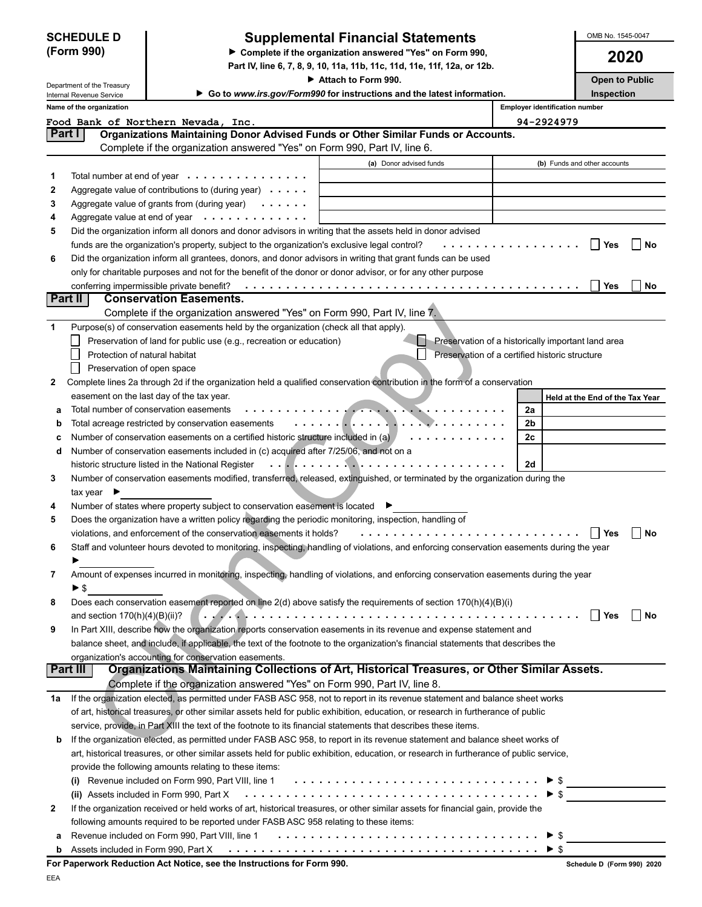| <b>SCHEDULE D</b> |  |
|-------------------|--|
| (Form 990)        |  |

Department of the Treasury Internal Revenue Service

## **Supplemental Financial Statements**

**Complete if the organization answered "Yes" on Form 990,**

**Part IV, line 6, 7, 8, 9, 10, 11a, 11b, 11c, 11d, 11e, 11f, 12a, or 12b.**

OMB No. 1545-0047

▶ Attach to Form 990. **Department of Public** Open to Public

**Inspection**

|  | ► Go to www.irs.gov/Form990 for instructions and the latest information. |  |
|--|--------------------------------------------------------------------------|--|
|  |                                                                          |  |

|              | Name of the organization                                                                                                                              |                         | <b>Employer identification number</b>              |
|--------------|-------------------------------------------------------------------------------------------------------------------------------------------------------|-------------------------|----------------------------------------------------|
|              | Food Bank of Northern Nevada, Inc.                                                                                                                    |                         | 94-2924979                                         |
| Part I       | Organizations Maintaining Donor Advised Funds or Other Similar Funds or Accounts.                                                                     |                         |                                                    |
|              | Complete if the organization answered "Yes" on Form 990, Part IV, line 6.                                                                             |                         |                                                    |
|              |                                                                                                                                                       | (a) Donor advised funds | (b) Funds and other accounts                       |
| 1            | Total number at end of year $\cdots$                                                                                                                  |                         |                                                    |
| 2            | Aggregate value of contributions to (during year) $\cdots$ .                                                                                          |                         |                                                    |
| 3            | Aggregate value of grants from (during year) $\cdots$                                                                                                 |                         |                                                    |
| 4            | Aggregate value at end of year                                                                                                                        |                         |                                                    |
| 5            | Did the organization inform all donors and donor advisors in writing that the assets held in donor advised                                            |                         |                                                    |
|              | funds are the organization's property, subject to the organization's exclusive legal control?                                                         |                         | .<br>l I Yes<br>No                                 |
| 6            | Did the organization inform all grantees, donors, and donor advisors in writing that grant funds can be used                                          |                         |                                                    |
|              | only for charitable purposes and not for the benefit of the donor or donor advisor, or for any other purpose                                          |                         |                                                    |
|              | conferring impermissible private benefit?                                                                                                             |                         | ∣ Yes<br>No                                        |
|              | Part II<br><b>Conservation Easements.</b>                                                                                                             |                         |                                                    |
|              | Complete if the organization answered "Yes" on Form 990, Part IV, line 7.                                                                             |                         |                                                    |
| $\mathbf 1$  | Purpose(s) of conservation easements held by the organization (check all that apply).                                                                 |                         |                                                    |
|              | Preservation of land for public use (e.g., recreation or education)                                                                                   |                         | Preservation of a historically important land area |
|              | Protection of natural habitat                                                                                                                         |                         | Preservation of a certified historic structure     |
|              | Preservation of open space                                                                                                                            |                         |                                                    |
| 2            | Complete lines 2a through 2d if the organization held a qualified conservation contribution in the form of a conservation                             |                         |                                                    |
|              | easement on the last day of the tax year.                                                                                                             |                         |                                                    |
|              | Total number of conservation easements                                                                                                                |                         | Held at the End of the Tax Year<br>2a              |
| а            | Total acreage restricted by conservation easements                                                                                                    |                         | 2 <sub>b</sub>                                     |
| b            |                                                                                                                                                       | .                       | 2c                                                 |
| с            | Number of conservation easements on a certified historic structure included in (a)                                                                    |                         |                                                    |
| d            | Number of conservation easements included in (c) acquired after 7/25/06, and not on a                                                                 |                         |                                                    |
|              | historic structure listed in the National Register                                                                                                    |                         | 2d                                                 |
| 3            | Number of conservation easements modified, transferred, released, extinguished, or terminated by the organization during the                          |                         |                                                    |
|              | tax year $\blacktriangleright$                                                                                                                        |                         |                                                    |
| 4            | Number of states where property subject to conservation easement is located                                                                           |                         |                                                    |
| 5            | Does the organization have a written policy regarding the periodic monitoring, inspection, handling of                                                |                         |                                                    |
|              | violations, and enforcement of the conservation easements it holds?                                                                                   | .                       | <b>No</b><br>l Yes                                 |
| 6            | Staff and volunteer hours devoted to monitoring, inspecting, handling of violations, and enforcing conservation easements during the year             |                         |                                                    |
|              |                                                                                                                                                       |                         |                                                    |
| 7            | Amount of expenses incurred in monitoring, inspecting, handling of violations, and enforcing conservation easements during the year                   |                         |                                                    |
|              | ► \$                                                                                                                                                  |                         |                                                    |
| 8            | Does each conservation easement reported on line 2(d) above satisfy the requirements of section 170(h)(4)(B)(i)                                       |                         |                                                    |
|              |                                                                                                                                                       |                         | $\Box$ Yes<br>$\Box$ No                            |
| 9            | In Part XIII, describe how the organization reports conservation easements in its revenue and expense statement and                                   |                         |                                                    |
|              | balance sheet, and include, if applicable, the text of the footnote to the organization's financial statements that describes the                     |                         |                                                    |
|              | organization's accounting for conservation easements.<br>Organizations Maintaining Collections of Art, Historical Treasures, or Other Similar Assets. |                         |                                                    |
|              | Part III                                                                                                                                              |                         |                                                    |
|              | Complete if the organization answered "Yes" on Form 990, Part IV, line 8.                                                                             |                         |                                                    |
| 1a           | If the organization elected, as permitted under FASB ASC 958, not to report in its revenue statement and balance sheet works                          |                         |                                                    |
|              | of art, historical treasures, or other similar assets held for public exhibition, education, or research in furtherance of public                     |                         |                                                    |
|              | service, provide, in Part XIII the text of the footnote to its financial statements that describes these items.                                       |                         |                                                    |
| b            | If the organization elected, as permitted under FASB ASC 958, to report in its revenue statement and balance sheet works of                           |                         |                                                    |
|              | art, historical treasures, or other similar assets held for public exhibition, education, or research in furtherance of public service,               |                         |                                                    |
|              | provide the following amounts relating to these items:                                                                                                |                         |                                                    |
|              | (i) Revenue included on Form 990, Part VIII, line 1                                                                                                   |                         |                                                    |
|              | (ii) Assets included in Form 990, Part X                                                                                                              |                         |                                                    |
| $\mathbf{2}$ | If the organization received or held works of art, historical treasures, or other similar assets for financial gain, provide the                      |                         |                                                    |
|              | following amounts required to be reported under FASB ASC 958 relating to these items:                                                                 |                         |                                                    |
| а            |                                                                                                                                                       |                         | \$                                                 |
| b            |                                                                                                                                                       |                         | ► \$                                               |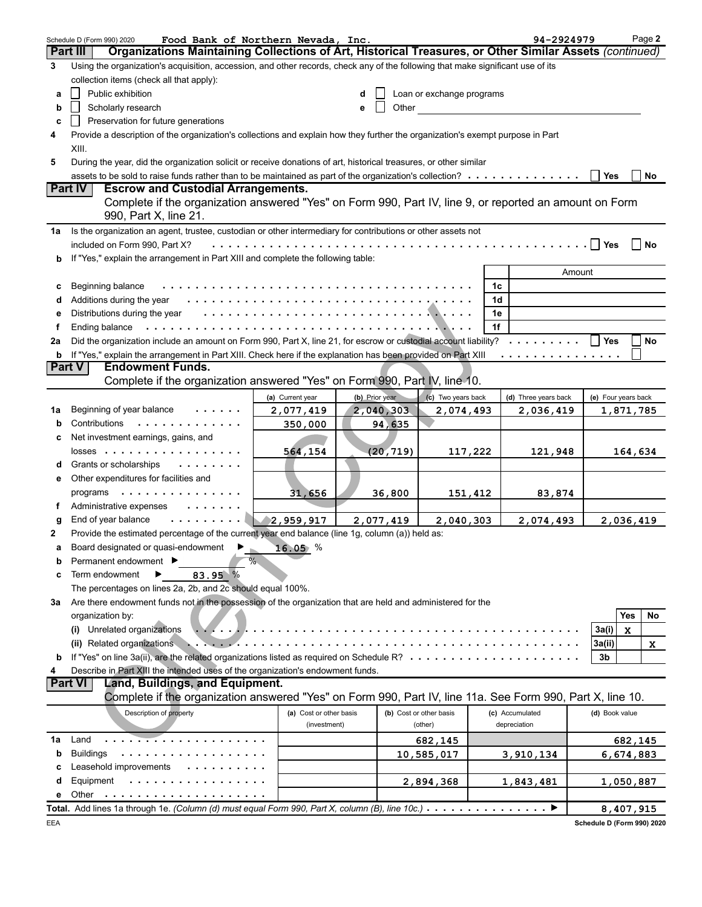|     | Food Bank of Northern Nevada, Inc.<br>Schedule D (Form 990) 2020                                                                |                         |                |           |                         |         | 94-2924979           |         |                | Page 2                     |
|-----|---------------------------------------------------------------------------------------------------------------------------------|-------------------------|----------------|-----------|-------------------------|---------|----------------------|---------|----------------|----------------------------|
|     | Organizations Maintaining Collections of Art, Historical Treasures, or Other Similar Assets (continued)<br>Part III             |                         |                |           |                         |         |                      |         |                |                            |
| 3   | Using the organization's acquisition, accession, and other records, check any of the following that make significant use of its |                         |                |           |                         |         |                      |         |                |                            |
|     | collection items (check all that apply):                                                                                        |                         |                |           |                         |         |                      |         |                |                            |
| a   | Public exhibition<br>Loan or exchange programs<br>d                                                                             |                         |                |           |                         |         |                      |         |                |                            |
| b   | Scholarly research                                                                                                              |                         | e              | Other     |                         |         |                      |         |                |                            |
| c   | Preservation for future generations                                                                                             |                         |                |           |                         |         |                      |         |                |                            |
| 4   | Provide a description of the organization's collections and explain how they further the organization's exempt purpose in Part  |                         |                |           |                         |         |                      |         |                |                            |
|     | XIII.                                                                                                                           |                         |                |           |                         |         |                      |         |                |                            |
| 5   | During the year, did the organization solicit or receive donations of art, historical treasures, or other similar               |                         |                |           |                         |         |                      |         |                |                            |
|     | assets to be sold to raise funds rather than to be maintained as part of the organization's collection?                         |                         |                |           |                         |         |                      |         | Yes            | No                         |
|     | <b>Escrow and Custodial Arrangements.</b><br><b>Part IV</b>                                                                     |                         |                |           |                         |         |                      |         |                |                            |
|     | Complete if the organization answered "Yes" on Form 990, Part IV, line 9, or reported an amount on Form                         |                         |                |           |                         |         |                      |         |                |                            |
|     | 990, Part X, line 21.                                                                                                           |                         |                |           |                         |         |                      |         |                |                            |
| 1a  | Is the organization an agent, trustee, custodian or other intermediary for contributions or other assets not                    |                         |                |           |                         |         |                      |         |                |                            |
|     | included on Form 990, Part X?                                                                                                   |                         |                |           |                         |         |                      | l I Yes |                | $ $ No                     |
| b   | If "Yes," explain the arrangement in Part XIII and complete the following table:                                                |                         |                |           |                         |         |                      |         |                |                            |
|     |                                                                                                                                 |                         |                |           |                         |         |                      | Amount  |                |                            |
|     |                                                                                                                                 |                         |                |           |                         |         |                      |         |                |                            |
| c   | Beginning balance                                                                                                               |                         |                |           |                         | 1c      |                      |         |                |                            |
| d   | Additions during the year                                                                                                       |                         |                |           |                         | 1d      |                      |         |                |                            |
| е   | Distributions during the year                                                                                                   |                         |                |           |                         | 1e      |                      |         |                |                            |
| f   | Ending balance                                                                                                                  |                         |                |           |                         | 1f      |                      |         |                |                            |
| 2a  | Did the organization include an amount on Form 990, Part X, line 21, for escrow or custodial account liability?                 |                         |                |           |                         |         | .                    |         | Yes            | No                         |
| b   | If "Yes," explain the arrangement in Part XIII. Check here if the explanation has been provided on Part XIII                    |                         |                |           |                         |         | .                    |         |                |                            |
|     | <b>Endowment Funds.</b><br><b>Part V</b>                                                                                        |                         |                |           |                         |         |                      |         |                |                            |
|     | Complete if the organization answered "Yes" on Form 990, Part IV, line 10.                                                      |                         |                |           |                         |         |                      |         |                |                            |
|     |                                                                                                                                 | (a) Current year        | (b) Prior year |           | (c) Two years back      |         | (d) Three years back |         |                | (e) Four years back        |
| 1a  | Beginning of year balance                                                                                                       | 2,077,419               |                | 2,040,303 | 2,074,493               |         | 2,036,419            |         |                | 1,871,785                  |
| b   | Contributions<br>.                                                                                                              | 350,000                 |                | 94,635    |                         |         |                      |         |                |                            |
| c   | Net investment earnings, gains, and                                                                                             |                         |                |           |                         |         |                      |         |                |                            |
|     | $losses$                                                                                                                        | 564,154                 |                | (20, 719) |                         | 117,222 | 121,948              |         |                | 164,634                    |
| d   | Grants or scholarships<br>.                                                                                                     |                         |                |           |                         |         |                      |         |                |                            |
| е   | Other expenditures for facilities and                                                                                           |                         |                |           |                         |         |                      |         |                |                            |
|     | programs                                                                                                                        | 31,656                  |                | 36,800    |                         | 151,412 | 83,874               |         |                |                            |
| f   | Administrative expenses                                                                                                         |                         |                |           |                         |         |                      |         |                |                            |
| g   | End of year balance<br>.                                                                                                        | 2,959,917               |                | 2,077,419 | 2,040,303               |         | 2,074,493            |         |                | 2,036,419                  |
| 2   | Provide the estimated percentage of the current year end balance (line 1g, column (a)) held as:                                 |                         |                |           |                         |         |                      |         |                |                            |
|     | Board designated or quasi-endowment 2 16.05 %                                                                                   |                         |                |           |                         |         |                      |         |                |                            |
|     | Permanent endowment ▶                                                                                                           | $\%$                    |                |           |                         |         |                      |         |                |                            |
| c   | Term endowment<br>$\%$<br>83.95                                                                                                 |                         |                |           |                         |         |                      |         |                |                            |
|     | The percentages on lines 2a, 2b, and 2c should equal 100%.                                                                      |                         |                |           |                         |         |                      |         |                |                            |
| За  | Are there endowment funds not in the possession of the organization that are held and administered for the                      |                         |                |           |                         |         |                      |         |                |                            |
|     | organization by:                                                                                                                |                         |                |           |                         |         |                      |         | Yes            | No                         |
|     | Unrelated organizations<br>(i)                                                                                                  |                         |                |           |                         |         |                      | 3a(i)   | X              |                            |
|     | (ii) Related organizations                                                                                                      |                         |                |           |                         |         |                      | 3a(ii)  |                | x                          |
| b   | If "Yes" on line 3a(ii), are the related organizations listed as required on Schedule R? $\cdots$ ,                             |                         |                |           |                         |         |                      | 3b      |                |                            |
| 4   | Describe in Part XIII the intended uses of the organization's endowment funds.                                                  |                         |                |           |                         |         |                      |         |                |                            |
|     | Land, Buildings, and Equipment.<br><b>Part VI</b>                                                                               |                         |                |           |                         |         |                      |         |                |                            |
|     | Complete if the organization answered "Yes" on Form 990, Part IV, line 11a. See Form 990, Part X, line 10.                      |                         |                |           |                         |         |                      |         |                |                            |
|     | Description of property                                                                                                         | (a) Cost or other basis |                |           | (b) Cost or other basis |         | (c) Accumulated      |         | (d) Book value |                            |
|     |                                                                                                                                 | (investment)            |                |           | (other)                 |         | depreciation         |         |                |                            |
| 1a  | Land                                                                                                                            |                         |                |           | 682,145                 |         |                      |         |                | 682,145                    |
| b   | <b>Buildings</b><br>.                                                                                                           |                         |                |           | 10,585,017              |         | 3,910,134            |         |                | 6,674,883                  |
| c   | Leasehold improvements                                                                                                          |                         |                |           |                         |         |                      |         |                |                            |
| d   | Equipment                                                                                                                       |                         |                |           | 2,894,368               |         | 1,843,481            |         |                | 1,050,887                  |
| е   | Other                                                                                                                           |                         |                |           |                         |         |                      |         |                |                            |
|     | Total. Add lines 1a through 1e. (Column (d) must equal Form 990, Part X, column (B), line 10c.) $\ldots \ldots \ldots \ldots$   |                         |                |           |                         |         |                      |         |                | 8,407,915                  |
| EEA |                                                                                                                                 |                         |                |           |                         |         |                      |         |                | Schedule D (Form 990) 2020 |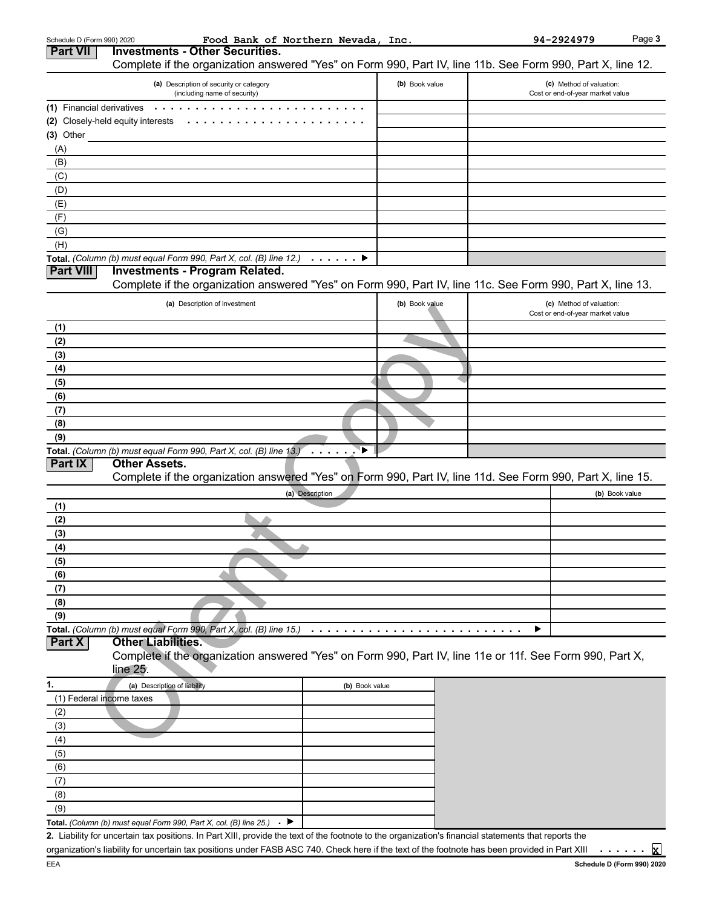| <b>Part VII</b>           | <b>Investments - Other Securities.</b>                                                                                                               |                |                |                                                              |
|---------------------------|------------------------------------------------------------------------------------------------------------------------------------------------------|----------------|----------------|--------------------------------------------------------------|
|                           | Complete if the organization answered "Yes" on Form 990, Part IV, line 11b. See Form 990, Part X, line 12.                                           |                |                |                                                              |
|                           | (a) Description of security or category<br>(including name of security)                                                                              |                | (b) Book value | (c) Method of valuation:<br>Cost or end-of-year market value |
| (1) Financial derivatives | .                                                                                                                                                    |                |                |                                                              |
|                           | (2) Closely-held equity interests                                                                                                                    |                |                |                                                              |
| $(3)$ Other               |                                                                                                                                                      |                |                |                                                              |
| (A)                       |                                                                                                                                                      |                |                |                                                              |
| (B)                       |                                                                                                                                                      |                |                |                                                              |
| (C)                       |                                                                                                                                                      |                |                |                                                              |
| (D)                       |                                                                                                                                                      |                |                |                                                              |
| (E)                       |                                                                                                                                                      |                |                |                                                              |
| (F)                       |                                                                                                                                                      |                |                |                                                              |
| (G)                       |                                                                                                                                                      |                |                |                                                              |
| (H)                       |                                                                                                                                                      |                |                |                                                              |
|                           | <b>Total.</b> (Column (b) must equal Form 990, Part X, col. (B) line 12.) $\cdots \cdots$                                                            |                |                |                                                              |
| <b>Part VIII</b>          | <b>Investments - Program Related.</b>                                                                                                                |                |                |                                                              |
|                           | Complete if the organization answered "Yes" on Form 990, Part IV, line 11c. See Form 990, Part X, line 13.                                           |                |                |                                                              |
|                           | (a) Description of investment                                                                                                                        |                | (b) Book value | (c) Method of valuation:<br>Cost or end-of-year market value |
| (1)                       |                                                                                                                                                      |                |                |                                                              |
| (2)                       |                                                                                                                                                      |                |                |                                                              |
| (3)                       |                                                                                                                                                      |                |                |                                                              |
| (4)                       |                                                                                                                                                      |                |                |                                                              |
| (5)                       |                                                                                                                                                      |                |                |                                                              |
| (6)                       |                                                                                                                                                      |                |                |                                                              |
| (7)                       |                                                                                                                                                      |                |                |                                                              |
| (8)                       |                                                                                                                                                      |                |                |                                                              |
| (9)                       |                                                                                                                                                      |                |                |                                                              |
| <b>Part IX</b>            | Total. (Column (b) must equal Form 990, Part X, col. (B) line $13$ .) $\cdots$<br><b>Other Assets.</b>                                               |                |                |                                                              |
|                           | Complete if the organization answered "Yes" on Form 990, Part IV, line 11d. See Form 990, Part X, line 15.                                           |                |                |                                                              |
|                           |                                                                                                                                                      |                |                |                                                              |
|                           | (a) Description                                                                                                                                      |                |                | (b) Book value                                               |
| (1)<br>(2)                |                                                                                                                                                      |                |                |                                                              |
| (3)                       |                                                                                                                                                      |                |                |                                                              |
| (4)                       |                                                                                                                                                      |                |                |                                                              |
| (5)                       |                                                                                                                                                      |                |                |                                                              |
| (6)                       |                                                                                                                                                      |                |                |                                                              |
| (7)                       |                                                                                                                                                      |                |                |                                                              |
| (8)                       |                                                                                                                                                      |                |                |                                                              |
| (9)                       |                                                                                                                                                      |                |                |                                                              |
|                           | Total. (Column (b) must equal Form 990, Part X, col. (B) line 15.) $\ldots \ldots \ldots \ldots \ldots \ldots \ldots \ldots \ldots \ldots$           |                |                |                                                              |
| <b>Part X</b>             | <b>Other Liabilities.</b>                                                                                                                            |                |                |                                                              |
|                           | Complete if the organization answered "Yes" on Form 990, Part IV, line 11e or 11f. See Form 990, Part X,<br>line $25$ .                              |                |                |                                                              |
| 1.                        | (a) Description of liability                                                                                                                         | (b) Book value |                |                                                              |
| (1) Federal income taxes  |                                                                                                                                                      |                |                |                                                              |
| (2)                       |                                                                                                                                                      |                |                |                                                              |
| (3)                       |                                                                                                                                                      |                |                |                                                              |
| (4)                       |                                                                                                                                                      |                |                |                                                              |
| (5)                       |                                                                                                                                                      |                |                |                                                              |
| (6)                       |                                                                                                                                                      |                |                |                                                              |
| (7)                       |                                                                                                                                                      |                |                |                                                              |
| (8)                       |                                                                                                                                                      |                |                |                                                              |
| (9)                       |                                                                                                                                                      |                |                |                                                              |
|                           | Total. (Column (b) must equal Form 990, Part X, col. (B) line 25.) $\bullet \bullet$                                                                 |                |                |                                                              |
|                           | 2. Liability for uncertain tax positions. In Part XIII, provide the text of the footnote to the organization's financial statements that reports the |                |                |                                                              |

**Food Bank of Northern Nevada, Inc. 94-2924979**

organization's liability for uncertain tax positions under FASB ASC 740. Check here if the text of the footnote has been provided in Part XIII  $\dots$  . . . . . .  $\boxtimes$ 

Page **3**

Schedule D (Form 990) 2020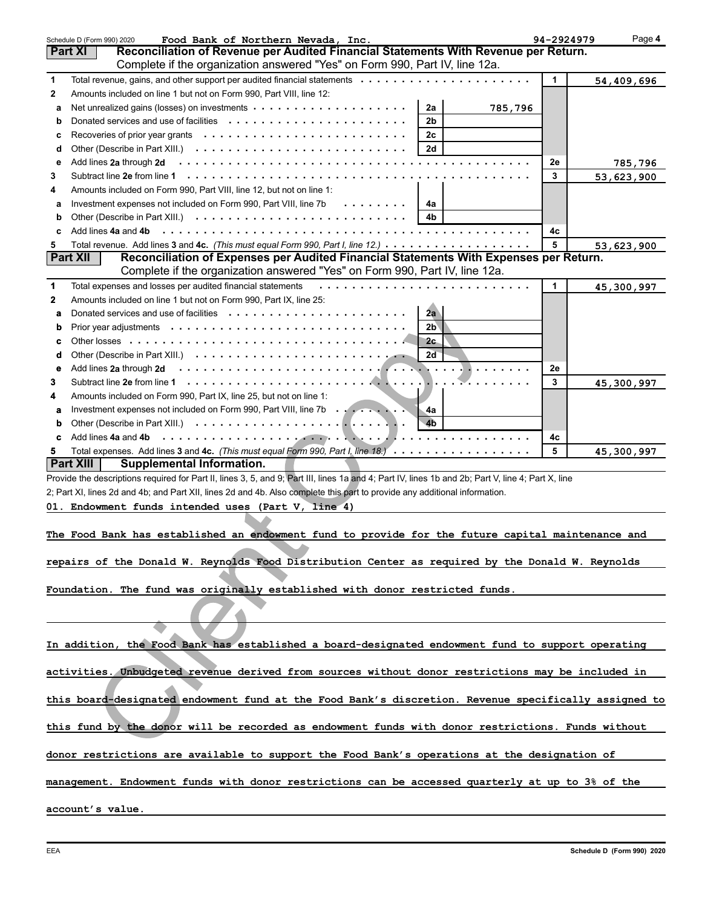|                | Schedule D (Form 990) 2020<br>Food Bank of Northern Nevada, Inc.                                                                                   | 94-2924979 | Page 4     |
|----------------|----------------------------------------------------------------------------------------------------------------------------------------------------|------------|------------|
| <b>Part XI</b> | Reconciliation of Revenue per Audited Financial Statements With Revenue per Return.                                                                |            |            |
|                | Complete if the organization answered "Yes" on Form 990, Part IV, line 12a.                                                                        |            |            |
| 1              | Total revenue, gains, and other support per audited financial statements $\cdots \cdots$                                                           | 1          | 54,409,696 |
| 2              | Amounts included on line 1 but not on Form 990, Part VIII, line 12:                                                                                |            |            |
| a              | 2a<br>785,796                                                                                                                                      |            |            |
| b              | 2 <sub>b</sub>                                                                                                                                     |            |            |
| c              | 2c                                                                                                                                                 |            |            |
| d              | 2d                                                                                                                                                 |            |            |
| e              |                                                                                                                                                    | 2е         | 785,796    |
| 3              |                                                                                                                                                    | 3          | 53,623,900 |
| 4              | Amounts included on Form 990, Part VIII, line 12, but not on line 1:                                                                               |            |            |
| a              | Investment expenses not included on Form 990, Part VIII, line 7b<br>.<br>4a<br>4b                                                                  |            |            |
| b<br>C         | Add lines 4a and 4b                                                                                                                                | 4c         |            |
| 5              | Total revenue. Add lines 3 and 4c. (This must equal Form 990, Part I, line 12.)                                                                    | 5          |            |
|                | <b>Part XII</b><br>Reconciliation of Expenses per Audited Financial Statements With Expenses per Return.                                           |            | 53,623,900 |
|                | Complete if the organization answered "Yes" on Form 990, Part IV, line 12a.                                                                        |            |            |
| 1              | Total expenses and losses per audited financial statements<br>.                                                                                    | 1          | 45,300,997 |
| 2              | Amounts included on line 1 but not on Form 990, Part IX, line 25:                                                                                  |            |            |
| a              | Donated services and use of facilities $\cdots \cdots \cdots \cdots \cdots \cdots \cdots$<br>2a                                                    |            |            |
| b              | 2 <sub>b</sub>                                                                                                                                     |            |            |
| c              | 2c                                                                                                                                                 |            |            |
| d              | 2d                                                                                                                                                 |            |            |
| е              |                                                                                                                                                    | 2e         |            |
| 3              | $\sim$ $\sim$ $\sim$ $\sim$                                                                                                                        | 3          | 45,300,997 |
| 4              | Amounts included on Form 990, Part IX, line 25, but not on line 1:                                                                                 |            |            |
| a              | Investment expenses not included on Form 990, Part VIII, line 7b<br>.4a                                                                            |            |            |
| b              | 4 <sub>b</sub>                                                                                                                                     |            |            |
| c              |                                                                                                                                                    | 4c         |            |
| 5              | Total expenses. Add lines 3 and 4c. (This must equal Form 990, Part I, line 18) $\cdots$                                                           | 5          | 45,300,997 |
|                | <b>Part XIII</b><br><b>Supplemental Information.</b>                                                                                               |            |            |
|                | Provide the descriptions required for Part II, lines 3, 5, and 9; Part III, lines 1a and 4; Part IV, lines 1b and 2b; Part V, line 4; Part X, line |            |            |
|                | 2; Part XI, lines 2d and 4b; and Part XII, lines 2d and 4b. Also complete this part to provide any additional information.                         |            |            |
|                | 01. Endowment funds intended uses (Part V, line 4)                                                                                                 |            |            |
|                |                                                                                                                                                    |            |            |
|                | The Food Bank has established an endowment fund to provide for the future capital maintenance and                                                  |            |            |
|                |                                                                                                                                                    |            |            |
|                | repairs of the Donald W. Reynolds Food Distribution Center as required by the Donald W. Reynolds                                                   |            |            |
|                |                                                                                                                                                    |            |            |
|                | Foundation. The fund was originally established with donor restricted funds.                                                                       |            |            |
|                |                                                                                                                                                    |            |            |
|                |                                                                                                                                                    |            |            |
|                |                                                                                                                                                    |            |            |
|                | In addition, the Food Bank has established a board-designated endowment fund to support operating                                                  |            |            |
|                |                                                                                                                                                    |            |            |
|                | activities. Unbudgeted revenue derived from sources without donor restrictions may be included in                                                  |            |            |
|                | this board-designated endowment fund at the Food Bank's discretion. Revenue specifically assigned to                                               |            |            |
|                |                                                                                                                                                    |            |            |
|                | this fund by the donor will be recorded as endowment funds with donor restrictions. Funds without                                                  |            |            |
|                |                                                                                                                                                    |            |            |
|                | donor restrictions are available to support the Food Bank's operations at the designation of                                                       |            |            |
|                |                                                                                                                                                    |            |            |
|                | management. Endowment funds with donor restrictions can be accessed quarterly at up to 3% of the                                                   |            |            |
|                |                                                                                                                                                    |            |            |
|                | account's value.                                                                                                                                   |            |            |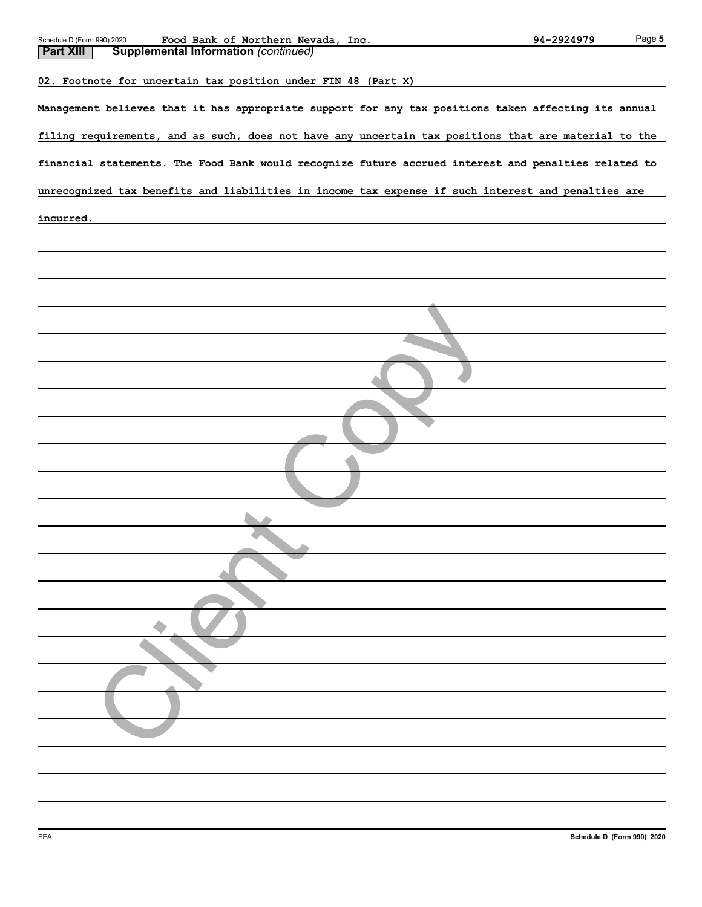| Schedule D (Form 990) 2020<br>Food Bank of Northern Nevada, Inc.                                     | 94-2924979 | Page 5 |
|------------------------------------------------------------------------------------------------------|------------|--------|
| Supplemental Information (continued)<br><b>Part XIII</b>                                             |            |        |
| 02. Footnote for uncertain tax position under FIN 48 (Part X)                                        |            |        |
| Management believes that it has appropriate support for any tax positions taken affecting its annual |            |        |
| filing requirements, and as such, does not have any uncertain tax positions that are material to the |            |        |
| financial statements. The Food Bank would recognize future accrued interest and penalties related to |            |        |
| unrecognized tax benefits and liabilities in income tax expense if such interest and penalties are   |            |        |
| incurred.                                                                                            |            |        |
|                                                                                                      |            |        |
|                                                                                                      |            |        |
|                                                                                                      |            |        |
|                                                                                                      |            |        |
|                                                                                                      |            |        |
|                                                                                                      |            |        |
|                                                                                                      |            |        |
|                                                                                                      |            |        |
|                                                                                                      |            |        |
|                                                                                                      |            |        |
|                                                                                                      |            |        |
|                                                                                                      |            |        |
|                                                                                                      |            |        |
|                                                                                                      |            |        |
|                                                                                                      |            |        |
|                                                                                                      |            |        |
|                                                                                                      |            |        |
|                                                                                                      |            |        |
|                                                                                                      |            |        |
|                                                                                                      |            |        |
|                                                                                                      |            |        |
|                                                                                                      |            |        |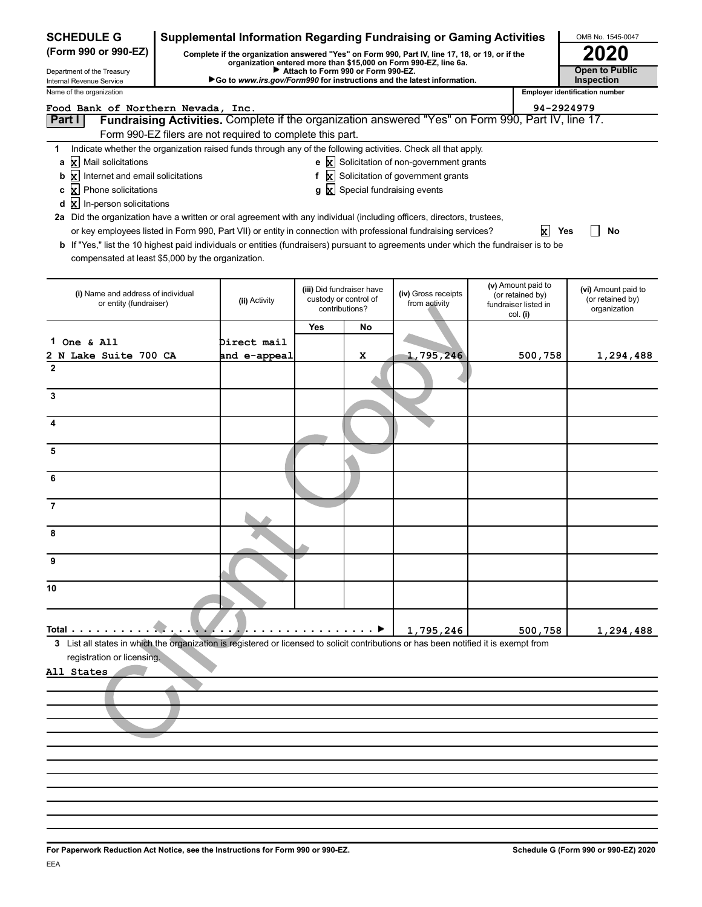| <b>SCHEDULE G</b><br><b>Supplemental Information Regarding Fundraising or Gaming Activities</b>                                                                                                                                                                                                                                                                                                                                                                                                                                                                                                                                                                                                                         |                                                                                                                                                                     |                                                                                                              |            |                                                                      |                                                                                                                                         |  |                                                                            | OMB No. 1545-0047                                       |  |
|-------------------------------------------------------------------------------------------------------------------------------------------------------------------------------------------------------------------------------------------------------------------------------------------------------------------------------------------------------------------------------------------------------------------------------------------------------------------------------------------------------------------------------------------------------------------------------------------------------------------------------------------------------------------------------------------------------------------------|---------------------------------------------------------------------------------------------------------------------------------------------------------------------|--------------------------------------------------------------------------------------------------------------|------------|----------------------------------------------------------------------|-----------------------------------------------------------------------------------------------------------------------------------------|--|----------------------------------------------------------------------------|---------------------------------------------------------|--|
| (Form 990 or 990-EZ)                                                                                                                                                                                                                                                                                                                                                                                                                                                                                                                                                                                                                                                                                                    | Complete if the organization answered "Yes" on Form 990, Part IV, line 17, 18, or 19, or if the<br>organization entered more than \$15,000 on Form 990-EZ, line 6a. |                                                                                                              |            |                                                                      |                                                                                                                                         |  |                                                                            | <b>2020</b>                                             |  |
| Department of the Treasury<br>Internal Revenue Service                                                                                                                                                                                                                                                                                                                                                                                                                                                                                                                                                                                                                                                                  |                                                                                                                                                                     | Attach to Form 990 or Form 990-EZ.<br>Go to www.irs.gov/Form990 for instructions and the latest information. |            |                                                                      |                                                                                                                                         |  |                                                                            | <b>Open to Public</b><br>Inspection                     |  |
| Name of the organization                                                                                                                                                                                                                                                                                                                                                                                                                                                                                                                                                                                                                                                                                                |                                                                                                                                                                     |                                                                                                              |            |                                                                      |                                                                                                                                         |  |                                                                            | Employer identification number                          |  |
| Food Bank of Northern Nevada, Inc.                                                                                                                                                                                                                                                                                                                                                                                                                                                                                                                                                                                                                                                                                      |                                                                                                                                                                     |                                                                                                              |            |                                                                      |                                                                                                                                         |  | 94-2924979                                                                 |                                                         |  |
| Part I                                                                                                                                                                                                                                                                                                                                                                                                                                                                                                                                                                                                                                                                                                                  |                                                                                                                                                                     |                                                                                                              |            |                                                                      | Fundraising Activities. Complete if the organization answered "Yes" on Form 990, Part IV, line 17.                                      |  |                                                                            |                                                         |  |
|                                                                                                                                                                                                                                                                                                                                                                                                                                                                                                                                                                                                                                                                                                                         |                                                                                                                                                                     | Form 990-EZ filers are not required to complete this part.                                                   |            |                                                                      |                                                                                                                                         |  |                                                                            |                                                         |  |
| Indicate whether the organization raised funds through any of the following activities. Check all that apply.<br>1.<br><b>x</b> Mail solicitations<br>a<br>xl<br>Internet and email solicitations<br>b<br>X Phone solicitations<br>c<br>x In-person solicitations<br>d<br>2a Did the organization have a written or oral agreement with any individual (including officers, directors, trustees,<br>or key employees listed in Form 990, Part VII) or entity in connection with professional fundraising services?<br><b>b</b> If "Yes," list the 10 highest paid individuals or entities (fundraisers) pursuant to agreements under which the fundraiser is to be<br>compensated at least \$5,000 by the organization. |                                                                                                                                                                     |                                                                                                              | f<br>g     |                                                                      | e $\lfloor x \rfloor$ Solicitation of non-government grants<br>Solicitation of government grants<br><b>x</b> Special fundraising events |  | xl<br>Yes                                                                  | No                                                      |  |
|                                                                                                                                                                                                                                                                                                                                                                                                                                                                                                                                                                                                                                                                                                                         |                                                                                                                                                                     |                                                                                                              |            |                                                                      |                                                                                                                                         |  |                                                                            |                                                         |  |
| (i) Name and address of individual<br>or entity (fundraiser)                                                                                                                                                                                                                                                                                                                                                                                                                                                                                                                                                                                                                                                            |                                                                                                                                                                     | (ii) Activity                                                                                                |            | (iii) Did fundraiser have<br>custody or control of<br>contributions? | (iv) Gross receipts<br>from activity                                                                                                    |  | (v) Amount paid to<br>(or retained by)<br>fundraiser listed in<br>col. (i) | (vi) Amount paid to<br>(or retained by)<br>organization |  |
|                                                                                                                                                                                                                                                                                                                                                                                                                                                                                                                                                                                                                                                                                                                         |                                                                                                                                                                     |                                                                                                              | <b>Yes</b> | No                                                                   |                                                                                                                                         |  |                                                                            |                                                         |  |
| 1 One & All                                                                                                                                                                                                                                                                                                                                                                                                                                                                                                                                                                                                                                                                                                             |                                                                                                                                                                     | Direct mail                                                                                                  |            |                                                                      |                                                                                                                                         |  |                                                                            |                                                         |  |
| N Lake Suite 700 CA                                                                                                                                                                                                                                                                                                                                                                                                                                                                                                                                                                                                                                                                                                     |                                                                                                                                                                     | and e-appeal                                                                                                 |            | x                                                                    | 1,795,246                                                                                                                               |  | 500,758                                                                    | 1,294,488                                               |  |
| $\overline{2}$                                                                                                                                                                                                                                                                                                                                                                                                                                                                                                                                                                                                                                                                                                          |                                                                                                                                                                     |                                                                                                              |            |                                                                      |                                                                                                                                         |  |                                                                            |                                                         |  |
| 3                                                                                                                                                                                                                                                                                                                                                                                                                                                                                                                                                                                                                                                                                                                       |                                                                                                                                                                     |                                                                                                              |            |                                                                      |                                                                                                                                         |  |                                                                            |                                                         |  |
| 4                                                                                                                                                                                                                                                                                                                                                                                                                                                                                                                                                                                                                                                                                                                       |                                                                                                                                                                     |                                                                                                              |            |                                                                      |                                                                                                                                         |  |                                                                            |                                                         |  |
| 5                                                                                                                                                                                                                                                                                                                                                                                                                                                                                                                                                                                                                                                                                                                       |                                                                                                                                                                     |                                                                                                              |            |                                                                      |                                                                                                                                         |  |                                                                            |                                                         |  |
| 6                                                                                                                                                                                                                                                                                                                                                                                                                                                                                                                                                                                                                                                                                                                       |                                                                                                                                                                     |                                                                                                              |            |                                                                      |                                                                                                                                         |  |                                                                            |                                                         |  |
| $\overline{7}$                                                                                                                                                                                                                                                                                                                                                                                                                                                                                                                                                                                                                                                                                                          |                                                                                                                                                                     |                                                                                                              |            |                                                                      |                                                                                                                                         |  |                                                                            |                                                         |  |
| 8                                                                                                                                                                                                                                                                                                                                                                                                                                                                                                                                                                                                                                                                                                                       |                                                                                                                                                                     |                                                                                                              |            |                                                                      |                                                                                                                                         |  |                                                                            |                                                         |  |
| 9                                                                                                                                                                                                                                                                                                                                                                                                                                                                                                                                                                                                                                                                                                                       |                                                                                                                                                                     |                                                                                                              |            |                                                                      |                                                                                                                                         |  |                                                                            |                                                         |  |
| 10                                                                                                                                                                                                                                                                                                                                                                                                                                                                                                                                                                                                                                                                                                                      |                                                                                                                                                                     |                                                                                                              |            |                                                                      |                                                                                                                                         |  |                                                                            |                                                         |  |
| Total                                                                                                                                                                                                                                                                                                                                                                                                                                                                                                                                                                                                                                                                                                                   |                                                                                                                                                                     |                                                                                                              |            |                                                                      | 1,795,246                                                                                                                               |  | 500,758                                                                    | 1,294,488                                               |  |
| 3 List all states in which the organization is registered or licensed to solicit contributions or has been notified it is exempt from                                                                                                                                                                                                                                                                                                                                                                                                                                                                                                                                                                                   |                                                                                                                                                                     |                                                                                                              |            |                                                                      |                                                                                                                                         |  |                                                                            |                                                         |  |
| registration or licensing.                                                                                                                                                                                                                                                                                                                                                                                                                                                                                                                                                                                                                                                                                              |                                                                                                                                                                     |                                                                                                              |            |                                                                      |                                                                                                                                         |  |                                                                            |                                                         |  |
| All States                                                                                                                                                                                                                                                                                                                                                                                                                                                                                                                                                                                                                                                                                                              |                                                                                                                                                                     |                                                                                                              |            |                                                                      |                                                                                                                                         |  |                                                                            |                                                         |  |
|                                                                                                                                                                                                                                                                                                                                                                                                                                                                                                                                                                                                                                                                                                                         |                                                                                                                                                                     |                                                                                                              |            |                                                                      |                                                                                                                                         |  |                                                                            |                                                         |  |
|                                                                                                                                                                                                                                                                                                                                                                                                                                                                                                                                                                                                                                                                                                                         |                                                                                                                                                                     |                                                                                                              |            |                                                                      |                                                                                                                                         |  |                                                                            |                                                         |  |
|                                                                                                                                                                                                                                                                                                                                                                                                                                                                                                                                                                                                                                                                                                                         |                                                                                                                                                                     |                                                                                                              |            |                                                                      |                                                                                                                                         |  |                                                                            |                                                         |  |
|                                                                                                                                                                                                                                                                                                                                                                                                                                                                                                                                                                                                                                                                                                                         |                                                                                                                                                                     |                                                                                                              |            |                                                                      |                                                                                                                                         |  |                                                                            |                                                         |  |
|                                                                                                                                                                                                                                                                                                                                                                                                                                                                                                                                                                                                                                                                                                                         |                                                                                                                                                                     |                                                                                                              |            |                                                                      |                                                                                                                                         |  |                                                                            |                                                         |  |
|                                                                                                                                                                                                                                                                                                                                                                                                                                                                                                                                                                                                                                                                                                                         |                                                                                                                                                                     |                                                                                                              |            |                                                                      |                                                                                                                                         |  |                                                                            |                                                         |  |
|                                                                                                                                                                                                                                                                                                                                                                                                                                                                                                                                                                                                                                                                                                                         |                                                                                                                                                                     |                                                                                                              |            |                                                                      |                                                                                                                                         |  |                                                                            |                                                         |  |
|                                                                                                                                                                                                                                                                                                                                                                                                                                                                                                                                                                                                                                                                                                                         |                                                                                                                                                                     |                                                                                                              |            |                                                                      |                                                                                                                                         |  |                                                                            |                                                         |  |

**For Paperwork Reduction Act Notice, see the Instructions for Form 990 or 990-EZ.** Schedule G (Form 990 or 990-EZ) 2020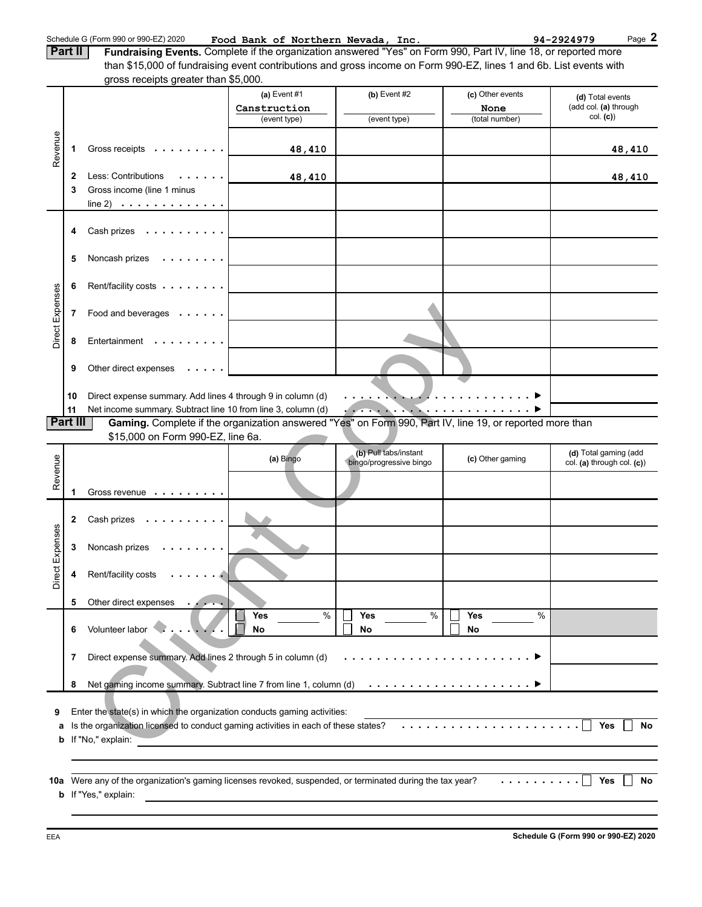|  | Schedule G (Form 990 or 990-EZ) 2020 | Food Bank of Northern Nevada, | Inc. | 94-2924979 | Page |
|--|--------------------------------------|-------------------------------|------|------------|------|
|--|--------------------------------------|-------------------------------|------|------------|------|

**2**

| Part II | Fundraising Events. Complete if the organization answered "Yes" on Form 990, Part IV, line 18, or reported more    |  |
|---------|--------------------------------------------------------------------------------------------------------------------|--|
|         | than \$15,000 of fundraising event contributions and gross income on Form 990-EZ, lines 1 and 6b. List events with |  |
|         | gross receipts greater than \$5,000.                                                                               |  |

|                 |                | gross receipts greater than \$0,000                                                                                                                                      |                              |                         |                        |                                   |
|-----------------|----------------|--------------------------------------------------------------------------------------------------------------------------------------------------------------------------|------------------------------|-------------------------|------------------------|-----------------------------------|
|                 |                |                                                                                                                                                                          | (a) Event $#1$               | $(b)$ Event #2          | (c) Other events       | (d) Total events                  |
|                 |                |                                                                                                                                                                          | Canstruction<br>(event type) | (event type)            | None<br>(total number) | (add col. (a) through<br>col. (c) |
|                 |                |                                                                                                                                                                          |                              |                         |                        |                                   |
| Revenue         | 1              | Gross receipts                                                                                                                                                           | 48,410                       |                         |                        | 48,410                            |
|                 | 2              | Less: Contributions<br>.                                                                                                                                                 | 48,410                       |                         |                        | 48,410                            |
|                 | 3              | Gross income (line 1 minus                                                                                                                                               |                              |                         |                        |                                   |
|                 |                | $line 2) \ldots \ldots \ldots \ldots$                                                                                                                                    |                              |                         |                        |                                   |
|                 | 4              | Cash prizes                                                                                                                                                              |                              |                         |                        |                                   |
|                 |                |                                                                                                                                                                          |                              |                         |                        |                                   |
|                 | 5              | Noncash prizes<br>.                                                                                                                                                      |                              |                         |                        |                                   |
|                 | 6              | Rent/facility costs                                                                                                                                                      |                              |                         |                        |                                   |
| Direct Expenses | 7              | Food and beverages                                                                                                                                                       |                              |                         |                        |                                   |
|                 | 8              | Entertainment                                                                                                                                                            |                              |                         |                        |                                   |
|                 | 9              | Other direct expenses<br>$\sim$                                                                                                                                          |                              |                         |                        |                                   |
|                 |                |                                                                                                                                                                          |                              |                         |                        |                                   |
|                 | 10             | Direct expense summary. Add lines 4 through 9 in column (d)                                                                                                              |                              | . <b>.</b><br>$\sim$    | .                      |                                   |
|                 | 11<br>Part III | Net income summary. Subtract line 10 from line 3, column (d)<br>Gaming. Complete if the organization answered "Yes" on Form 990, Part IV, line 19, or reported more than |                              |                         |                        |                                   |
|                 |                | \$15,000 on Form 990-EZ, line 6a.                                                                                                                                        |                              |                         |                        |                                   |
|                 |                |                                                                                                                                                                          |                              | (b) Pull tabs/instant   |                        | (d) Total gaming (add             |
| Revenue         |                |                                                                                                                                                                          | (a) Bingo                    | bingo/progressive bingo | (c) Other gaming       | col. (a) through col. (c))        |
|                 |                |                                                                                                                                                                          |                              |                         |                        |                                   |
|                 | 1              | Gross revenue $\cdots$                                                                                                                                                   |                              |                         |                        |                                   |
|                 | 2              | .<br>Cash prizes                                                                                                                                                         |                              |                         |                        |                                   |
|                 |                |                                                                                                                                                                          |                              |                         |                        |                                   |
|                 | 3              | Noncash prizes                                                                                                                                                           |                              |                         |                        |                                   |
| Direct Expenses | 4              | Rent/facility costs                                                                                                                                                      |                              |                         |                        |                                   |
|                 | 5              | Other direct expenses                                                                                                                                                    |                              |                         |                        |                                   |
|                 | 6              | Volunteer labor                                                                                                                                                          | $\%$<br>Yes<br>No            | $\%$<br>Yes<br>No       | $\%$<br>Yes<br>No      |                                   |
|                 | 7              | Direct expense summary. Add lines 2 through 5 in column (d)                                                                                                              |                              |                         |                        |                                   |
|                 |                |                                                                                                                                                                          |                              |                         |                        |                                   |
|                 | 8              | Net gaming income summary. Subtract line 7 from line 1, column (d)                                                                                                       |                              |                         |                        |                                   |
| 9               |                | Enter the state(s) in which the organization conducts gaming activities:                                                                                                 |                              |                         |                        |                                   |
| а               |                | Is the organization licensed to conduct gaming activities in each of these states?                                                                                       |                              |                         | .                      | <b>Yes</b><br>No                  |
|                 |                | b If "No," explain:                                                                                                                                                      |                              |                         |                        |                                   |
|                 |                |                                                                                                                                                                          |                              |                         |                        |                                   |
|                 |                | 10a Were any of the organization's gaming licenses revoked, suspended, or terminated during the tax year?                                                                |                              |                         |                        | <b>Yes</b><br>No                  |
|                 |                | b If "Yes," explain:                                                                                                                                                     |                              |                         |                        |                                   |
|                 |                |                                                                                                                                                                          |                              |                         |                        |                                   |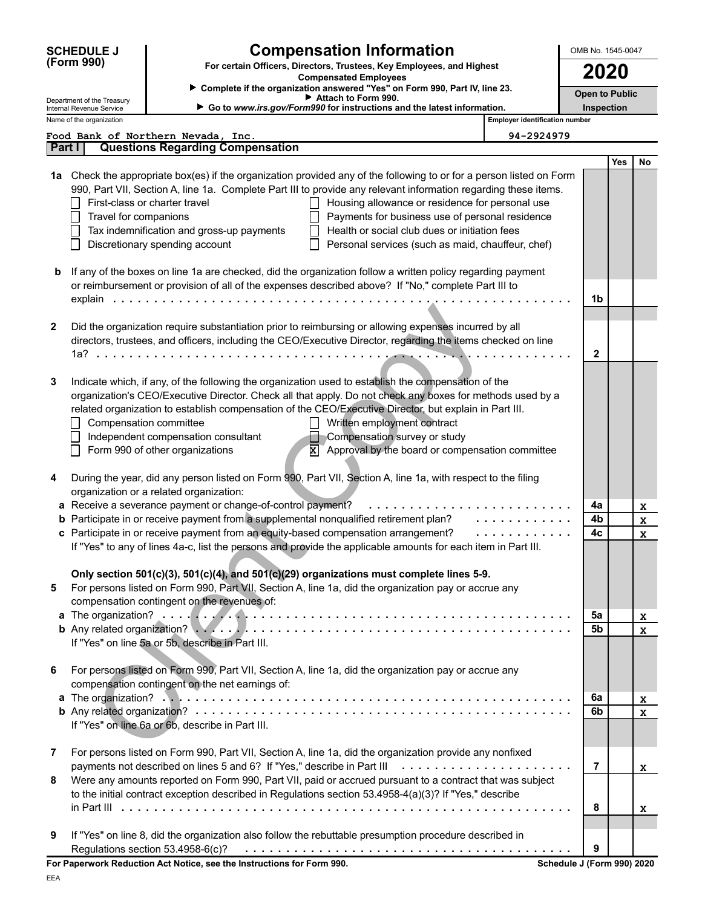| <b>SCHEDULE J</b>                                                                                                                                                                                                        | <b>Compensation Information</b>                                                                                                                                                                                    |                       | OMB No. 1545-0047 |              |  |  |  |
|--------------------------------------------------------------------------------------------------------------------------------------------------------------------------------------------------------------------------|--------------------------------------------------------------------------------------------------------------------------------------------------------------------------------------------------------------------|-----------------------|-------------------|--------------|--|--|--|
| (Form 990)<br>For certain Officers, Directors, Trustees, Key Employees, and Highest<br><b>Compensated Employees</b><br>Complete if the organization answered "Yes" on Form 990, Part IV, line 23.<br>Attach to Form 990. |                                                                                                                                                                                                                    | 2020                  |                   |              |  |  |  |
|                                                                                                                                                                                                                          |                                                                                                                                                                                                                    | <b>Open to Public</b> |                   |              |  |  |  |
| Department of the Treasury<br>Go to www.irs.gov/Form990 for instructions and the latest information.<br>Internal Revenue Service                                                                                         |                                                                                                                                                                                                                    |                       |                   | Inspection   |  |  |  |
| Name of the organization                                                                                                                                                                                                 | <b>Employer identification number</b>                                                                                                                                                                              |                       |                   |              |  |  |  |
| Part I                                                                                                                                                                                                                   | Food Bank of Northern Nevada, Inc.<br>94-2924979<br><b>Questions Regarding Compensation</b>                                                                                                                        |                       |                   |              |  |  |  |
|                                                                                                                                                                                                                          |                                                                                                                                                                                                                    |                       | <b>Yes</b>        | No           |  |  |  |
|                                                                                                                                                                                                                          | 1a Check the appropriate box(es) if the organization provided any of the following to or for a person listed on Form                                                                                               |                       |                   |              |  |  |  |
|                                                                                                                                                                                                                          | 990, Part VII, Section A, line 1a. Complete Part III to provide any relevant information regarding these items.                                                                                                    |                       |                   |              |  |  |  |
|                                                                                                                                                                                                                          | First-class or charter travel<br>Housing allowance or residence for personal use                                                                                                                                   |                       |                   |              |  |  |  |
|                                                                                                                                                                                                                          | Travel for companions<br>Payments for business use of personal residence                                                                                                                                           |                       |                   |              |  |  |  |
|                                                                                                                                                                                                                          | Tax indemnification and gross-up payments<br>Health or social club dues or initiation fees                                                                                                                         |                       |                   |              |  |  |  |
|                                                                                                                                                                                                                          | Discretionary spending account<br>Personal services (such as maid, chauffeur, chef)                                                                                                                                |                       |                   |              |  |  |  |
| b                                                                                                                                                                                                                        | If any of the boxes on line 1a are checked, did the organization follow a written policy regarding payment                                                                                                         |                       |                   |              |  |  |  |
|                                                                                                                                                                                                                          | or reimbursement or provision of all of the expenses described above? If "No," complete Part III to                                                                                                                |                       |                   |              |  |  |  |
|                                                                                                                                                                                                                          | .                                                                                                                                                                                                                  | 1b                    |                   |              |  |  |  |
|                                                                                                                                                                                                                          |                                                                                                                                                                                                                    |                       |                   |              |  |  |  |
| 2                                                                                                                                                                                                                        | Did the organization require substantiation prior to reimbursing or allowing expenses incurred by all                                                                                                              |                       |                   |              |  |  |  |
|                                                                                                                                                                                                                          | directors, trustees, and officers, including the CEO/Executive Director, regarding the items checked on line                                                                                                       |                       |                   |              |  |  |  |
|                                                                                                                                                                                                                          |                                                                                                                                                                                                                    | 2                     |                   |              |  |  |  |
| 3                                                                                                                                                                                                                        | Indicate which, if any, of the following the organization used to establish the compensation of the                                                                                                                |                       |                   |              |  |  |  |
|                                                                                                                                                                                                                          | organization's CEO/Executive Director. Check all that apply. Do not check any boxes for methods used by a                                                                                                          |                       |                   |              |  |  |  |
|                                                                                                                                                                                                                          | related organization to establish compensation of the CEO/Executive Director, but explain in Part III.                                                                                                             |                       |                   |              |  |  |  |
|                                                                                                                                                                                                                          | Compensation committee<br>Written employment contract                                                                                                                                                              |                       |                   |              |  |  |  |
|                                                                                                                                                                                                                          | Independent compensation consultant<br>Compensation survey or study                                                                                                                                                |                       |                   |              |  |  |  |
|                                                                                                                                                                                                                          | Form 990 of other organizations<br>X Approval by the board or compensation committee                                                                                                                               |                       |                   |              |  |  |  |
|                                                                                                                                                                                                                          |                                                                                                                                                                                                                    |                       |                   |              |  |  |  |
| 4                                                                                                                                                                                                                        | During the year, did any person listed on Form 990, Part VII, Section A, line 1a, with respect to the filing                                                                                                       |                       |                   |              |  |  |  |
|                                                                                                                                                                                                                          | organization or a related organization:<br>a Receive a severance payment or change-of-control payment?                                                                                                             |                       |                   |              |  |  |  |
|                                                                                                                                                                                                                          | <b>b</b> Participate in or receive payment from a supplemental nonqualified retirement plan?<br>.                                                                                                                  | 4a<br>4b              |                   | x            |  |  |  |
|                                                                                                                                                                                                                          | c Participate in or receive payment from an equity-based compensation arrangement?<br>.                                                                                                                            | 4c                    |                   | x            |  |  |  |
|                                                                                                                                                                                                                          | If "Yes" to any of lines 4a-c, list the persons and provide the applicable amounts for each item in Part III.                                                                                                      |                       |                   | x            |  |  |  |
|                                                                                                                                                                                                                          |                                                                                                                                                                                                                    |                       |                   |              |  |  |  |
|                                                                                                                                                                                                                          | Only section 501(c)(3), 501(c)(4), and 501(c)(29) organizations must complete lines 5-9.                                                                                                                           |                       |                   |              |  |  |  |
| 5                                                                                                                                                                                                                        | For persons listed on Form 990, Part VII, Section A, line 1a, did the organization pay or accrue any                                                                                                               |                       |                   |              |  |  |  |
|                                                                                                                                                                                                                          | compensation contingent on the revenues of:                                                                                                                                                                        |                       |                   |              |  |  |  |
|                                                                                                                                                                                                                          |                                                                                                                                                                                                                    | 5a                    |                   | x            |  |  |  |
|                                                                                                                                                                                                                          |                                                                                                                                                                                                                    | 5 <sub>b</sub>        |                   | $\mathbf{x}$ |  |  |  |
|                                                                                                                                                                                                                          | If "Yes" on line 5a or 5b, describe in Part III.                                                                                                                                                                   |                       |                   |              |  |  |  |
| 6                                                                                                                                                                                                                        | For persons listed on Form 990, Part VII, Section A, line 1a, did the organization pay or accrue any                                                                                                               |                       |                   |              |  |  |  |
|                                                                                                                                                                                                                          | compensation contingent on the net earnings of:                                                                                                                                                                    |                       |                   |              |  |  |  |
|                                                                                                                                                                                                                          |                                                                                                                                                                                                                    | 6a                    |                   | x            |  |  |  |
|                                                                                                                                                                                                                          |                                                                                                                                                                                                                    | 6b                    |                   | $\mathbf{x}$ |  |  |  |
|                                                                                                                                                                                                                          | If "Yes" on line 6a or 6b, describe in Part III.                                                                                                                                                                   |                       |                   |              |  |  |  |
|                                                                                                                                                                                                                          |                                                                                                                                                                                                                    |                       |                   |              |  |  |  |
| 7                                                                                                                                                                                                                        | For persons listed on Form 990, Part VII, Section A, line 1a, did the organization provide any nonfixed                                                                                                            |                       |                   |              |  |  |  |
| 8                                                                                                                                                                                                                        |                                                                                                                                                                                                                    | $\overline{7}$        |                   | x            |  |  |  |
|                                                                                                                                                                                                                          | Were any amounts reported on Form 990, Part VII, paid or accrued pursuant to a contract that was subject<br>to the initial contract exception described in Regulations section 53.4958-4(a)(3)? If "Yes," describe |                       |                   |              |  |  |  |
|                                                                                                                                                                                                                          |                                                                                                                                                                                                                    | 8                     |                   | x            |  |  |  |
|                                                                                                                                                                                                                          |                                                                                                                                                                                                                    |                       |                   |              |  |  |  |
| 9                                                                                                                                                                                                                        | If "Yes" on line 8, did the organization also follow the rebuttable presumption procedure described in                                                                                                             |                       |                   |              |  |  |  |
|                                                                                                                                                                                                                          |                                                                                                                                                                                                                    | 9                     |                   |              |  |  |  |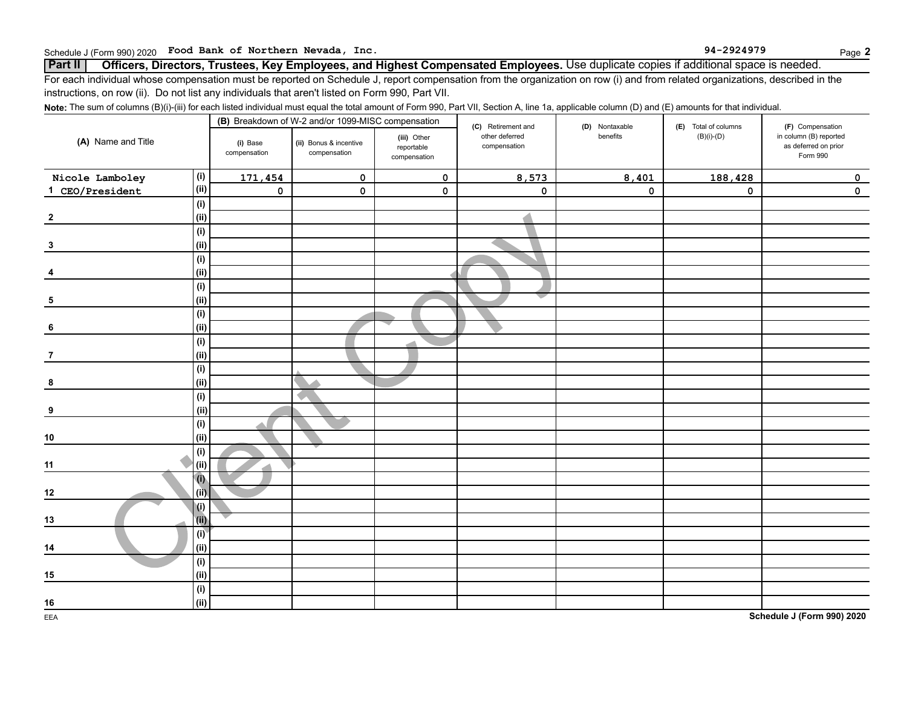#### **Part IIOfficers, Directors, Trustees, Key Employees, and Highest Compensated Employees.** Use duplicate copies if additional space is needed.

For each individual whose compensation must be reported on Schedule J, report compensation from the organization on row (i) and from related organizations, described in the instructions, on row (ii). Do not list any individuals that aren't listed on Form 990, Part VII.

Note: The sum of columns (B)(i)-(iii) for each listed individual must equal the total amount of Form 990, Part VII, Section A, line 1a, applicable column (D) and (E) amounts for that individual.

| (A) Name and Title |             | (B) Breakdown of W-2 and/or 1099-MISC compensation |                                        |                                           | (C) Retirement and             | (D) Nontaxable | (E) Total of columns | (F) Compensation                                           |  |
|--------------------|-------------|----------------------------------------------------|----------------------------------------|-------------------------------------------|--------------------------------|----------------|----------------------|------------------------------------------------------------|--|
|                    |             | (i) Base<br>compensation                           | (ii) Bonus & incentive<br>compensation | (iii) Other<br>reportable<br>compensation | other deferred<br>compensation | benefits       | $(B)(i)-(D)$         | in column (B) reported<br>as deferred on prior<br>Form 990 |  |
| Nicole Lamboley    | (i)         | 171,454                                            | $\mathbf 0$                            | $\mathbf 0$                               | 8,573                          | 8,401          | 188,428              | $\mathbf 0$                                                |  |
| 1 CEO/President    | (i)         | $\mathbf 0$                                        | $\mathbf 0$                            | $\mathbf 0$                               | $\mathbf 0$                    | 0              | $\mathbf 0$          | $\mathbf{0}$                                               |  |
|                    | (i)         |                                                    |                                        |                                           |                                |                |                      |                                                            |  |
| $\overline{2}$     | (ii)        |                                                    |                                        |                                           |                                |                |                      |                                                            |  |
|                    | (i)         |                                                    |                                        |                                           |                                |                |                      |                                                            |  |
| 3                  | (i)         |                                                    |                                        |                                           |                                |                |                      |                                                            |  |
|                    | (i)         |                                                    |                                        |                                           |                                |                |                      |                                                            |  |
|                    | (ii)        |                                                    |                                        |                                           |                                |                |                      |                                                            |  |
|                    | (i)         |                                                    |                                        |                                           |                                |                |                      |                                                            |  |
| 5                  | (ii)        |                                                    |                                        |                                           |                                |                |                      |                                                            |  |
|                    | (i)         |                                                    |                                        |                                           |                                |                |                      |                                                            |  |
| 6                  | (i)         |                                                    |                                        |                                           |                                |                |                      |                                                            |  |
|                    | (i)         |                                                    |                                        |                                           |                                |                |                      |                                                            |  |
| -7                 | (ii)        |                                                    |                                        |                                           |                                |                |                      |                                                            |  |
|                    | (i)         |                                                    |                                        |                                           |                                |                |                      |                                                            |  |
| 8                  | (i)         |                                                    |                                        |                                           |                                |                |                      |                                                            |  |
|                    | (i)         |                                                    |                                        |                                           |                                |                |                      |                                                            |  |
| 9                  | (i)         |                                                    |                                        |                                           |                                |                |                      |                                                            |  |
|                    | (i)         |                                                    |                                        |                                           |                                |                |                      |                                                            |  |
| $10\,$             | (ii)        |                                                    |                                        |                                           |                                |                |                      |                                                            |  |
|                    | (i)         |                                                    |                                        |                                           |                                |                |                      |                                                            |  |
| 11                 | (ii)        |                                                    |                                        |                                           |                                |                |                      |                                                            |  |
|                    | (i)         |                                                    |                                        |                                           |                                |                |                      |                                                            |  |
| $12\,$             | (ii)        |                                                    |                                        |                                           |                                |                |                      |                                                            |  |
|                    | (i)         |                                                    |                                        |                                           |                                |                |                      |                                                            |  |
| 13                 | (ii)        |                                                    |                                        |                                           |                                |                |                      |                                                            |  |
| 14                 | (i)<br>(ii) |                                                    |                                        |                                           |                                |                |                      |                                                            |  |
|                    | (i)         |                                                    |                                        |                                           |                                |                |                      |                                                            |  |
| 15                 | (ii)        |                                                    |                                        |                                           |                                |                |                      |                                                            |  |
|                    |             |                                                    |                                        |                                           |                                |                |                      |                                                            |  |
| 16                 | (i)<br>(ii) |                                                    |                                        |                                           |                                |                |                      |                                                            |  |
|                    |             |                                                    |                                        |                                           |                                |                |                      | Cahadula, Littagen 0001, 2020                              |  |

**Schedule J (Form 990) 2020**

EEA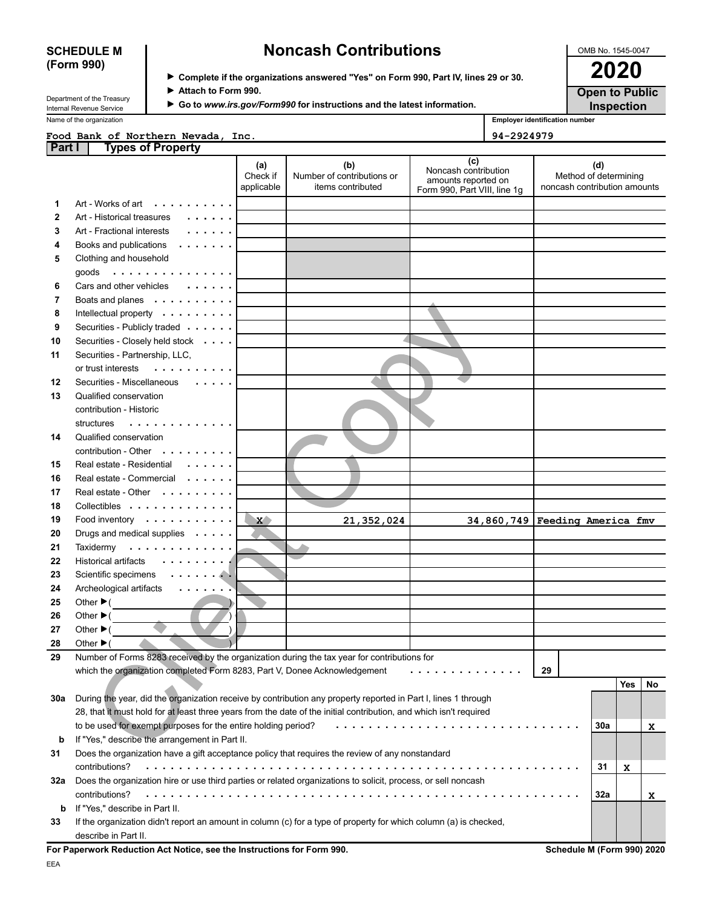# **(Form 990)**

## **SCHEDULE M Noncash Contributions**

OMB No. 1545-0047 **2020**

| Department of the Treasury |  |
|----------------------------|--|
| Internal Revenue Service   |  |

**Complete if the organizations answered "Yes" on Form 990, Part IV, lines 29 or 30.**

**Attach to Form 990.**

**Go to** *www.irs.gov/Form990* **for instructions and the latest information.**

**Open to Public Inspection**

Name of the organization

**Employer identification number**

|               | Food Bank of Northern Nevada, Inc. | 94-2924979 |
|---------------|------------------------------------|------------|
| <b>Part I</b> | <b>Types of Property</b>           |            |

|          |                                                                                                                              | (a)<br>Check if<br>applicable | (b)<br>Number of contributions or<br>items contributed | (c)<br>Noncash contribution<br>amounts reported on<br>Form 990, Part VIII, line 1q | Method of determining<br>noncash contribution amounts | (d) |     |    |
|----------|------------------------------------------------------------------------------------------------------------------------------|-------------------------------|--------------------------------------------------------|------------------------------------------------------------------------------------|-------------------------------------------------------|-----|-----|----|
| 1        | Art - Works of art<br>$\sim$ . The second contribution of the $\sim$                                                         |                               |                                                        |                                                                                    |                                                       |     |     |    |
| 2        | Art - Historical treasures                                                                                                   |                               |                                                        |                                                                                    |                                                       |     |     |    |
| 3        | Art - Fractional interests                                                                                                   |                               |                                                        |                                                                                    |                                                       |     |     |    |
| 4        | Books and publications                                                                                                       |                               |                                                        |                                                                                    |                                                       |     |     |    |
| 5        | Clothing and household                                                                                                       |                               |                                                        |                                                                                    |                                                       |     |     |    |
|          |                                                                                                                              |                               |                                                        |                                                                                    |                                                       |     |     |    |
| 6        | Cars and other vehicles                                                                                                      |                               |                                                        |                                                                                    |                                                       |     |     |    |
| 7        | Boats and planes                                                                                                             |                               |                                                        |                                                                                    |                                                       |     |     |    |
| 8        | Intellectual property $\dots \dots \dots$                                                                                    |                               |                                                        |                                                                                    |                                                       |     |     |    |
| 9        | Securities - Publicly traded                                                                                                 |                               |                                                        |                                                                                    |                                                       |     |     |    |
| 10       | Securities - Closely held stock                                                                                              |                               |                                                        |                                                                                    |                                                       |     |     |    |
| 11       | Securities - Partnership, LLC,                                                                                               |                               |                                                        |                                                                                    |                                                       |     |     |    |
|          | or trust interests<br>.                                                                                                      |                               |                                                        |                                                                                    |                                                       |     |     |    |
| 12       | Securities - Miscellaneous                                                                                                   |                               |                                                        |                                                                                    |                                                       |     |     |    |
| 13       | Qualified conservation                                                                                                       |                               |                                                        |                                                                                    |                                                       |     |     |    |
|          | contribution - Historic                                                                                                      |                               |                                                        |                                                                                    |                                                       |     |     |    |
|          | structures<br>.                                                                                                              |                               |                                                        |                                                                                    |                                                       |     |     |    |
| 14       | Qualified conservation                                                                                                       |                               |                                                        |                                                                                    |                                                       |     |     |    |
|          | contribution - Other $\cdots$                                                                                                |                               |                                                        |                                                                                    |                                                       |     |     |    |
| 15       | Real estate - Residential                                                                                                    |                               |                                                        |                                                                                    |                                                       |     |     |    |
| 16       | Real estate - Commercial                                                                                                     |                               |                                                        |                                                                                    |                                                       |     |     |    |
| 17       | Real estate - Other                                                                                                          |                               |                                                        |                                                                                    |                                                       |     |     |    |
| 18       | Collectibles                                                                                                                 |                               |                                                        |                                                                                    |                                                       |     |     |    |
| 19       | Food inventory $\cdots$ ,                                                                                                    | $\mathbf{x}$                  | 21, 352, 024                                           | $34,860,749$ Feeding America fmv                                                   |                                                       |     |     |    |
| 20       | Drugs and medical supplies                                                                                                   |                               |                                                        |                                                                                    |                                                       |     |     |    |
| 21       | Taxidermy<br>.                                                                                                               |                               |                                                        |                                                                                    |                                                       |     |     |    |
| 22       | Historical artifacts<br>.                                                                                                    |                               |                                                        |                                                                                    |                                                       |     |     |    |
| 23       | Scientific specimens<br>. <i>.</i> .                                                                                         |                               |                                                        |                                                                                    |                                                       |     |     |    |
| 24       | Archeological artifacts<br>$\sim$ 100 $\pm$                                                                                  |                               |                                                        |                                                                                    |                                                       |     |     |    |
| 25       | Other $\blacktriangleright$ (                                                                                                |                               |                                                        |                                                                                    |                                                       |     |     |    |
| 26       | Other $\blacktriangleright$ (                                                                                                |                               |                                                        |                                                                                    |                                                       |     |     |    |
| 27       | Other $\blacktriangleright$ (                                                                                                |                               |                                                        |                                                                                    |                                                       |     |     |    |
| 28<br>29 | Other $\blacktriangleright$ (<br>Number of Forms 8283 received by the organization during the tax year for contributions for |                               |                                                        |                                                                                    |                                                       |     |     |    |
|          | which the organization completed Form 8283, Part V, Donee Acknowledgement                                                    |                               |                                                        |                                                                                    | 29                                                    |     |     |    |
|          |                                                                                                                              |                               |                                                        |                                                                                    |                                                       |     | Yes | No |
| 30a      | During the year, did the organization receive by contribution any property reported in Part I, lines 1 through               |                               |                                                        |                                                                                    |                                                       |     |     |    |
|          | 28, that it must hold for at least three years from the date of the initial contribution, and which isn't required           |                               |                                                        |                                                                                    |                                                       |     |     |    |
|          | to be used for exempt purposes for the entire holding period?                                                                |                               |                                                        |                                                                                    |                                                       | 30a |     | x  |
| b        | If "Yes," describe the arrangement in Part II.                                                                               |                               |                                                        |                                                                                    |                                                       |     |     |    |
| 31       | Does the organization have a gift acceptance policy that requires the review of any nonstandard                              |                               |                                                        |                                                                                    |                                                       |     |     |    |
|          | contributions?                                                                                                               |                               |                                                        |                                                                                    |                                                       | 31  | x   |    |
| 32a      | Does the organization hire or use third parties or related organizations to solicit, process, or sell noncash                |                               |                                                        |                                                                                    |                                                       |     |     |    |
|          | contributions?                                                                                                               |                               |                                                        |                                                                                    |                                                       | 32a |     | x  |
| b        | If "Yes," describe in Part II.                                                                                               |                               |                                                        |                                                                                    |                                                       |     |     |    |
| 33       | If the organization didn't report an amount in column (c) for a type of property for which column (a) is checked,            |                               |                                                        |                                                                                    |                                                       |     |     |    |
|          | describe in Part II.                                                                                                         |                               |                                                        |                                                                                    |                                                       |     |     |    |
|          |                                                                                                                              |                               |                                                        |                                                                                    |                                                       |     |     |    |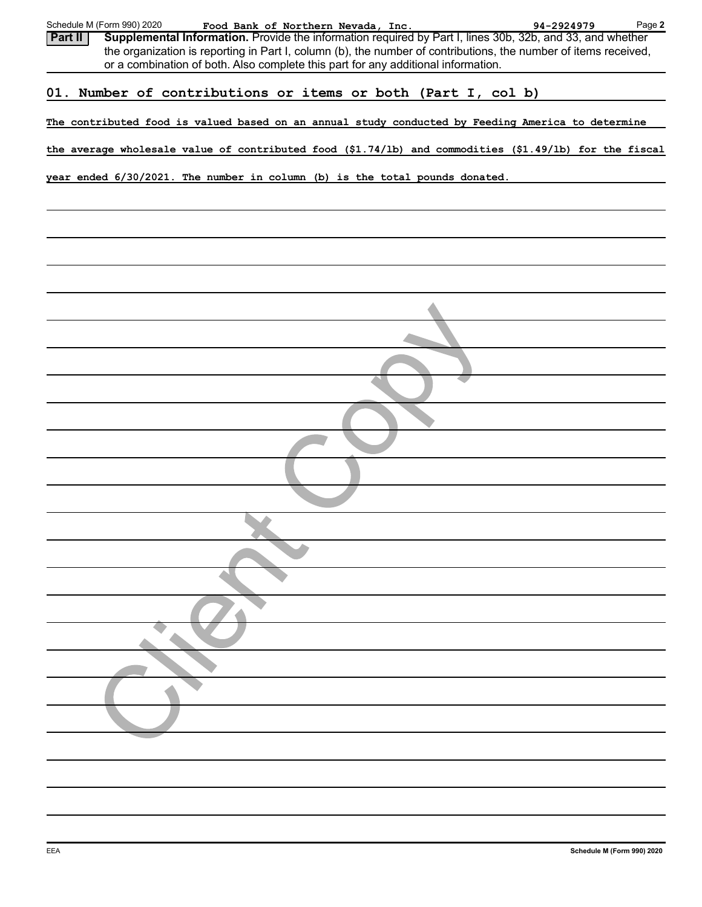| Schedule M (Form 990) 2020<br>Food Bank of Northern Nevada, Inc.                                                     | 94-2924979 | Page 2 |
|----------------------------------------------------------------------------------------------------------------------|------------|--------|
| Supplemental Information. Provide the information required by Part I, lines 30b, 32b, and 33, and whether<br>Part II |            |        |
| the organization is reporting in Part I, column (b), the number of contributions, the number of items received,      |            |        |
| or a combination of both. Also complete this part for any additional information.                                    |            |        |
|                                                                                                                      |            |        |
| 01. Number of contributions or items or both (Part I, col b)                                                         |            |        |
|                                                                                                                      |            |        |
| The contributed food is valued based on an annual study conducted by Feeding America to determine                    |            |        |
| the average wholesale value of contributed food (\$1.74/1b) and commodities (\$1.49/1b) for the fiscal               |            |        |
|                                                                                                                      |            |        |
| year ended 6/30/2021. The number in column (b) is the total pounds donated.                                          |            |        |
|                                                                                                                      |            |        |
|                                                                                                                      |            |        |
|                                                                                                                      |            |        |
|                                                                                                                      |            |        |
|                                                                                                                      |            |        |
|                                                                                                                      |            |        |
|                                                                                                                      |            |        |
|                                                                                                                      |            |        |
|                                                                                                                      |            |        |
|                                                                                                                      |            |        |
|                                                                                                                      |            |        |
|                                                                                                                      |            |        |
|                                                                                                                      |            |        |
|                                                                                                                      |            |        |
|                                                                                                                      |            |        |
|                                                                                                                      |            |        |
|                                                                                                                      |            |        |
|                                                                                                                      |            |        |
|                                                                                                                      |            |        |
|                                                                                                                      |            |        |
|                                                                                                                      |            |        |
|                                                                                                                      |            |        |
|                                                                                                                      |            |        |
|                                                                                                                      |            |        |
|                                                                                                                      |            |        |
|                                                                                                                      |            |        |
|                                                                                                                      |            |        |
|                                                                                                                      |            |        |
|                                                                                                                      |            |        |
|                                                                                                                      |            |        |
|                                                                                                                      |            |        |
|                                                                                                                      |            |        |
|                                                                                                                      |            |        |
|                                                                                                                      |            |        |
|                                                                                                                      |            |        |
|                                                                                                                      |            |        |
|                                                                                                                      |            |        |
|                                                                                                                      |            |        |
|                                                                                                                      |            |        |
|                                                                                                                      |            |        |
|                                                                                                                      |            |        |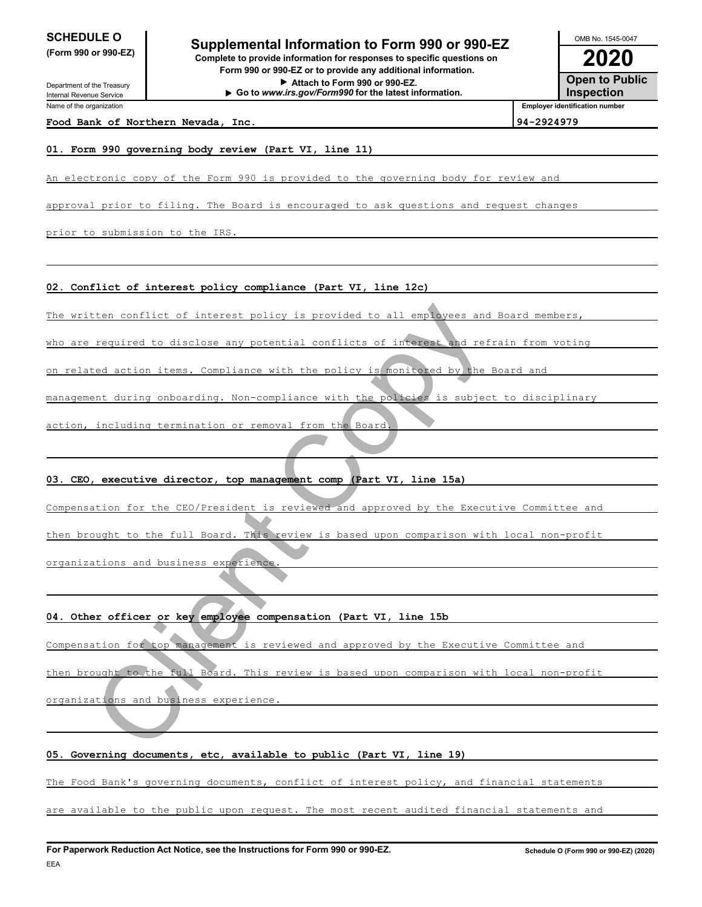## **2020 2020 2020 2020 Supplemental Information to Form 990 or 990-EZ** *Correlate to a constitute matrice and intervalse and intervalse* **(Form 990 or 990-EZ) Complete to provide information for responses to specific questions on**

Department of the Treasury Internal Revenue Service Name of the organization

**Form 990 or 990-EZ or to provide any additional information. Attach to Form 990 or 990-EZ. Go to** *www.irs.gov/Form990* **for the latest information.**

**Open to Public Inspection Employer identification number** OMB No. 1545-0047

### Food Bank of Northern Nevada, Inc. **94-2924979**

#### **01. Form 990 governing body review (Part VI, line 11)**

An electronic copy of the Form 990 is provided to the governing body for review and

approval prior to filing. The Board is encouraged to ask questions and request changes

prior to submission to the IRS.

**02. Conflict of interest policy compliance (Part VI, line 12c)**

The written conflict of interest policy is provided to all employees and Board members,

who are required to disclose any potential conflicts of interest and refrain from voting

on related action items. Compliance with the policy is monitored by the Board and

management during onboarding. Non-compliance with the policies is subject to disciplinary

action, including termination or removal from the Board.

### **03. CEO, executive director, top management comp (Part VI, line 15a)**

Compensation for the CEO/President is reviewed and approved by the Executive Committee and then brought to the full Board. This review is based upon comparison with local non-profit

organizations and business experience.

**04. Other officer or key employee compensation (Part VI, line 15b**

Compensation for top management is reviewed and approved by the Executive Committee and

then brought to the full Board. This review is based upon comparison with local non-profit

organizations and business experience.

#### **05. Governing documents, etc, available to public (Part VI, line 19)**

The Food Bank's governing documents, conflict of interest policy, and financial statements

are available to the public upon request. The most recent audited financial statements and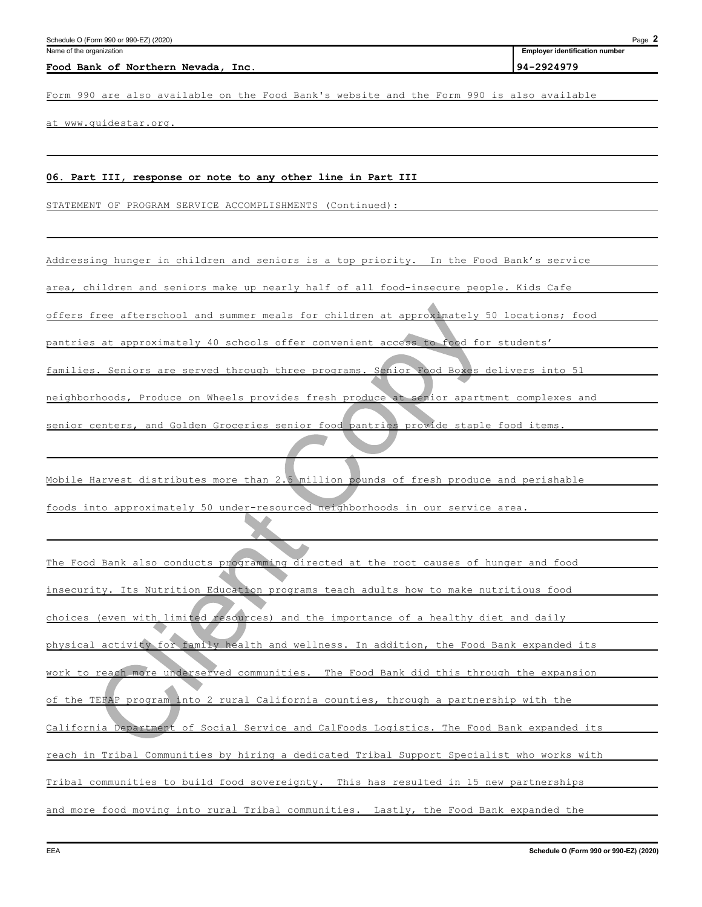| Schedule O (Form 990 or 990-EZ) (2020)                                                     | Page 2                                |
|--------------------------------------------------------------------------------------------|---------------------------------------|
| Name of the organization                                                                   | <b>Employer identification number</b> |
| Food Bank of Northern Nevada, Inc.                                                         | 94-2924979                            |
| Form 990 are also available on the Food Bank's website and the Form 990 is also available  |                                       |
| at www.quidestar.org.                                                                      |                                       |
|                                                                                            |                                       |
|                                                                                            |                                       |
| 06. Part III, response or note to any other line in Part III                               |                                       |
|                                                                                            |                                       |
| STATEMENT OF PROGRAM SERVICE ACCOMPLISHMENTS (Continued):                                  |                                       |
|                                                                                            |                                       |
|                                                                                            |                                       |
| Addressing hunger in children and seniors is a top priority. In the Food Bank's service    |                                       |
| area, children and seniors make up nearly half of all food-insecure people. Kids Cafe      |                                       |
|                                                                                            |                                       |
| offers free afterschool and summer meals for children at approximately 50 locations; food  |                                       |
|                                                                                            |                                       |
| pantries at approximately 40 schools offer convenient access to food for students'         |                                       |
| families. Seniors are served through three programs. Senior Food Boxes delivers into 51    |                                       |
|                                                                                            |                                       |
| neighborhoods, Produce on Wheels provides fresh produce at senior apartment complexes and  |                                       |
|                                                                                            |                                       |
| senior centers, and Golden Groceries senior food pantries provide staple food items.       |                                       |
|                                                                                            |                                       |
|                                                                                            |                                       |
| Mobile Harvest distributes more than 2.5 million pounds of fresh produce and perishable    |                                       |
| foods into approximately 50 under-resourced neighborhoods in our service area.             |                                       |
|                                                                                            |                                       |
|                                                                                            |                                       |
|                                                                                            |                                       |
| The Food Bank also conducts programming directed at the root causes of hunger and food     |                                       |
| insecurity. Its Nutrition Education programs teach adults how to make nutritious food      |                                       |
|                                                                                            |                                       |
| choices (even with limited resources) and the importance of a healthy diet and daily       |                                       |
|                                                                                            |                                       |
| physical activity for family health and wellness. In addition, the Food Bank expanded its  |                                       |
|                                                                                            |                                       |
| work to reach more underserved communities. The Food Bank did this through the expansion   |                                       |
| of the TEFAP program into 2 rural California counties, through a partnership with the      |                                       |
|                                                                                            |                                       |
| California Department of Social Service and CalFoods Logistics. The Food Bank expanded its |                                       |
|                                                                                            |                                       |
| reach in Tribal Communities by hiring a dedicated Tribal Support Specialist who works with |                                       |
|                                                                                            |                                       |
| Tribal communities to build food sovereignty. This has resulted in 15 new partnerships     |                                       |
| and more food moving into rural Tribal communities. Lastly, the Food Bank expanded the     |                                       |
|                                                                                            |                                       |
|                                                                                            |                                       |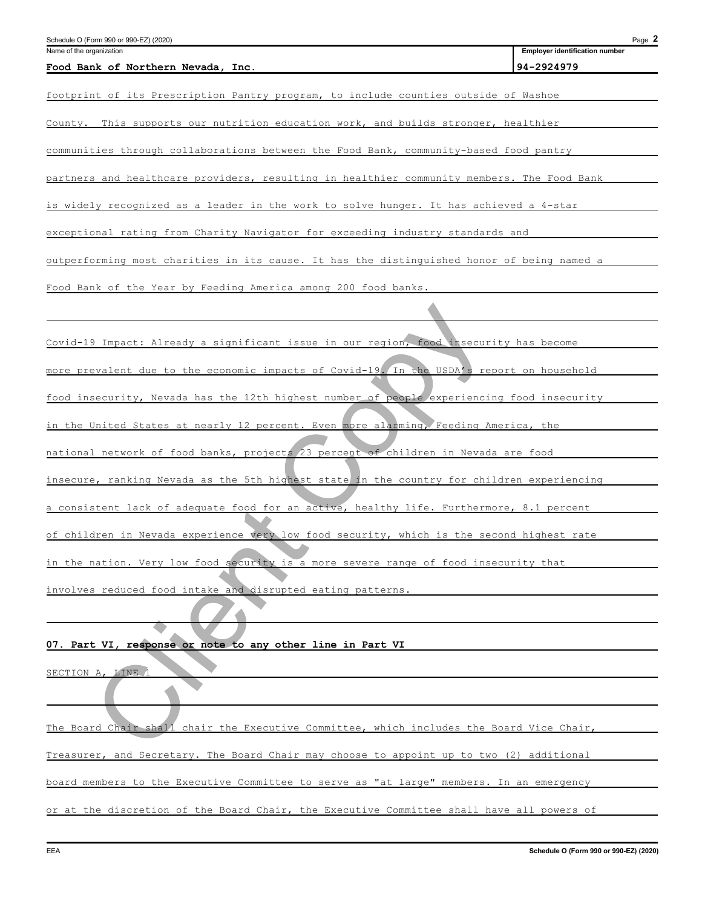| Schedule O (Form 990 or 990-EZ) (2020)                                                     | Page 2                                |
|--------------------------------------------------------------------------------------------|---------------------------------------|
| Name of the organization                                                                   | <b>Employer identification number</b> |
| Food Bank of Northern Nevada, Inc.                                                         | 94-2924979                            |
| footprint of its Prescription Pantry program, to include counties outside of Washoe        |                                       |
| This supports our nutrition education work, and builds stronger, healthier<br>County.      |                                       |
| communities through collaborations between the Food Bank, community-based food pantry      |                                       |
| partners and healthcare providers, resulting in healthier community members. The Food Bank |                                       |
| is widely recognized as a leader in the work to solve hunger. It has achieved a 4-star     |                                       |
| exceptional rating from Charity Navigator for exceeding industry standards and             |                                       |
| outperforming most charities in its cause. It has the distinguished honor of being named a |                                       |
| Food Bank of the Year by Feeding America among 200 food banks.                             |                                       |
|                                                                                            |                                       |
| Covid-19 Impact: Already a significant issue in our region, food insecurity has become     |                                       |
| more prevalent due to the economic impacts of Covid-19. In the USDA's report on household  |                                       |
| food insecurity, Nevada has the 12th highest number of people experiencing food insecurity |                                       |
| in the United States at nearly 12 percent. Even more alarming, Feeding America, the        |                                       |
| national network of food banks, projects 23 percent of children in Nevada are food         |                                       |
| insecure, ranking Nevada as the 5th highest state in the country for children experiencing |                                       |
| a consistent lack of adequate food for an active, healthy life. Furthermore, 8.1 percent   |                                       |
| of children in Nevada experience very low food security, which is the second highest rate  |                                       |
| in the nation. Very low food security is a more severe range of food insecurity that       |                                       |
| involves reduced food intake and disrupted eating patterns.                                |                                       |
|                                                                                            |                                       |
| 07. Part VI, response or note to any other line in Part VI                                 |                                       |
| SECTION A, LINE 1                                                                          |                                       |
|                                                                                            |                                       |
| The Board Chair shall chair the Executive Committee, which includes the Board Vice Chair,  |                                       |

Treasurer, and Secretary. The Board Chair may choose to appoint up to two (2) additional

board members to the Executive Committee to serve as "at large" members. In an emergency

or at the discretion of the Board Chair, the Executive Committee shall have all powers of